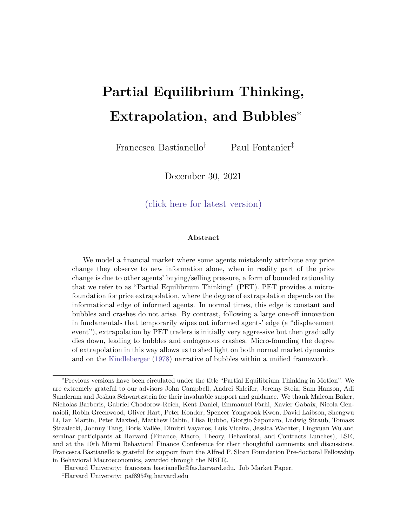# **Partial Equilibrium Thinking, Extrapolation, and Bubbles**<sup>∗</sup>

Francesca Bastianello† Paul Fontanier‡

December 30, 2021

[\(click here for latest version\)](https://scholar.harvard.edu/bastianello/publications)

#### **Abstract**

We model a financial market where some agents mistakenly attribute any price change they observe to new information alone, when in reality part of the price change is due to other agents' buying/selling pressure, a form of bounded rationality that we refer to as "Partial Equilibrium Thinking" (PET). PET provides a microfoundation for price extrapolation, where the degree of extrapolation depends on the informational edge of informed agents. In normal times, this edge is constant and bubbles and crashes do not arise. By contrast, following a large one-off innovation in fundamentals that temporarily wipes out informed agents' edge (a "displacement event"), extrapolation by PET traders is initially very aggressive but then gradually dies down, leading to bubbles and endogenous crashes. Micro-founding the degree of extrapolation in this way allows us to shed light on both normal market dynamics and on the Kindleberger (1978) narrative of bubbles within a unified framework.

<sup>∗</sup>Previous versions have been circulated under the title "Partial Equilibrium Thinking in Motion". We are extremely grateful to our advisors John Campbell, Andrei Shleifer, Jeremy Stein, Sam Hanson, Adi Sunderam and Joshua Schwartzstein for their invaluable support and guidance. We thank Malcom Baker, Nicholas Barberis, Gabriel Chodorow-Reich, Kent Daniel, Emmanuel Farhi, Xavier Gabaix, Nicola Gennaioli, Robin Greenwood, Oliver Hart, Peter Kondor, Spencer Yongwook Kwon, David Laibson, Shengwu Li, Ian Martin, Peter Maxted, Matthew Rabin, Elisa Rubbo, Giorgio Saponaro, Ludwig Straub, Tomasz Strzalecki, Johnny Tang, Boris Vallée, Dimitri Vayanos, Luis Viceira, Jessica Wachter, Lingxuan Wu and seminar participants at Harvard (Finance, Macro, Theory, Behavioral, and Contracts Lunches), LSE, and at the 10th Miami Behavioral Finance Conference for their thoughtful comments and discussions. Francesca Bastianello is grateful for support from the Alfred P. Sloan Foundation Pre-doctoral Fellowship in Behavioral Macroeconomics, awarded through the NBER.

<sup>†</sup>Harvard University: francesca bastianello@fas.harvard.edu. Job Market Paper.

<sup>‡</sup>Harvard University: paf895@g.harvard.edu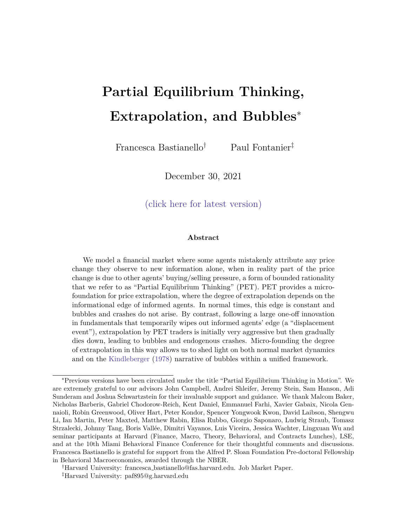Sustained periods of over-optimism that eventually end in a crash are at the heart of many macro-economic events, such as stock market bubbles, house price bubbles, investment booms, or credit cycles (Mackay (1841), Bagehot (1873), Galbraith (1954), Kindleberger  $(1978)$ , Shiller  $(2000)$ , Jordà et al.  $(2015)$ , Greenwood et al.  $(2021)$ ). Given the real consequences of bubbles and crashes, there has been widespread interest in understanding their anatomy and the beliefs that support them.

Perhaps the best known narrative of bubbles and crashes comes from Kindleberger (1978), who identifies three key stages of bubbles. The first stage is characterized by a *displacement*, which Kindleberger defines as "some outside event that changes horizons, expectations, anticipated profit opportunities, behavior." Examples include technological revolutions, such as the railroads in the 1840s, the radio and automobiles in the 1920s, and the internet in the 1990s, or financial innovations such as securitization prior to the 2008 financial crisis. As investors respond to such shocks, displacements lead to a wave of optimism and rising prices. The second stage is characterized by *euphoria*, in which higher prices encourage further buying in a self-sustaining feedback-loop between prices and beliefs that decouples prices from fundamentals. This stage is also characterized by destabilizing speculation (De Long et al. (1990), Brunnermeier and Nagel (2004)), accelerating and convex price paths (Greenwood et al. (2019)), and heavy trading (Ofek and Richardson (2003), Hong and Stein (2007), Barberis (2018), DeFusco et al. (2020)). Eventually, in the third stage of the bubble, sophisticated agents who rode the bubble exit, leading to a *crash*.

Early theories of bubbles maintain the assumption of rational expectations (Blanchard and Watson (1982), Tirole (1985), Martin and Ventura (2012)). However, as well as being at odds with empirical evidence on prices (Giglio et al. (2016)), these theories are also unable to speak to the pervasive empirical and experimental evidence on extrapolative beliefs (Smith et al. (1988), Haruvy et al. (2007), Case et al. (2012), Greenwood and Shleifer (2014)). Behavioral theories have instead turned to over-confidence and shortsale constraints (Harrison and Kreps (1978), Scheinkman and Xiong (2003)), and more recently to modeling extrapolative expectations themselves (Cutler et al. (1990), De Long et al. (1990), Hong and Stein (1999), Barberis et al. (2015), Hirshleifer et al. (2015),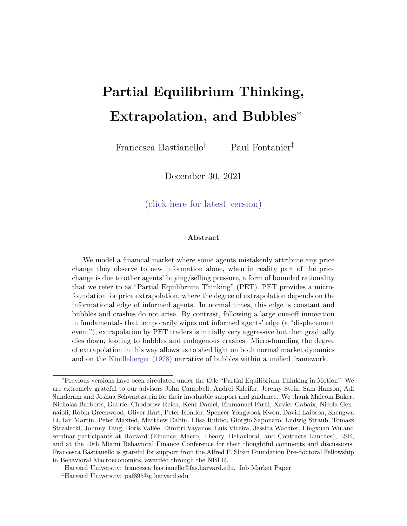Glaeser and Nathanson (2017), Barberis et al. (2018), Bordalo et al. (2021), Liao et al. (2021), Chodorow-Reich et al. (2021)). Following a sequence of positive news, investors extrapolate recent price rises, and become more optimistic. This then translates into even higher prices, and even more optimistic future beliefs. By directly modeling the self-sustaining feedback between outcomes and beliefs that is characteristic of bubbles, these models generate many features of the Kindleberger (1978) narrative.<sup>1</sup>

At the same time, the reduced form nature of extrapolation considered in these theories leaves several questions open. First, what are the foundations of extrapolative expectations, and what determines how strongly traders extrapolate price changes in updating their future beliefs? Second, why is it that "[b]y no means does every upswing in business excess lead inevitably to mania and panic" (Kindleberger (1978))? In other words, why is it that the same type of extrapolative beliefs sometimes leads prices and beliefs to become extreme and decoupled from fundamentals, while in normal times we don't observe such extreme responses to shocks?

To answer these questions we provide a micro-foundation for the degree of price extrapolation with a theory of "Partial Equilibrium Thinking" (PET) (Bastianello and Fontanier (2021*b*)) in which traders fail to realize the general equilibrium consequences of their actions when learning information from prices. This cognitive failure leads to constant price extrapolation in normal times, and to stronger and time-varying extrapolation in response to displacement events.

Micro-founding the degree of extrapolation in this way provides a unifying theory in which the two-way feedback between prices and beliefs is present at all times, but only manifests itself in explosive ways under very specific circumstances. According to Soros (2015): "[...] in most situations [the two-way feedback] is so feeble that it can safely be ignored. We may distinguish between near-equilibrium conditions where certain corrective mechanisms prevent perceptions and reality from drifting too far apart, and farfrom equilibrium conditions where a reflexive double-feedback mechanism is at work and there is no tendency for perceptions and reality to come closer together [...]." We formalize

<sup>&</sup>lt;sup>1</sup>See Brunnermeier and Oehmke (2013), Xiong (2013) and Barberis (2018) for exhaustive surveys on bubbles and crashes.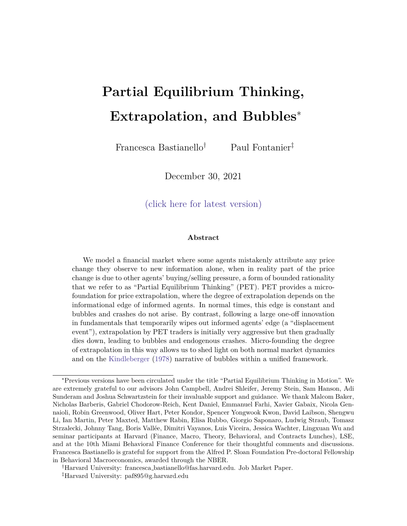this notion of \near-equilibrium" and \far-from equilibrium" conditions by modeling the distinction between normal times shocks which do not generate large changes to the environment, and Kindleberger-type displacements which instead do.

To illustrate our notion of partial equilibrium thinking, consider some investors who see the price of a stock rise, but do not know what caused this. They may think that some informed investors in the market have received positive news about this stock and decided to buy, pushing up its price. Given this thought process, they infer positive news about it, and also buy, leading to a further price increase. At this point, rational agents perfectly understand that this additional price rise is not due to further good news, but simply re
ects the lagged response of uninformed agents who are thinking and behaving just like them. As a result, they no longer update their beliefs in response to this second price rise, and the two-way feedback between prices and beliefs fails to materialize, as shown in the top panel of Figure 1.

However, for uninformed agents to learn the right information from prices, they must perfectly understand what generates the price changes they observe at each point in time, which in turn requires them to perfectly understand other agents' actions and beliefs. Theories of rational expectations model this level of understanding by assuming common knowledge of rationality, which has been widely rejected by experimental evidence (Crawford et al. (2013), Kubler and Weizsacker (2004), Penczynski (2017), Eyster et al. (2018)). We relax this assumption by instead assuming that agents think in partial equilibrium, whereby \otherwise rational expectations fail to take into account the strength of similar responses by others" (Kindleberger (1978)). PET agents neglect that all other uninformed agents are thinking and behaving just like them, and attribute any price change they observe to new information alone. Following the second price rise in the example in Figure 1, PET agents attribute it to further good news, encouraging further buying and inducing further price rises in a self-sustaining feedback between prices and beliefs. In this paper we formalize the intuition behind this example and show how, depending on the information structure, the strength of this feedback e ect may be time-varying.

Partial equilibrium thinking is an example of substitution bias (DeMarzo et al. (2003), Kahneman (2011), Greenwood and Hanson (2015), Glaeser and Nathanson (2017)), where

3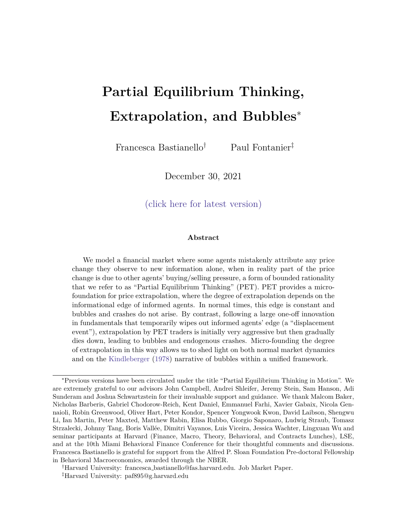Figure 1: The Feedback-Loop Theory of Bubbles Changes in prices and beliefs after a one-o shock to fundamentals, under rational expectations (top panel) and under partial equilibrium thinking (bottom panel).



traders replace a complicated general equilibrium inference problem with a simpler one that is driven by partial equilibrium intuitions. In so doing, PET agents e ectively think they are the only ones learning information from prices, which is consistent with psychological evidence on the Lake Wobegan e ect, where all agents incorrectly think they have an edge relative to others (Svenson (1981), Maxwell and Lopus (1994)). One of the most telling pieces of evidence of such behavior in nancial markets comes from the work of Liu et al. (2021), who survey retail traders in China about their trading motives and combine these responses with observational data on their trading behavior. Interestingly, they nd that a perceived information advantage is a dominant trading motive. Finally, the bias which underlies partial equilibrium thinking has also been widely studied in social learning contexts with models of naive inference and correlation neglect (Eyster and Rabin (2005), Eyster and Rabin (2010) $\hat{f}$ . We model this type of bias in a general equilibrium environment and study how it interacts di erently with normal times shocks and with the type of shocks that Kindleberger (1978) identi es as displacements.

We begin by introducing partial equilibrium thinking into a standard in nite horizon model of a nancial market where each period a continuum of investors solve a portfolio choice problem between a risky and a riskless asset. Our agents dier in their ability

<sup>&</sup>lt;sup>2</sup>See also Bohren (2016), Esponda and Pouzo (2016), Gagnon-Bartsch and Rabin (2016), Fudenberg et al. (2017), Bohren and Hauser (2021), Frick et al. (2020), Fudenberg et al. (2021), Gagnon-Bartsch et al. (2021) among others.

<sup>&</sup>lt;sup>3</sup>By considering general equilibrium environments, the outcomes agents learn from have not only an informational role, but also a market feedback e ect role, and it is the interaction of these two forces which determines the strength of the feedback e ect (Bastianello and Fontanier (202b)). Displacements then make both these forces and the strength of the feedback e ect time-varying, thus allowing for endogenous reversals even after outcomes and beliefs have become extreme and decoupled from fundamentals.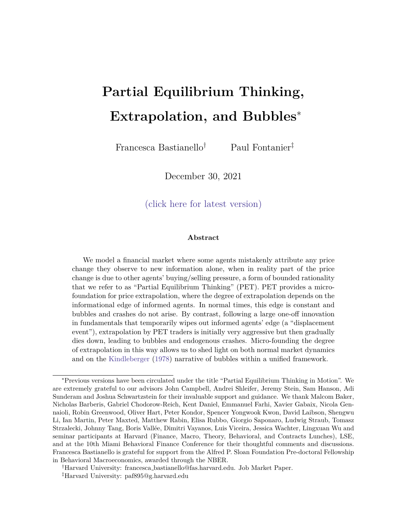to observe fundamental news: a fraction of agents are informed and observe fundamental shocks, and the remaining fraction of agents are uninformed and instead infer information from prices. Motivated by empirical and experimental evidence that traders extrapolate trends as opposed to instantaneous price movements, we assume that traders learn information from past as opposed to current prices (Andreassen and Kraus (1990), Case et al. (2012)), as with the positive feedback traders in De Long et al. (1990), Hong and Stein (2007) and Barberis et al.  $(2018)$ .

Given this information structure, in each period price changes re
ect both the contemporaneous response of informed agents to news, and the lagged response of uninformed agents who learn from past prices. However, when uninformed agents think in partial equilibrium, they neglect the second source of variation and attribute any price change to new information alone, leading to a simple type of price extrapolation.

The key prediction of the model which leads to dierent dynamics in response to dierent types of shocks is that the degree of extrapolation and the bias that partial equilibrium thinking generates are decreasing in informed traders' informational edge. This edge is simply de ned as the aggregate con dence of informed traders relative to uninformed traders, and is higher when there are more informed traders in the market, and when the precision of the additional information informed traders hold is higher. When this informational edge is high, informed traders trade more aggressively, and the in
uence on prices of uninformed traders' beliefs is lower. This leads partial equilibrium thinkers to neglect a smaller source of price variation, therefore leading to a smaller bias and a smaller strength of the feedback between prices and beliefs. Conversely, when informed traders' edge is low, partial equilibrium thinkers neglect a bigger source of price variation, leading to a larger bias and a stronger feedback e ect. By understanding how this edge varies in response to dierent types of shocks, we can then understand how partial equilibrium thinking generates di erent dynamics in normal times, and following a displacement.

We show that in normal times informed agents' edge is high and constant over time.

<sup>&</sup>lt;sup>4</sup>This assumption allows us to model the evolution of the two-way feedback between outcomes and beliefs dynamically. We explore the implications of partial equilibrium thinking when agents learn from current prices in Bastianello and Fontanier (2021b).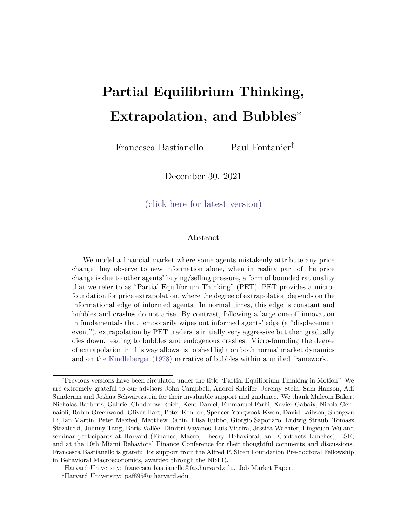For example, normal times shocks may come in the form of earnings announcements: sophisticated traders are better able to understand the long run implications of such shocks, and uninformed retail traders can learn about them more slowly by observing how the market reacts to such news. When this is the case, informed traders are always one step ahead of uninformed traders, and their edge is high and constant, meaning that partial equilibrium thinkers neglect a small source of price variation, thus leading to weak departures from rationality.

This is no longer true following a Kindleberger-type displacement, when we show that the informational edge becomes time-varying. Specically, displacements are \something new under the sun", and the implications of such shocks for long term outcomes can be learnt only gradually over time. These shocks wipe out much of informed agents' edge as not even the most informed of informed agents are able to immediately grasp the full longterm implications of such events. This leads informed agents to trade less aggressively, and to a rise in the in
uence on prices of uninformed traders' beliefs. Partial equilibrium thinkers then neglect a greater source of price variation, leading to a stronger bias. This fuels the strength of the feedback between prices and beliefs, allowing both to accelerate away from fundamentals. As informed traders learn more about the displacement over time, they regain their edge, leading to a gradual fall in the degree of extrapolation, and in the strength of the feedback e ect. When the feedback e ect runs out of steam, the bubble bursts, and prices and beliefs converge back towards fundamentals. The exact shape of the bubble then depends on the speed with which informed traders learn more about the displacement.

Finally, we study how our bias interacts with speculative motives, and show that whether speculators amplify bubbles or arbitrage them away depends on their beliefs of whether mispricing is temporary or predictable. If they think that mispricing is temporary, they arbitrage it away immediately, and bubbles and crashes do not arise. If instead they realize that mispricing is predictable and that they will be able to sell the asset to \a greater fool" at a higher price in the future, they increase their position in the asset, thus pushing prices up further, and amplifying the bubble (De Long et al. (1990)). These predictions are consistent with bubbles being associated with the type of destabilizing

6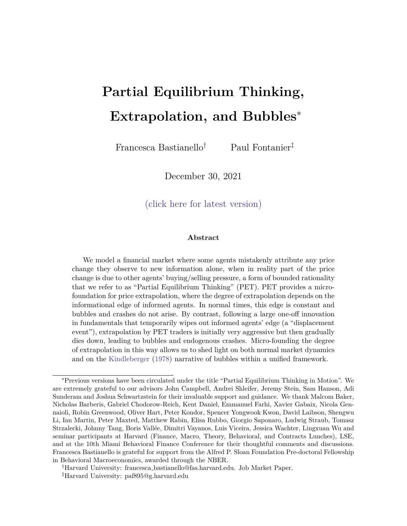speculation described in the latter case (Keynes (1936)), and with more sophisticated traders initially riding the bubble (Brunnermeier and Nagel (2004)).

This paper proceeds as follows. In Section 1 we illustrate our notion of partial equilibrium thinking with a reduced form model. Section 2 provides a full micro-foundation of this model and considers the implications of partial equilibrium thinking in normal times. Section 3 models displacements and shows how these shocks interact with partial equilibrium thinking in generating bubbles and crashes. In Section 4 we add speculative motives. Section 5 concludes and discusses some directions of future research. While prices are a very natural equilibrium outcome agents may learn from, partial equilibrium thinking can be applied more broadly to any setup where agents learn information from a general equilibrium variable, thus lending itself to a variety of other macro and nance applications, such as credit cycles and investment booms (Bastianello and Fontanier (2020)).

# 1 The Feedback Loop Theory of Bubbles

In this section we start with a reduced-form model to introduce our notion of partial equilibrium thinking (PET), and we show how PET gives rise to the natural self-sustaining feedback between outcomes and beliefs that lies at the heart of the Kindleberger narrative of bubbles. We micro-found this model fully in Section 2.

#### 1.1 Reduced-Form Setup

Consider an asset that is in xed supply and whose fundamental value is determined by its terminal payo  $D_T$ , which evolves as a random walk:

$$
D_T = D + \sum_{j=0}^{X} u_j
$$
 (1)

where $\mathsf{u}_\mathsf{j} \phantom{.}^{\mathsf{id}}$  N (0;  $\frac{2}{\mathsf{u}}$ ), and D is a positive constant. Moreover, suppose the market for this risky asset is populated by two types of risk averse agenits  $2f \mid g$ , who decide how much of the risky asset to hold based on their beliefs about its fundamental value. The

 $5Bv$  assuming the asset is in xed supply we consider the simple case where prices are fully revealing.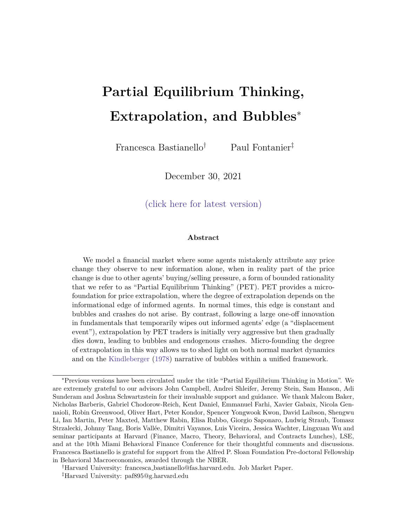two types of traders dier in their ability to observe the fundamental value of the asset. Type I agents are informed: in each period they observe the new fundamental shock  $\mathbf{t}_t$ and use this to update their beliefs about the asset's fundamental value:

$$
E_{1,t}[D_T] = E_{1,t-1}[D_T] + u_t
$$
 (2)

Type U agents do not observe any of the fundamental shocks, and instead may learn information from prices. To model the dynamic evolution of the feedback between outcomes and beliefs that is characteristic of the Kindleberger (1978) narrative of bubbles, and informed by experimental evidence by Andreassen and Kraus (1990), we assume that traders learn information from past as opposed to current prices, in the spirit of the positive feedback traders in De Long et al. (1990), Hong and Stein (1999) and Barberis et al.  $(2018)^6$ 

Since traders learn information frompast prices, in each period they can learn about the previous period fundamental shocky<sub>t 1</sub>. Let  $H_{t-1}$  be the fundamental shock which uninformed traders learn from $P_{t-1}$ . We can then write their periodt beliefs accordingly:

$$
E_{U;t}[D_T] = E_{U;t-1}[D_T] + u_{t-1}
$$
 (3)

Throughout the paper we denote by uninformed agents' beliefs about a variable. In this case, since we assumed that prices are fully revealing, uninformed traders believe they are extracting from  $P_{t-1}$  the exact fundamental signal that informed traders observed in

t 1, so  $u_{t-1}$  is uninformed agents' belief about the 1 fundamental shock,  $u_{t-1}$ .

Finally, suppose that all traders have mean-variance utility and are only concerned with forecasting the long term fundamental value of the asse $\mathbf{D}_\mathsf{T}$ .<sup>7</sup> In Section 2 we show that we can then write the market clearing price as a weighted average of traders' beliefs

 $6$ This assumption of learning from past as opposed to current prices could be due to agents being boundedly rational, and not having the cognitive capacity to update their beliefs at the same time they submit their trades. We explore the implications of partial equilibrium thinking when agents learn from current prices in Bastianello and Fontanier (2021b).

 $7$ We consider agents who are only concerned with forecasting long term fundamentals, as opposed to agents who are interested in timing the market, and who would instead be concerned with forecasting next period prices. We make this assumption to illustrate our notion of PET in the simplest possible framework, and relax this assumption in Section 4.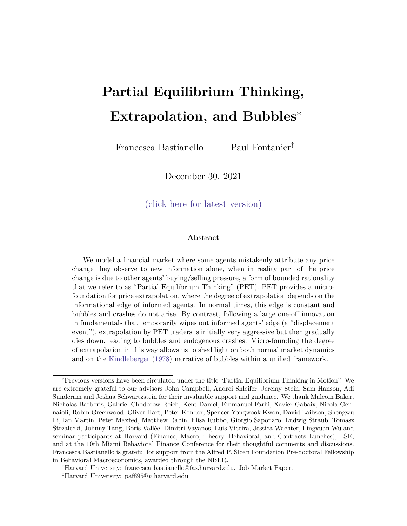minus a risk-premium component:

$$
P_t = aE_{1;t} [D_T] + bE_{U;t} [D_T] \quad c \tag{4}
$$

wherea; b2 [0; 1] are weights which capture the in uence on prices of informed and uninformed agents' beliefs respectively, and is the risk-premium component that compensates risk-averse agents for bearing risk. In Section 2 we micro-found this price function and show that the coe cients a, b and c are endogenous objects which are pinned down in equilibrium. Specically, a and b are weights that depend on the composition of agents in the market and on their relative condence. For example, the greater the fraction of informed (uninformed) agents in the market, and the more condent they are about their posterior beliefs, the more strongly are their beliefs incorporated into prices, which results in a higher a (b). In addition, the risk-premium componentc also depends on the supply of the risky asset and on agents' level of risk aversion: the less scarce the asset is, and the more risk averse agents are, the higher is the premium that agents require to hold the asset. For now takea, b and c to be constants.

Given the price function in (4) and agents' beliefs in (2) and (3), any price change in period t re
ects both the instantaneous response of informed agents who receive new information, and the lagged response of uninformed agents who learn information from past prices<sup>8</sup>

$$
P_t = \n\begin{array}{ccc}\n\mathbf{a} \mathbf{u}_t & + & \mathbf{b} \mathbf{u}_{t-1} \\
\frac{1}{2} & -\frac{1}{2} \\
\mathbf{a} \mathbf{u}_t & -\frac{1}{2} \\
\mathbf{u}_t & \mathbf{u}_t\n\end{array}\n\tag{8}
$$

Understanding what information  $\mathbf{u}_{t-1}$  uninformed agents learn from past prices lies at the heart of our feedback-loop theory of bubbles. This, in turn, requires us to understand what uninformed agents think is generating the price changes they observe. We now turn to comparing rational agents' inference to that of agents who think in partial equilibrium.

$$
E_{1,t} [D_T] = u_t \tag{5}
$$

$$
E_{U,t}[D_T] = \mathbf{u}_{t-1} \tag{6}
$$

$$
P_t = a E_{1,t} [D_T] + b E_{U,t} [D_T] \tag{7}
$$

Substituting (5) and (6) into (7), we obtain equation (8).

<sup>&</sup>lt;sup>8</sup>Taking rst dierences of  $(2)$ ,  $(3)$  and  $(4)$  we nd: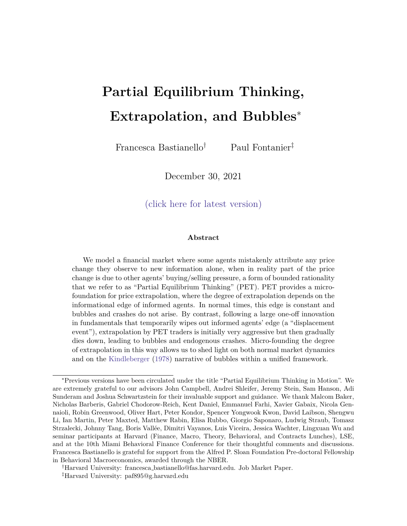# 1.2 Rational Expectations

Since traders can only learn information from past prices, in period they learn information from  $P_{t-1}$ . Lagging (8) by one period,  $P_{t-1}$  is simply given by:

$$
P_{t-1} = \underset{1 \leq t \leq t}{\text{all}} \underset{1 \leq t \leq t}{\text{all}} \underset{1 \leq t \leq t}{\text{all}} \underset{1 \leq t \leq t}{\text{all}} \underset{1 \leq t \leq t}{\text{all}} \underset{1 \leq t \leq t}{\text{all}} \tag{9}
$$

If uninformed agents hold rational expectations, they perfectly understand what generates this price change, and think that this is due to informed agents updating their beliefs by  $u_{t-1}$  (their conjecture of  $u_{t-1}$ ) and to uninformed agents updating their beliefs by  $H_1$  2. They then invert the following mapping to learn  $H_1$  1 from  $P_{t-1}$ :

$$
P_{t-1} = \underset{\text{instantaneous response}}{\underset{i=1}{\text{a}}} + \underset{\text{logged response}}{\underset{i=1}{\text{b}}} = \underset{\text{e}}{\underset{i=1}{\text{b}}} + \underset{i=1}{\underset{i=1}{\text{b}}} + \underset{\text{logged response}}{\underset{i=1}{\text{b}}} = \underset{\text{e}}{\underset{\text{h}}{\text{b}}} + \underset{\text{e}}{\underset{\text{h}}{\text{b}}} \tag{10}
$$

Comparing this to the true price function in (9), we see that if agents are rational they are indeed able to recover the right information from prices:

$$
\mathbf{H}_{t-1} = \mathbf{U}_{t-1} \tag{11}
$$

When this is the case, price changes follow an MA(1) and any shock takes two periods to propagate through the economy, as intuited in the example in the top panel of Figure 1 in the introduction.  $9$  However, for uninformed agents to learn the right information from prices, they must perfectly understand what generates the price that they observe at each point in time, which in turn requires them to perfectly understand other agents' actions and beliefs. In what follows, we relax this assumption, and traders who think in partial equilibrium misunderstand what generates the price changes they observe because they fail to realize the general equilibrium consequences of their actions.

<sup>&</sup>lt;sup>9</sup>If these rational traders were trying to time the market instead of being fundamental traders, they would anticipate the second price change, recognize that this represents an arbitrage opportunity for them, and they would drive the price to its new steady state immediately, in the rst period. As will become clear, this assumption is not key in delivering our notion of partial equilibrium thinking.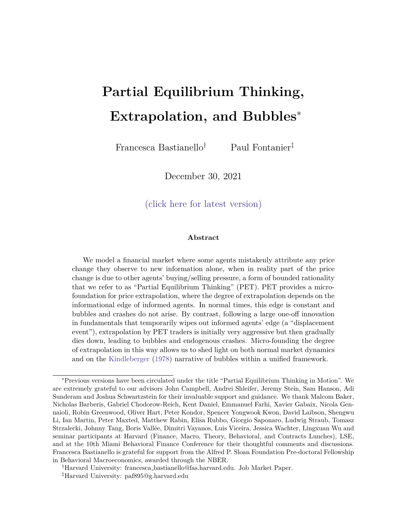# 1.3 Partial Equilibrium Thinking

Agents who think in partial equilibrium fail to realize that all other uninformed agents are thinking and behaving just like them, and are also learning information from past prices (Bastianello and Fontanier  $(202d)$ ). When thinking about what generates the price change they observe, they then omit the second source of price variation in (9) and attribute any price change they observe to new information alone:

$$
P_{t-1} = \underset{\text{instantaneous response}}{\underbrace{AB_{t-1}}_{\text{instantaneous response}} + \underset{\text{lagged resphonge}}{\text{H}} \underbrace{H_{t}}_{\text{lagged resphonge}} = 0 \qquad \text{et}_{t-1} = \frac{1}{a} \qquad P_{t-1} \qquad (12)
$$

PET then provides a micro-foundation for a very simple type of price extrapolation, where uninformed agents become more optimistic (pessimistic) whenever they see a price rise (fall), regardless of the true source of this price change:

$$
E_{U;t}[D_T] = E_{U;t-1}[D_T] + \frac{1}{a} \qquad P_{t-1} \tag{13}
$$

Moreover, the extrapolation parameter is given  $b\psi \equiv \pm 1$  agents understand that when the in uence on prices of informed agents' beliefsa) is lower, a given piece of fundamental news leads to a smaller price change, and they must therefore extrapolate price changes more strongly to recover that information.

Since PET agents use a misspeci ed mapping to infer information from prices, they recover a biased signal. Speci cally, substituting the true price function in (8) into the mapping in (12), we nd that PET agents recover the following biased information from prices:

$$
H_{t-1} = U_{t-1} + \frac{b}{a} H_{t-2}
$$
  
 
$$
I = \frac{1}{a} \left\{ \frac{1}{z} \right\}
$$
 (14)

where the bias in the information PET agents extract from prices is increasing in the in uence on prices of uninformed agents' beliefsol, and in the extrapolation parameter ( <sup>1</sup>=a), as these components lead PET agents to neglect a bigger source of price variation.

 $10$ This intuition is clearest when prices are fully revealing, and is robust to having a small amount of noise and prices being partially revealing, as discussed in Appendix C.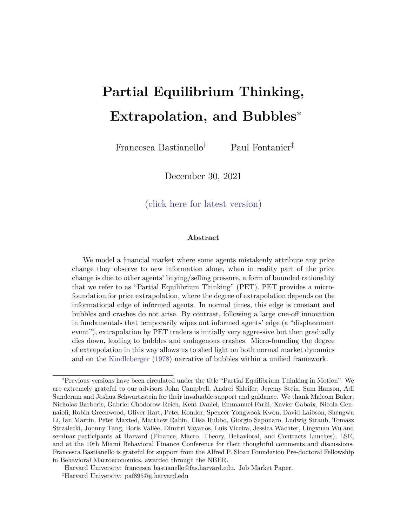The AR(1) nature of (14) also makes clear that uninformed agents mistakenly infer a sequence of shocks from a one-o shock, just as we saw in the example in Figure 1 in the introduction. Following a one-o shock, PET agents fail to realize that the second price rise is due to the buying pressure of all other uninformed agents, and instead attribute it to further good news, which in turn fuels even higher prices and more optimistic beliefs, in a self-sustaining feedback  $loop!$ .

Turning to the properties of equilibrium prices, we can substitute the information uninformed agents extract from prices in (12) into the true price function in (8), to nd that price changes also follow an AR(1):

$$
P_t = au_t + \frac{b}{a}^! \t P_{t 1} \t (15)
$$

In this case, t periods after a one-o shocku $<sub>0</sub>$  the price level is given by:</sub>

$$
P_{t} = P + \sum_{j=0}^{X^{t}} P_{j} = P + \sum_{j=1}^{X^{t}} \frac{b^{j}}{a} (au_{0})
$$
 (16)

These expressions illustrate two key points. First $\frac{b}{a}$  governs the strength of the feedback between outcomes and beliefs, with a higher in
uence on prices of uninformed agents' biased beliefs  $\phi$ , and a stronger extrapolation parameter  $\phi$ , both fuelling the feedback between outcomes and beliefs.

Second, when $\frac{b}{a}$  < 1, the left panel of Figure 2 shows that following a one-o shock, the in
uence of the feedback on equilibrium outcomes dies out as it gets compounded: consecutive changes in prices and beliefs become smaller over time, and the geometric series in (16) is bounded, so that prices and beliefs converge to a new steady state. On the other hand, the right panel of Figure 2 shows that wher $\frac{b}{A}$  > 1 the in uence of the feedback e ect is explosive: consecutive changes in prices and beliefs get larger and larger, and the geometric series in (16) is explosive, so that prices and beliefs accelerate in a convex way and become extreme and decoupled from fundamentals.

<sup>&</sup>lt;sup>11</sup> Unlike the rational case, even if informed agents were trying to time the market they wouldn't be able to bring the price to its new equilibrium level within a single period because PET agents would extrapolate this price change, regardless of its new level.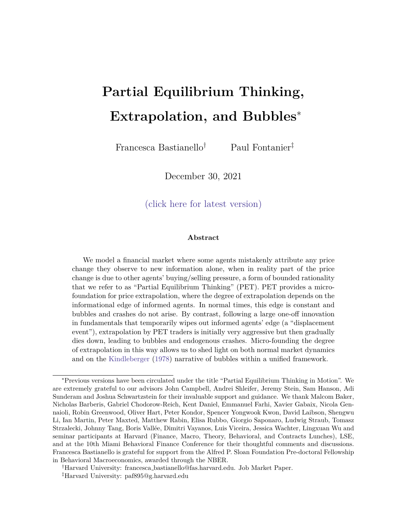Figure 2: Stable and Unstable Regions Evolution of prices and beliefs following a one-o shock to fundamentals when the economy is in a stable region (left panel), and when the economy is in an unstable region (right panel). The green lines on this graph plot $P_t = aD_t + bE_{U:t} [D_T]$  c for  $D_t = D_0$ (dashed line) and for  $D_t = D_0 + u_1$  (solid line), respectively. These mappings should be read from the horizontal to the vertical axis: xing the beliefs of informed agents, these mappings return the market clearing price  $P_t$  which arises if all uninformed agents trade onE<sub>U;t</sub> [D<sub>T</sub>]. The slope of these mappings in  $(P_t; E_{U;t}[D_T])$  space isb. The orange line plots  $E_{U;t}[D_T] = \frac{1}{a}P_t - \frac{1}{a}P_0 + D_0$ , which we obtain by simply solving (13) recursively. This mapping should be read from the vertical to the horizontal axis: given an observable price, this mapping returns uninformed agents' beliefs next period. The slope of this mapping in (P<sub>t</sub>; E<sub>U;t</sub> [D<sub>T</sub>]) space isa = 1= . In the left panel  $\frac{b}{a}$  < 1 (the orange mapping is steeper than the green one), and prices and beliefs converge to a new steady state following a shock. In the right panell> 1, and prices and beliefs accelerate and become extreme and decoupled from fundamentals.



We summarize these results in the following proposition.

Proposition 1 (Stable and Unstable Regions.)When the strength of the feedback e ect is constant, outcomes and beliefs either converge to a state-dependent equilibriurg (af 1), or they accelerate and become extreme and decoupled from fundamental $\frac{k}{3}$  (if 1). We refer to regions with $\frac{b}{a}$  < 1 as stable regions, and regions wit $\frac{b}{a}$  > 1 as unstable regions.

Proof. All proofs are in Appendix A.

 $\Box$ 

While it is implausible to think that the economy always responds to shocks in an unstable way, as we don't usually observe unbounded prices and beliefs, the convexity generated by unstable regions is a noted feature of bubbles and crashes (Greenwood, Shleifer and You, 2018). However, as long asis constant, the economy is either always in a stable region, where prices and beliefs monotonically converge to the new steady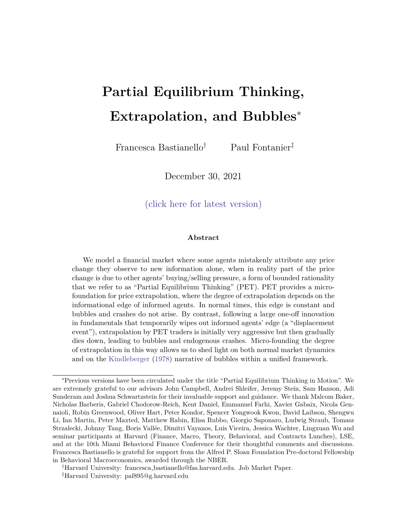state in response to a shock, or it is always in an unstable region, where any shock leads outcomes and beliefs to accelerate away from fundamentals in an unbounded way. While the acceleration characteristic of the unstable regions of this theory may seem well-suited to model the formation of bubbles, it leaves no room for endogenous reversals and crashes.

In the rest of this paper we micro-found this model, and show that the strength of the feedback between outcomes and belie殼)(depends on the informational edge of informed agents, which in turn is determined by the composition of agents in the market, and by the relative condence of informed and uninformed agents.

We show that in normal times informed agents' edge is constant over time and the economy is always in a stable region. For example, normal times shocks may come in the form of earnings announcements. Informed agents understand the implications of these shocks for long term outcomes, and uninformed agents can learn about them more slowly by observing the markets' reaction to such announcements. Informed agents are then always one step ahead of uninformed agents and their edge is constant.

On the other hand, the types of displacements described by Kindleberger generate time-variation in informed agents' edge, and temporarily shift the economy into an unstable region. Speci cally, displacements initially wipe out informed agents' edge as even the informed are not able to fully grasp the long term implications of such shocks. As informed agents lose their edge, they trade less aggressively, increasing the in
uence on prices of uninformed traders' beliefs. PET traders then neglect a greater source of price variation, leading to a greater bias. This strengthens the feedback between outcomes and beliefs and can shift the economy into an unstable region, leading prices and beliefs to become extreme and decoupled from fundamentals. As informed agents gradually learn more about the displacement over time, they regain their edge, leading to a weakening of the feedback e ect. Eventually, as the feedback e ect runs out of steam the economy returns to a stable region, the bubble bursts and prices and beliefs converge back towards fundamentals. By bringing the explosive properties of unstable regions into play before the convergent properties of stable regions take over again, displacements lead to the formation of bubbles and endogenous crashes.

In the rest of the paper, we formalize these intuitions.

14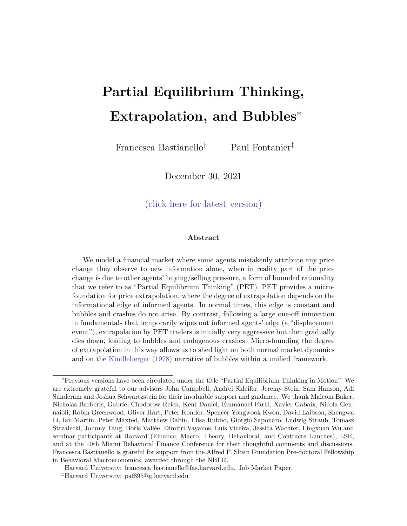# 2 Normal Times

In this section we micro-found the model considered in Section 1, and study the properties of partial equilibrium thinking in normal times, when the informational edge of informed agents is constant.

## 2.1 Setup

Agents solve a portfolio choice problem between a risk-free and a risky asset. The risk-free asset is in zero net supply and we normalize its price and its risk free rate to one. The risky asset is in xed net supplyZ and pays a liquidating dividend when it dies at an uncertain terminal date. In each period, with probability the asset remains alive and producesu<sub>t</sub> id N(0;  $2$ ) worth of terminal dividends, and with probability (1 ) the asset dies, and all accumulated dividends are paid out. As a result, if the asset dies in period t + h, its terminal dividend still evolves as a random walk:

$$
D_{t+h} = D + \sum_{j=0}^{k+h} u_j
$$
 (17)

whereD is the prior belief of the asset's terminal dividend, and this is common knowledge. From the point of view of periodt, the asset dies in period  $+$  h with probability (1 h . Taking expectations over all possible terminal dates, the present value of the terminal dividend in period t, conditional on realized future shock $\$u_{t+h}g^1_{h=1}\>$  can be written as:

$$
D_T = D_t + \sum_{h=1}^{X} h_{u_{t+h}}
$$
 (18)

which has the appealing property that e ectively acts as a discount rate such that dividends paid further into the future receive a lower weight. Modelling the present value of the terminal dividend in this way, and modifying (1) with an uncertain terminal date serves two purposes: rst, it avoids horizon e ects as we approach the terminal date, and second, it bounds the variance perceived by agents even if the terminal date can be arbitrarily far into the future.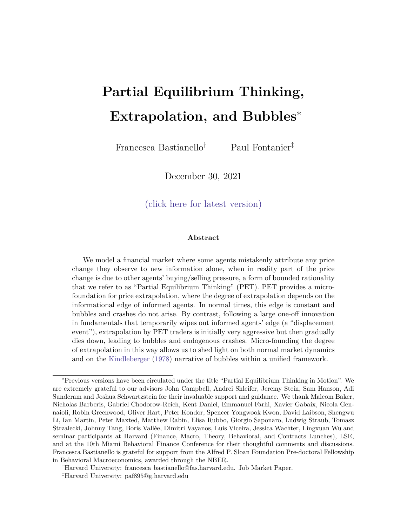Our economy is populated by a continuum of measure one of fundamental traders, who have CARA utility over terminal wealth and trade as if they were going to hold the asset until its death, even though they rebalance their portfolio every period. In each period t all agents then solve the following problem:

$$
\max_{X_{i;t}} \qquad X_{i;t} \ (E_{i;t}[D_T] \quad P_t) \quad \frac{1}{2} A X_{i;t}^2 V_{i;t}[D_T] \tag{19}
$$

where $X_{i;t}$  is the dollar amount that agenti invests in the risky asset in period, A is the coe cient of absolute risk aversion, and  $E_{i,t} [D_T]$  and  $V_{i,t} [D_T]$  refer to agenti's posterior beliefs about the fundamental value of the asset conditional on their information set in period t. The corresponding rst order condition yields the following standard demand function for the risky asset:

$$
X_{i;t} = \frac{E_{i;t}[D_T] - P_t}{AV_{i;t}[D_T]}
$$
 (20)

which is increasing in agent's expected payo, and decreasing in the risk they associated with holding the asset.

Turning to the information structure, we assume that a fraction of agents are informed, and in each period they observe the current fundamental shoc $\mathbf{a}_{\mathrm{t}}$ , so their full information set is f u<sub>j</sub> gt<sub>i=1</sub>. The remaining fraction (1  $\quad$  ) of agents are uninformed and do not observe any of the fundamental shocks that determine the fundamental value of the asset, but since informed agents trade on their information advantage, uninformed agents can learn information frompast prices, as discussed in Section 1.

To solve the model, we proceed in three steps, which closely mirror our discussion in Section 1. First, we solve for the true price function which generates the outcomes that agents observe. Second, we turn to PET agents' beliefs of what generates the prices they observe, which allows us to pin down the mapping that PET agents use to learn information from prices. Finally, we solve the equilibrium recursively, and study the properties of equilibrium outcomes.

 $12$ The fundamental traders in this section are time-inconsistent in that they trade as if they were going to hold their position forever, even though they rebalance every period. This is a simplifying assumption, which allows us to illustrate our notion of partial equilibrium thinking in the simplest possible framework. In Section 4 we relax this assumption and model traders who time the market, and have CARA utility over next period wealth.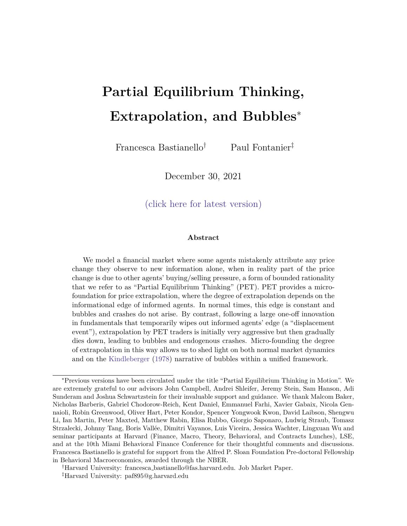# 2.2 True Price Function in Normal Times

To solve for the true market clearing price function, we need to specify agents' posterior beliefs, compute agents' asset demand functions, and impose market clearing. Starting from agents' beliefs, we know that in period all informed agents trade on the information they receive, and update their beliefs accordingly:

$$
E_{1;t}[D_T] = E_{1;t} \bigg|_{n}^{n} D_{t-1} + u_t + \bigg|_{n}^{n} h_{u_{t+h}} = E_{1;t-1}[D_T] + u_t \qquad (21)
$$

$$
V_{1;t}[D_T] = V_{1;t} \bigg|_{h=1}^{w} h_{u_{t+h}} = \frac{2}{1 - 2} \bigg|_{u}^{2} V_1
$$
 (22)

where the equivalence in equation (22) highlights that informed agents' uncertainty is constant over time. Moreover, all uninformed agents learn information from past prices, and their posterior beliefs are given by:

$$
E_{U;t}[D_T] = E_{U;t} D_{t-2} + u_{t-1} + u_t + \n\begin{array}{ccc}\n & \# \\
 & h_{U_{t+h}} = E_{U;t-1}[D_T] + u_{t-1} \\
 & \# \\
 & V_{U;t}[D_T] = V_{1;t} u_t + \n\end{array} \quad (23)
$$
\n
$$
V_{U;t}[D_T] = V_{1;t} u_t + \n\begin{array}{ccc}\n & \# \\
 & h_{U_{t+h}} = \frac{1}{1 - \frac{1}{2}} & \frac{2}{u} \\
 & V_U\n\end{array} \quad (24)
$$

where the last equality in (24) shows that the uncertainty faced by uninformed agents is also constant over time. Moreover, comparing (24) to (22) we see that informed agents are more con dent than uninformed agents as they always see one-period ahead of them. We dene to be the aggregate informational edge of informed agents relative to uninformed agents as follows:

$$
\frac{1}{(1)} \quad \frac{1}{\cup} \tag{25}
$$

where  $_i = (V_i)^{-1}$  is the con dence of agenti 2 f I; U g.

Given these posterior beliefs, we can compute agents' asset demand functions and impose market clearing by simply equating the aggregate demand for the risky asset to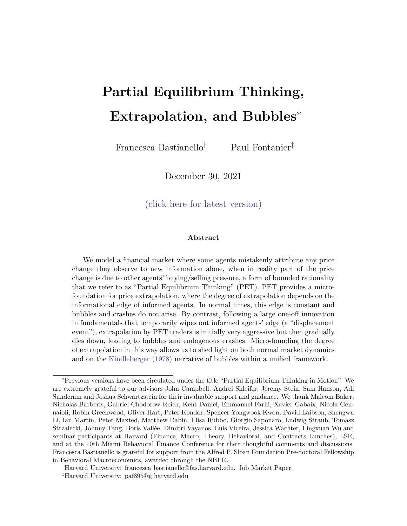the xed supply Z:

$$
\frac{E_{1;t-1}[D_T] + u_t P_t}{A V_1} + (1) \frac{E_{U;t-1}[D_T] + u_{t-1} P_t}{A V_U} = Z \qquad (26)
$$

The true market clearing price function is then given by:

$$
P_t = a(E_{1;t-1}[D_T] + u_t) + b(E_{U;t-1}[D_T] + u_{t-1}) \quad c \tag{27}
$$

where:

a 
$$
\frac{1}{1 + (1 - 1) - 1} = \frac{1}{1 + 1}
$$
 (28)

b 
$$
\frac{(1)}{1 + (1)} = \frac{1}{1 +}
$$
 (29)

$$
c \quad \frac{AZ}{I + (1)} \tag{30}
$$

This micro-founds our expression in (4), and shows that prices re
ect a weighted average of agents' beliefs minus a risk-premium component which compensates agents for bearing risk. The weight on informed agents' beliefs is increasing in their informational edge, and the opposite comparative static holds for the weight on uninformed agents' beliefs.

Re-writing (27) in changes, we nd that:

$$
P_t = au_t + bu_{t-1} \tag{31}
$$

which micro-founds (8) in the reduced-form model, and shows that price changes re
ect both the instantaneous response to shocks of informed agents, and the lagged response of uninformed agents who learn information from past prices.

# 2.3 Partial Equilibrium Thinking

To specify what information uninformed agents extract from prices we need to understand what uninformed agents think is generating the prices that they observe. As discussed in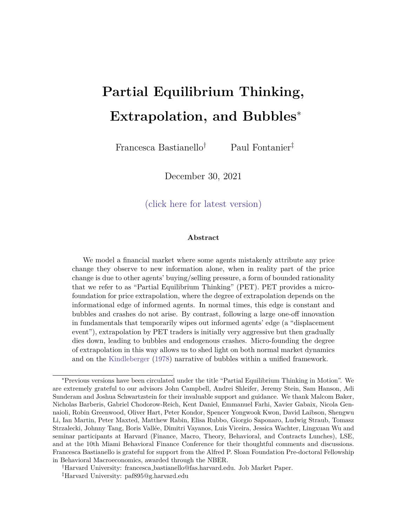Section 1, the assumption of common knowledge or rationality embedded in the rational expectations equilibrium ensures that all agents perfectly understand the equilibrium forces that generate price changes, and are therefore able to extract the right information from prices. Instead, when agents think in partial equilibrium, they misunderstand what generates the price that they observe because they fail to realize the general equilibrium consequences of their actions. The way that PET manifests itself in this setup is that all agents learn information from prices, but they fail to realize that other agents do too. In other words, PET agents think that they are the only ones inferring information from prices, and that all other agents trade on their unconditional priors.

Formally, PET agents think that in period  $t - 1$  informed agents update their beliefs with the new fundamental information they receive $\mu$ <sub>r1</sub>:<sup>13</sup>

$$
\mathbf{E}_{1;t-1}[\mathbf{D}_{T}] = \mathbf{E}_{1;t-1} \mathbf{D}_{t-2} + \mathbf{u}_{t-1} + \begin{array}{c} \mathbf{H} \\ \mathbf{H} \\ \mathbf{H} \\ \mathbf{H} \end{array} + \mathbf{u}_{t-1+h} = \mathbf{D}_{t-2} + \mathbf{u}_{t-1} \tag{32}
$$

$$
\forall_{1;t-1}[D_T] = \forall_{1;t-1} \qquad \qquad_{h=1}^{t} h_{u_{t-1+h}} = \frac{2}{1-2} \qquad \frac{2}{u} \qquad \forall_{1}
$$
 (33)

On the other hand, they think that all other uninformed agents do not learn information from prices, and instead trade on the same unconditional prior beliefs they held in period  $t = 0$ :

$$
\mathbf{E}_{\mathsf{U};\mathsf{t}\ 1}[\mathsf{D}_{\mathsf{T}}] = \mathsf{E}_{\mathsf{U};0}\mathsf{D} + \mathsf{U}_{0} + \begin{matrix} \mathsf{X} & \mathsf{H} \\ \mathsf{N} & \mathsf{U}_{\mathsf{h}} \\ \mathsf{N} & \mathsf{H} \\ \mathsf{N} & \mathsf{H} \end{matrix} = \mathsf{D} \tag{34}
$$

$$
\forall_{U;t=1}[D_T] = \forall_{U;0} \ \ u_0 + \sum_{h=1}^{N} \left| h_{U_h} \right| = \frac{1}{1-z} \left| \begin{array}{cc} 2 & \forall_U \\ 0 & 0 \end{array} \right) \tag{35}
$$

where the equivalences in (33) and (35) highlight that in normal times, PET agents understand that all agents face constant uncertainty over time. Moreover, since  $=$  $V_1$  <  $\forall v = V_0$ , we see that PET agents are not misspeci ed about other agents' second moment beliefs, and they understand that informed agents have an informational edge.

Importantly, all agents are atomistic and do not consider the e ect of their own asset

 $13$ The use oft 1 subscripts instead oft is to highlight that uninformed agents learn information from past prices, so that in periodt they must understand what generated the price in periodt 1, as this is the price they are extracting new information from.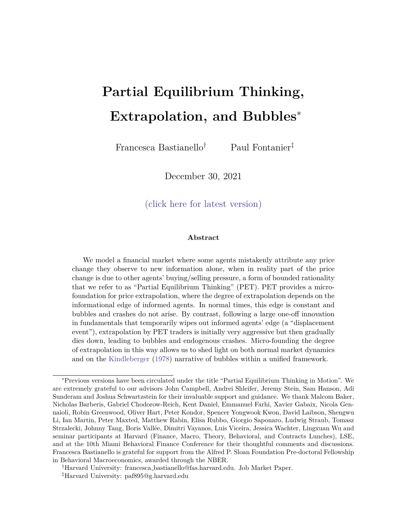demand on prices. PET agents then think that the equilibrium price in period 1 is generated by the following market clearing condition:

$$
|\frac{E_{U;t-1}[D_T] + u_{t-1} - P_t^{\dagger}}{A_{U,t}^{\forall t}} + (1) \frac{D - P_t^{\dagger}}{A_{U,t}^{\forall t}} = Z
$$
 (36)

which leads to the following price function:

$$
P_{t-1} = a(E_{U;t-1}[D_T] + u_{t-1}) + bD \quad \Theta \tag{37}
$$

where:

a 
$$
\frac{7}{7 + (1)} = \frac{2}{1 + 2}
$$
 (38)

b 
$$
\frac{(1)}{1 + (1)}\frac{1}{1} = \frac{1}{1 + \infty}
$$
 (39)

$$
\epsilon \quad \frac{AZ}{\gamma + (1)}\tag{40}
$$

and since the only source of price variation perceived by PET agents is given by changes in informed agents' beliefs, we can rewrite this as:

$$
P_{t-1} = a_{t}t_{t-1} \tag{41}
$$

This expression micro-founds the reduced-form mapping in (12), and shows that when agents think in partial equilibrium they attribute any price change they observe to new information alone. This also shows PET agents' understanding that new information is incorporated more strongly into prices when informed agents' informational edge is higher, so that a given price change re ects a less extreme piece of news when this is the case. PET agents then invert the mapping in (41) to extract  $u_{t-1}$  from prices:

$$
H_{t-1} = \frac{1}{a} \qquad P_{t-1} \tag{42}
$$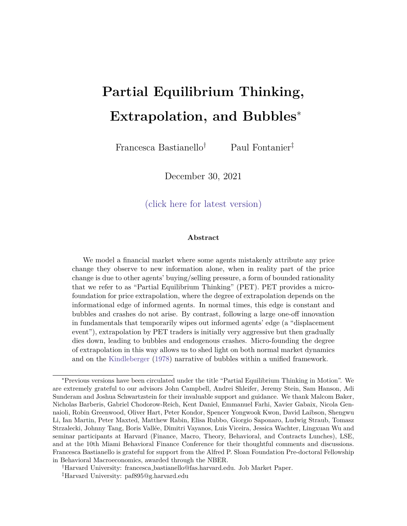Substituting this into (23) leads to the following posterior beliefs:

$$
E_{U,t}[D_T] = E_{U,t-1}[D_T] + P_{t-1}
$$
 (43)

where:

$$
\frac{1}{a} = 1 + \frac{1}{2}
$$
 (44)

These expressions make clear that PET provides a micro-foundation for the type of price extrapolation considered in (13), where the extrapolation parameter is decreasing in uninformed agents' perception of informed agents' edge. Since the informational edge is itself increasing in the fraction of informed agents in the market, and in the con dence of informed agents relative to uninformed agents, the strength of the feedback eect is also decreasing in these quantities. We summarize this in the following proposition.

Proposition 2 (Micro-foundation of Price Extrapolation). The strength with which PET agents extrapolate past price changes is decreasing in uninformed agents' perception of informed agents' informational edge  $\uparrow$ . Speci cally, PET agents extrapolate more strongly when there are fewer informed agents in the market), and when their perception of informed agents' relative con dence is lower  $(=_{\upsilon})$ .

To understand why PET agents extrapolate price changes more strongly when informed agents have a lower edge, notice that captures how strongly a given piece of information is incorporated into prices. When informed agents have a lower edge, they trade less aggressively on a given piece of news, leading to a smaller price change. PET agents then recognize that they should extrapolate prices more strongly to recover a given piece of information from a smaller price change.

Finally, it is worth noticing that the rational mapping takes the following form, as

<sup>&</sup>lt;sup>14</sup>Informed agents' edge is not related to the amount of information that uninformed agents can learn from prices,  $u_{t-1}$  N (0;  $\frac{2}{u}$ ), as  $\tilde{z} = \frac{1}{1} - \frac{1}{2}$  is independent of  $\frac{2}{u}$ . Moreover, since prices are fully revealing, uninformed agents are able to directly extract  $\mathbf{u}_{t-1}$  (as opposed to a noisy signal of  $H_{t-1}$ ), so the informativeness of the information PET agents extract from prices is also independent of informed agents' edge. Appendix C shows how the extrapolation parameter changes when we introduce noise traders, so that prices are only partially revealing.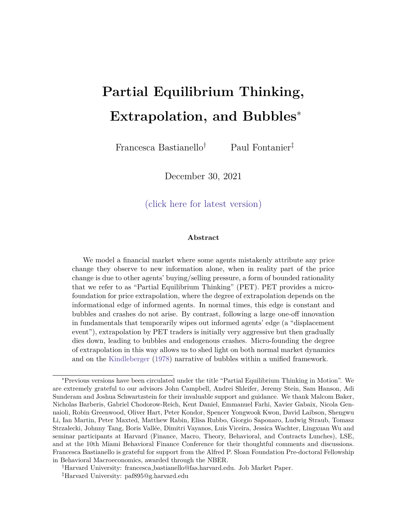shown in (10) in Section 1:

$$
\mathbf{d}_{t-1} = \begin{array}{cc} 1 & \mathbf{b} \\ \frac{1}{2} & \frac{1}{2} \\ \frac{1}{2} & \frac{1}{2} \\ \frac{1}{2} & \frac{1}{2} \\ \frac{1}{2} & \frac{1}{2} \\ \frac{1}{2} & \frac{1}{2} \\ \frac{1}{2} & \frac{1}{2} \\ \frac{1}{2} & \frac{1}{2} \\ \frac{1}{2} & \frac{1}{2} \\ \frac{1}{2} & \frac{1}{2} \\ \frac{1}{2} & \frac{1}{2} \\ \frac{1}{2} & \frac{1}{2} \\ \frac{1}{2} & \frac{1}{2} \\ \frac{1}{2} & \frac{1}{2} \\ \frac{1}{2} & \frac{1}{2} \\ \frac{1}{2} & \frac{1}{2} \\ \frac{1}{2} & \frac{1}{2} \\ \frac{1}{2} & \frac{1}{2} \\ \frac{1}{2} & \frac{1}{2} \\ \frac{1}{2} & \frac{1}{2} \\ \frac{1}{2} & \frac{1}{2} \\ \frac{1}{2} & \frac{1}{2} \\ \frac{1}{2} & \frac{1}{2} \\ \frac{1}{2} & \frac{1}{2} \\ \frac{1}{2} & \frac{1}{2} \\ \frac{1}{2} & \frac{1}{2} \\ \frac{1}{2} & \frac{1}{2} \\ \frac{1}{2} & \frac{1}{2} \\ \frac{1}{2} & \frac{1}{2} \\ \frac{1}{2} & \frac{1}{2} \\ \frac{1}{2} & \frac{1}{2} \\ \frac{1}{2} & \frac{1}{2} \\ \frac{1}{2} & \frac{1}{2} \\ \frac{1}{2} & \frac{1}{2} \\ \frac{1}{2} & \frac{1}{2} \\ \frac{1}{2} & \frac{1}{2} \\ \frac{1}{2} & \frac{1}{2} \\ \frac{1}{2} & \frac{1}{2} \\ \frac{1}{2} & \frac{1}{2} \\ \frac{1}{2} & \frac{1}{2} \\ \frac{1}{2} & \frac{1}{2} \\ \frac{1}{2} &
$$

and since PET agents are not misspecied about other agents' second moment beliefs,  $a = a$ . We then see that it is rational to extrapolate from price changes if uninformed agents are constrained to learning information from past prices, and it is also rational for this extrapolation parameter to be decreasing in informed agents' edge. Comparing the rational mapping in (45) to the PET mapping in (42) shows that the bias in PET agents' beliefs isn't coming from how strongly they extrapolate past prices, but from omitting the correction term which accounts for the price variation due to the lagged response of all other uninformed agents. This bias is then decreasing in informed agents' edge, as a lower edge increases the in uence on prices of uninformed agents' beliefs, leading PET agents to omit a greater source of price variation.

# 2.4 Properties of Equilibrium Outcomes

Combining the expressions in (31) and (42), we nd that changes in prices and in beliefs evolve as an AR(1), as we saw in Section 1:

$$
\mathbf{a}_{t-1} = \mathbf{u}_{t-1} + \frac{\mathbf{b}^{\mathbf{I}}}{\mathbf{a}} \mathbf{u}_{t-2}
$$
 (46)

$$
P_t = au_t + \frac{b}{a}^t \t P_{t-1} \t (47)
$$

where the strength of the feedback e ect now takes the following form:

$$
\frac{b}{a} = \frac{1}{1+} + \frac{1}{2}
$$
 (48)

This expression makes clear that the strength of the feedback between outcomes and beliefs is decreasing both in the true informational edge ), and in uninformed agents' perception of it (~). Intuitively, in Section 2.2 we showed that when uninformed agents'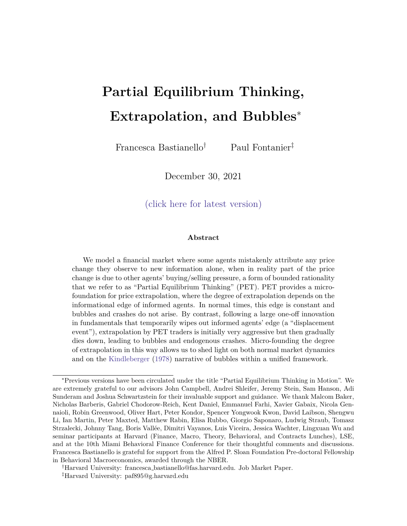perception of the informational edge is low, they extrapolate past price changes more strongly. Moreover, when the true informational edge of informed agents is low, the in
uence on prices of uninformed traders' biased beliefs is higher. Both these forces contribute to fuelling the feedback between outcomes and beliefs. We summarize these results in the following proposition.

Proposition 3 (Strength of the Feedback E ect). When agents think in partial equilibrium, the strength of the feedback between outcomes and beliefs is decreasing both in the true informational edge(), and in uninformed agents' perception of it  $\gamma$ . The strength of the feedback e ect is stronger when there are fewer informed agents in the market and when the true and perceived condence of informed agents relative to uninformed agents is low(⊣ ⊥, ⊣<br>∪' ∼ ب ).<br>-

Equation (46) shows that in response to a one-o shock PET delivers over-reaction, and that the deviation from rationality is increasing in the strength of the feedback eect and therefore decreasing in the true and perceived informational edges. Specically, when the true and perceived informational edges are lower, the lagged response to information which PET agents neglect is greater, thus leading to a greater bias. This testable empirical prediction holds both in the cross-section, and over time.

Proposition 4 (Deviations from Rationality). When agents think in partial equilibrium, deviations from rationality in both prices and beliefs are decreasing in the true and perceived informational edges  $($ ,  $\rightarrow)$ . Speci cally, environments with a smaller fraction of informed agents(), and with a lower true and perceived con dence of informed agents relative to uninformed agents  $(1 = U, \tau = U)$  exhibit greater departures from rationality.

Turning to the conditions for stability, since in normal times  $_1 = -_i$  for i 2 f I; U g, it follows that  $\tilde{z}$  = , and the strength of the feedback e ect reduces to:

$$
\frac{b}{a} = \frac{1}{a}
$$
 (49)

so that for the response of the economy to normal times shocks not to be explosive it must be that the aggregate con dence of informed agents is greater than the aggregate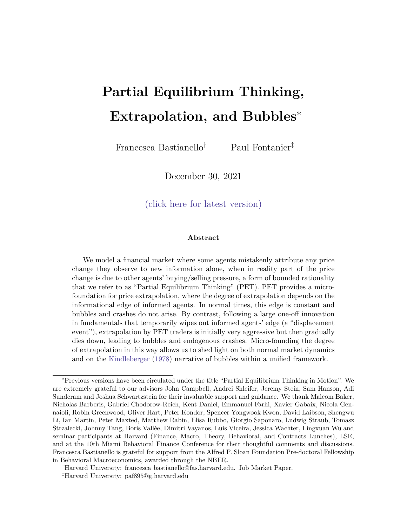condence of uninformed agents.

$$
\frac{b}{a} < 1 \quad 0 \qquad \qquad > 1 \quad 0 \qquad \qquad (50)
$$

Corollary 1 (Stability in Normal Times). When agents think in partial equilibrium, stability in normal times requires the aggregate con dence of informed agents to be greater than the aggregate con dence of uninformed agents.

Figure 3 compares the path of equilibrium outcomes when the economy is in a stable region (left panel) and when it is in an unstable region (right panel). As intuited in Section 1, as long as the feedback between outcomes and beliefs is constant, the economy either responds to shocks by monotonically converging to a new state-dependent steady state, or it accelerates away from fundamentals, leading prices and beliefs to become extreme.

Since empirically shocks are not explosive in normal times, the economy is in a stable region. Figure 3 shows that when this is the case partial equilibrium thinking delivers momentum in response to permanent shock<sup>§</sup>. Moreover, while the PET impulse response function exhibits over-reaction relative to the rational expectations equilibrium at each point in time, the bias in both prices and beliefs increases over time following a oneo shock. In other words, in normal times PET achieves momentum via delayed overreaction, and not via under-reaction relative to rational outcomes. However, if we were to run a standard Coibion and Gorodnichenko (2015) regression of forecast errors on forecast revisions, we would nd a positive coe cient as positive forecast errors are associated with positive forecast revisions. While the literature often attributes such a positive coecient to evidence of under-reaction, we caution against such an interpretation, as argued more forcefully in Bastianello and Fontanier (2024).

In the next section, we show how displacements can generate time-variation in the feedback eect, and shift the economy across stable and unstable regions, leading to the

 $15$ Notice that PET outcomes do not converge to the rational expectations equilibrium ast ! 1 Conditional on not observing the liquidating dividend, PET agents never unlearn their misinferred information, as in Gagnon-Bartsch and Rabin (2016). In this respect, PET is attentionally stable in the sense of Gagnon-Bartsch et al. (2021).

 $16$ In Appendix D we consider alternative setups which also allow us to consider the response of the economy to temporary shocks, and we nd that in these cases partial equilibrium thinking delivers momentum and reversals.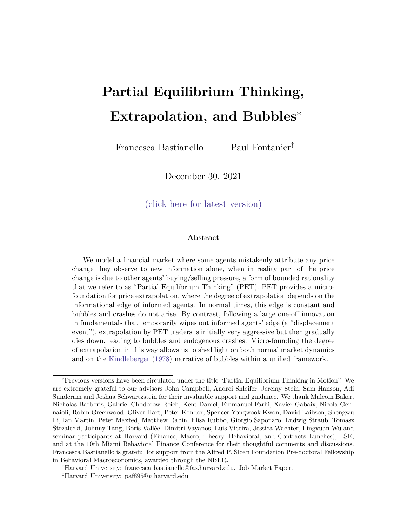Figure 3: Impulse response functions following a normal times shocthis Figure compares the path of equilibrium prices following a one-o fundamental shock  $u_1 > 0$  under rational expectations (REE) and under partial equilibrium thinking (PET). Panel (a) plots the impulse response function when the economy is in a stable region, with  $\frac{1}{2}$  < 1, and shows that prices gradually converge to a new steady state level. Panel (b) plots the impulse response function when the economy is in an unstable region, with  $b_{\overline{a}}$  > 1, and shows that prices accelerate away from fundamentals in a convex way, and are unbounded.

(a) Stable Region (b) Unstable Region

formation of bubbles and endogenous crashes.

# 3 Displacements

\Displacement is some outside event that changes horizons, expectations, pro t opportunities, behavior { some sudden advice many times unexpected. Each day's events produce some changes in outlook, but few signi cant enough to qualify as displacements" (Kindleberger (1978)). The nature of the displacement varies from one bubble episode to the next. Examples include the widespread adoption of a ground-breaking discovery - railroads in the 1840s, radio and automobiles in the 1920s, internet in the 1990s -, nancial liberalization in Japan in the 1980s, or nancial innovations such as securitization prior to the 2008 nancial crisis.

Whatever the source of the displacement, the novelty associated with these shocks means that their full implications for long term outcomes can only be understood gradually over time, as more information becomes available (Pastor and Veronesi (2006), Pastor and Veronesi (2009)). When the internet was rst made available to the public in 1993,

25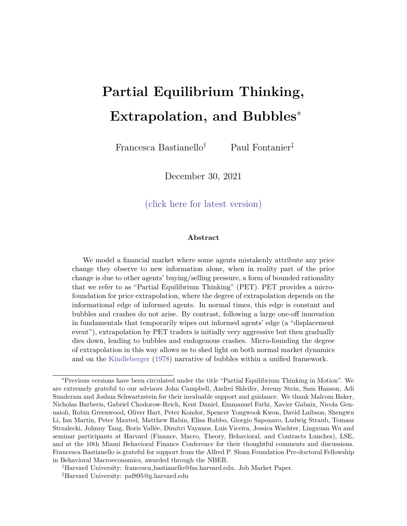investors were aware of this new technology, but at the time nobody knew the full potential of this invention. The development of blockchains as decentralized ledgers has paved the way for cryptocurrencies. However, we are yet to learn how wide-spread their adoption will be in the future, and assets that are associated with them have indeed been prone to bubbly behavior.

This seems to be in stark contrast to normal times shocks. When sophisticated investors see a new earnings announcement, they are better able to understand the implications of information such as same store sales for long term outcomes. The uninformed agents can learn about this more slowly by seeing how the market reacts to such announcements. Since informed agents are always one step ahead of uninformed agents, their informational edge is constant. On the other hand, following a displacement, the informational edge of informed agents is wiped out, as not even the most informed agents know what such shocks really mean for long term fundamentals. As the new technology becomes better established, sophisticated investors regain their informational edge as they are better placed to learn information about it, for example through access to management of the companies developing the technology.

In this section we show how the time-variation in informed agents' edge leads to a time-varying extrapolation parameter, and a time-varying strength of the feedback between prices and beliefs. This can shift the economy between stable and unstable regions. When the displacement rst materializes, informed agents' edge is wiped out, thus increasing the in
uence on prices of uninformed agents' beliefs and the strength with which they extrapolate. Both of these forces fuel the feedback between prices and beliefs. If the uncertainty associated with the displacement is high enough, the economy can enter the unstable region, leading prices and beliefs to accelerate away from fundamentals. As informed agents learn about the new technology and regain their edge, the feedback e ect weakens, and the economy re-enters the stable region. This leads the bubble to burst and prices and beliefs to return back towards fundamentals.

We conclude this section by discussing how the speed of information arrival shapes the duration and amplitude of bubbles, as well as alternative ways of modeling a displacement.

26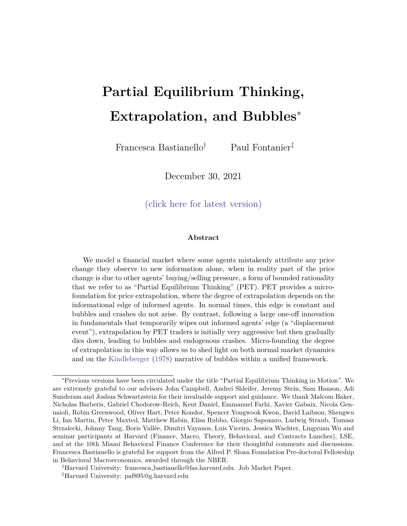# 3.1 Displacement Shocks

We model displacements as an uncertain positive shock to long-term outcomes that agents can learn about only gradually over time. Starting from a normal-times steady state where uninformed agents' beliefs are consistent with the price they observe, in peribe 0 both informed and uninformed traders learn that there is \something new under the sun", but do not know the exact implications of such shock for long-term outcomes. Specically, in  $period t = 0$ , all agents learn that the terminal dividend changes by an uncertain amount ! N( $_0$ ;  $_0^1$ ), where  $_0 > 0$ :

$$
D_T = D + \sum_{j=0}^{X} u_j + !
$$
 (51)

Initially, all agents share the same unconditional prior over . Starting in period  $t =$ 1, each period informed agents observe a common signal that is informative about the displacement,s<sub>t</sub> = ! +  $_{t}$  with  $_{t}$  <sup>iid</sup> N(0;  $_{s}$ <sup>1</sup>). Uninformed agents do not observe these signals but can learn information from past prices.

We solve the model using the same three steps we used in normal times: rst, we specify what truly generates price changes agents observe. Second, we specify what uninformed agents think is generating these price changes, and nd the mapping PET agents use to extract information from prices. Third, we solve the model recursively, and discuss the properties of equilibrium outcomes.

## 3.2 True Price Function following a Displacement

Following a displacement, informed agents observe new signalsand  $s_t$  in each period, and they revise their beliefs accordingly, via standard Bayesian updating:

$$
E_{1;t}[D_T] = E_{1;t} \stackrel{2}{4}D + \sum_{j=1}^{xt} u_{t-j} + u_t + \sum_{h=1}^{dt} h_{u_{t+h} + 1} \stackrel{3}{5} = E_{1;t-1}[D_T] + u_t + w_t \qquad (52)
$$

$$
V_{1;t}[D_T] = V_{1;t} \bigg|_{h=1}^{\pi} h_{U_{t+h}} + ! = V_1 + (t_s + 0)^{-1}
$$
 (53)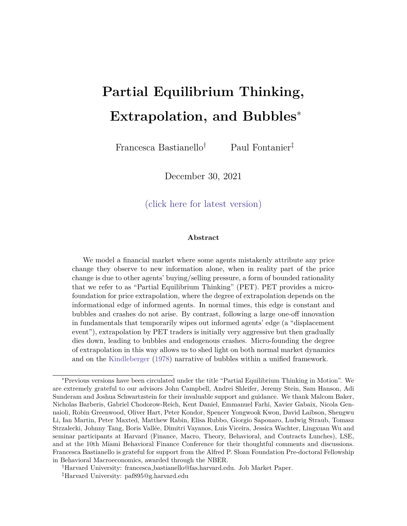where $w_t$   $E_{1;t}$  [! ]  $E_{1;t-1}$  [! ] =  $\frac{s}{t-s+s}$  (s<sub>t</sub>  $E_{1;t-1}$  [! ]) is informed agents' revision of their beliefs about the displacement in light of the new signals<sub>t</sub>. Equation (53) shows that when the displacement is announced, informed agents face greater uncertainty, but their condence gradually rises back towards its steady state level as they learn about the displacement over time.

On the other hand, in each periodt, uninformed agents are interested in learning  $H_{t-1} + W_{t-1}$  from the price change they observe in period 1, and their posterior beliefs are given by:

$$
E_{U,t}[D_T] = E_{U,t-1}[D_T] + u_t + w_t
$$
\n
$$
T = \frac{1}{2} \int_{0}^{t} H(t) dt
$$
\n(54)

$$
V_{U;t}[D_T] = V_{U;t} \t u_t + \sum_{h=1}^{N} h_{U_{t+h}} + ! = V_U + ((t \t 1)_{s} + 0) ^1
$$
 (55)

where (53) shows that uninformed agents also face greater uncertainty when the displacement is announced, but their con dence also rises back towards its steady state level as they learn about ! from past prices over time. Specically, aftert periods, PET agents have learnt about the displacement from  $t(-1)$  price changes.

Combining the information in (53) and (55), informed agents' edge is initially diluted by the increase in aggregate uncertainty, but then gradually rises back to its steady state level:

$$
t = \frac{1}{1} \frac{V_{U} + ((t + 1)_{s} + 0)^{-1}}{V_{1} + (t_{s} + 0)^{-1}}
$$
 (56)

Given these beliefs, the true market clearing price function which generates the price agents observe is given by:

$$
P_t = a_t (E_{1;t-1}[D_T] + u_t + w_t) + b_t (E_{U;t-1}[D_T] + u_{t-1} + w_{t-1}) \quad c_t
$$
 (57)

where:

$$
a_{t} \quad \frac{t}{1+t} \qquad b_{t} \quad \frac{1}{1+t} \tag{58}
$$

and  $c_t$ A Z  $\frac{AZ}{\frac{1}{1}+(1-\frac{1}{1})\frac{U}{U,t}}$ , so that (58) shows that the time-variation in informed agents' edge generates changes in the relative in
uence on prices of informed and uninformed agents' beliefs. The left panel of Figure 4 shows that the in
uence on prices of uninformed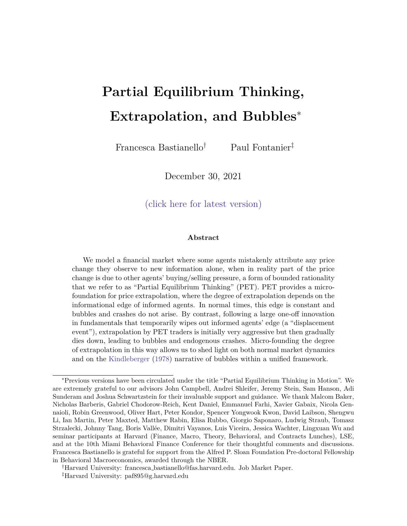agents' biased beliefs  $\alpha$ ) initially rises and then gradually falls, as informed agents' edge is originally wiped out by the increase in aggregate uncertainty, and then slowly increases back to its steady state level as uncertainty about the displacement is resolved and informed agents regain their edge.

Figure 4: Time variation in b<sub>t</sub> and  $1_{\frac{1}{2}t}$  1 following a displacement. Panel (a) plots how the in uence on prices of uninformed agents' beliefs $\mathfrak{t}_\!$  ) varies over time following a displacement: $\mathsf{b}_\mathsf{i}$  initially rises and then gradually declines. Panel (b) plots how the strength with which PET agents extrapolate past prices  $(1_{\overline{a}_t})$  varies over time following a displacement: when the displacement is announced, PET agents initially extrapolate past prices more aggressively, and then the degree with which they extrapolate declines over time. Comparing panels (a) and (b) shows that the extrapolation parameter declines at a faster rate than the in
uence on prices of uninformed agents' beliefs.

(a) In uence on prices of U agents' beliefs, b (b) PET degree of extrapolation,  $1_{\frac{1}{20}+1}$ 

We can re-write the true price function in changes:

$$
P_t = a_t (u_t + w_t) + b_t (u_{t-1} + w_{t-1}) + P_{tjt-1} P_{t-1}
$$
 (59)

where we see that following a displacement, there is an additional source of price variation relative to normal times, as  $P_{\text{t}}$  1 P<sub>t 1</sub>) captures the change in prices due to changes in agents' levels of con dence, xing their mean beliefs:

$$
(P_{tjt-1} \t P_{t-1}) = \left\{ \underbrace{a_t \t a_{t-1} E_{1;t-1}[D_T] + (b_t \t b_{t-1}) E_{U;t-1}[D_T]}_{change in average belief < 0} \right\} \underbrace{|(c_t \t c_{t-1})|}_{change in risk-premium > 0} \tag{60}
$$

The rst term in this expression re ects changes in prices due to changes in average beliefs. To understand why this term is negative, notice that as the informational edge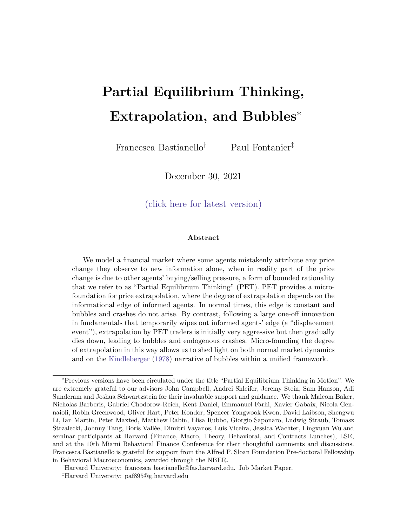rises over time, informed agents receive more weight. Since informed agents are less optimistic than uninformed PET agents, and they receive a greater weight in prices over time, the average belief becomes less optimistic, pushing towards lower prices. On the other hand, the second term shows that as agents become more condent over time, the risk-premium decreases, and this contributes to higher prices. The overall sign of this expression depends on the relative strength of these two forces.

# 3.3 Micro-Founding Time-varying Extrapolation

Just as we did in Section 2, to understand what information uninformed agents extract from past prices, we start by specifying what uninformed agents think is generating the price they observe. This, in turn, requires us to work out PET agents' beliefs about other agents' actions and beliefs. Following a displacement, PET agents think that in period t  $-1$  informed agents trade on all signals they have received up until period 1, f  $\mathsf{u}_\mathsf{j}$   $\mathsf{g}_{\mathsf{j}=0}^{\mathsf{t}-1}$ and f  $s_j$   $g_{j=1}^t$  :

$$
\mathbf{E}_{1;t-1}[\mathbf{D}_{T}] = \mathbf{E}_{1;t-2}[\mathbf{D}_{T}] + \mathbf{H}_{t-1} + \mathbf{W}_{t-1}
$$
 (61)

$$
\forall_{1;t \ 1}[D_T] = V_1 + ((t \ 1)_{s} + 0)^{-1}
$$
 (62)

where  $(62)$  re ects that after  $(t \t 1)$  periods informed agents have observed  $(1)$  price changes which incorporatet(1) signals about the displacement. Notice that  $\mathbf{W}_{1:t-1}[\mathsf{D}_{\top}]$  it time-varying as uninformed agents recognize that informed agents' con dence decreases when the displacement is announced, and then increases over time as they learn more about it.

Moreover, PET agents think that all other uninformed agents do not learn information from prices, and instead trade on xed prior beliefs:

$$
\mathbf{E}_{\mathsf{U};t-1} = \mathsf{D} + \mathsf{I}_0 \tag{63}
$$

$$
\forall_{U;t-1} = V_U + (0)^{-1}
$$
 (64)

where (64) shows that following a displacement PET agents believe that other uninformed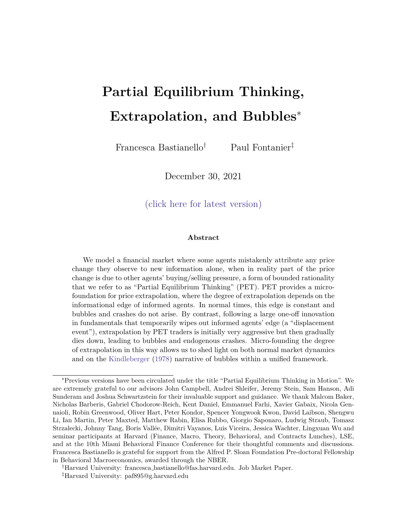agents face greater and constant uncertainty as they do not learn new information after the displacement is announced.

Combining the information in (62) and (64), PET agents' perception of informed agents' edge  $(t_{1})$  is initially diluted by the rise in aggregate uncertainty due to the displacement, and then gradually rises over time as informed agents learn more about it:

$$
\tilde{\tau}_{1} = \frac{!}{1} \frac{V_{U} + (0)^{1}}{V_{1} + ((t - 1)_{s} + 0)^{1}}
$$
 (65)

Notice that the initial fall in informed agents' edge is increasing in the amount of uncertainty generated by the displacement,  $\langle_0 \rangle^{-1}$ , and that  $\tilde{\tau}_t$  rises at a faster rate than  $_t$ . Intuitively, since PET agents think that uninformed agents are not learning more information over time, they think that informed agents regain their edge over uninformed agents at a faster rate than they do in reality: in period t PET agents think informed agents know t more signals than uninformed agents, when in reality all uninformed agents learn from past prices and informed agents are only one period ahead of uninformed agents.

Given these beliefs, the price function which PET agents think is generating the price they observe is given by:

$$
P_{t-1} = a_{t-1} E_{1;t-2}[D_T] + a_{t-1} + a_{t-1} + b_{t-1} D + a_{0} e_{t-1}
$$
 (66)

where  $a_{t-1}$   $\frac{a_{t-1}}{1+a_{t-1}}$  $\frac{1}{1+\frac{1}{1+\frac{1}{1+\frac{1}{1+\frac{1}{1+\frac{1}{1+\frac{1}{1+\frac{1}{1+\frac{1}{1+\frac{1}{1+\frac{1}{1+\frac{1}{1+\frac{1}{1+\frac{1}{1+\frac{1}{1+\frac{1}{1+\frac{1}{1+\frac{1}{1+\frac{1}{1+\frac{1}{1+\frac{1}{1+\frac{1}{1+\frac{1}{1+\frac{1}{1+\frac{1}{1+\frac{1}{1+\frac{1}{1+\frac{1}{1+\frac{1}{1+\frac{1}{1+\frac{1}{1+\frac{1}{1+\frac{1}{1+\frac{1}{1+\frac{1}{1+\frac{1}{1+\frac{1$  $\frac{AZ}{\gamma_{;t}+t(1-\gamma_{\gamma_{\mathsf{U}}^0})}$ , so uninformed agents think that the in
uence on prices of informed (uninformed) agents' beliefs initially falls (rises) as informed agents' informational edge is diluted, and then gradually rises (falls) as informed agents learn over time.

According to PET agents, price changes now re
ect two components:

$$
P_{t-1} = a_{t-1} (u_{t-1} + w_{t-1}) + P_{t-1|t-2} P_{t-2}
$$
 (67)

where  $P_{t}$  <sub>1jt 2</sub>  $P_{t}$  2 captures an additional source of variation relative to their normal times mapping in (41), and this re
ects uninformed agents' perception of price changes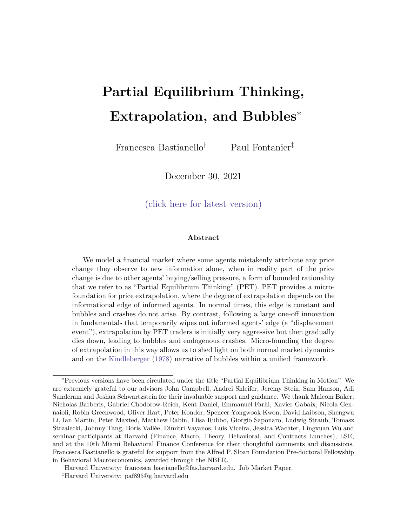due to changes in condence:

$$
P_{t_{1}} \, 1_{jt_{2}} \, P_{t_{2}} = \left\{ \underbrace{a_{t_{1}} \, a_{t_{2}}}_{\text{change in average belief } > 0} \right\} \underset{\text{change in average belief } > 0}{\left\{ z_{t_{1}} \, (b_{t_{1}} \, b_{t_{2}}) (D + a) \right\}} \underset{\text{change in risk-premium } > 0}{\left\{ \left( b_{t_{1}} \, a_{t_{2}} \right) \right\}} \geq 0
$$
\n(68)

Following good news, this term is unambiguously positive. Intuitively, PET agents think that informed agents are more optimistic than other uninformed agents. As the perceived informational edge rises over time, and optimistic informed agents receive more weight, PET agents think that the average belief in the market is becoming more optimistic. Moreover, as agents become more condent over time, the risk-premium component decreases, which also contributes to higher prices due to time-varying condence levels.

PET agents then invert this mapping, and attribute the unexpected part of the price change they observe to new information  $w_{t-1} + w_{t-1}$ , leading to the following posterior beliefs:

$$
E_{U,t}[D_T] = E_{U,t-1}[D_T] + \, t \, P_{t-1} \, P_{t-1|t-2} \tag{69}
$$

where:

$$
t \frac{1}{a_{t-1}} = 1 + \frac{1}{\tilde{t} - 1} \tag{70}
$$

Following a displacement, PET agents extrapolate unexpected price changes with a timevarying extrapolation parameter, as is also shown in the right panel of Figure 4. Intuitively, PET agents adjust their mapping to re
ect that following the increase in uncertainty associated with the displacement, prices are initially less sensitive to new information as informed agents' edge is diluted, and then gradually become more sensitive to information as informed agents regain their edge.

Proposition 5 (Time-varying Extrapolation). Following a displacement in period =  $0$ , the degree of extrapolation with which PET agents extrapolate unexpected price changes becomes time-varying. The extrapolation coe cient rises in period  $= 1$ , and then gradually declines as uncertainty resolves over time. The initial rise in the extrapolation parameter is increasing in the uncertainty introduced by the shoc $k_0$  1) and decreasing in the

32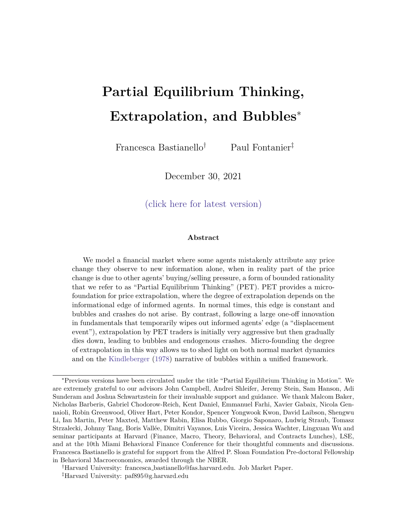fraction of informed agents in the market  $\blacksquare$ ).

As well as being consistent with empirical evidence that documents a time-varying extrapolation parameter (Cassella and Gulen (2018)), micro-founding the extrapolation parameter in this way allows us to understand the assumptions implicit in models of constant price extrapolation. A constant extrapolation parameter requires uninformed agents to think that a given piece of information is always incorporated into prices with the same strength. In our model, this requires uninformed agents to think that informed agents' edge is constant over time, which in turn requires them to think that the composition of agents in the market and agents' relative condence are also constant over time. This assumption seems to be a good characterization of investors' beliefs in normal times, in response to regular earnings announcements.

However, following a Kindleberger type displacement, these assumptions become counterfactual, as these shocks generate large changes to how information is incorporated into equilibrium prices. In this case, as uninformed agents think about what generates the prices they are learning from, they adjust the mapping they use to infer information from prices, thus leading to time-varying extrapolation.

## 3.4 Displacement, Bubbles and Crashes

By combining the results from Sections 3.2 and 3.3, we nd that following a displacement PET agents' beliefs evolve as follows:

$$
(\mathbf{u}_{t+1} + \mathbf{w}_{t+1}) = \frac{a_{t+1}}{a_{t+1}} (\mathbf{u}_{t+1} + \mathbf{w}_{t+1}) + \frac{b_{t+1}}{a_{t+1}} (\mathbf{u}_{t+2} + \mathbf{w}_{t+2}) \frac{1}{a_{t+1}} P_{t+1jt+2} P_{t+1jt+2}
$$
(71)

This expression is reminiscent of the AR(1) process in (46), with two key di erences. First, the strength of the feedback between prices and belie $\frac{t_{\mathrm{ex}}}{\mathrm{a}_{\mathrm{t}}}(\cdot)$  is now time-varying, allowing the economy to shift between stable and unstable regions. Second, this process now also has an additional correction term, which captures the bias in PET agents' forecasts of price changes due to changes in condence levels. This additional term provides a pull back force that leads uninformed agents' beliefs to be disappointed at the peak of the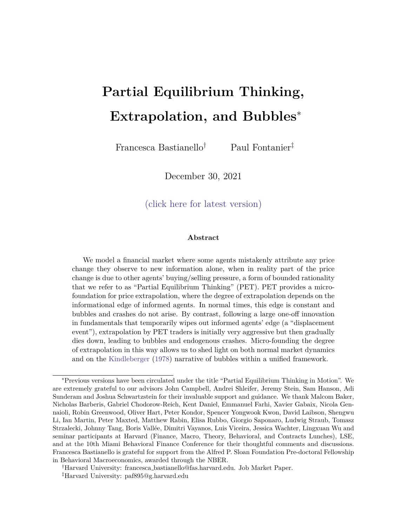bubble, leading to reversals and a crash. We now discuss both of these dierences in detail.

Substituting  $(58)$  and  $(70)$  into the pseudo-AR $(1)$  coe cient in  $(71)$ , we nd that the strength of the feedback e ect now takes the following form:

$$
\frac{b_{t-1}}{a_{t-1}} = \frac{1}{1 + \frac{1}{t-1}} \qquad 1 + \frac{1}{\frac{1}{t-1}}
$$
 (72)

Figure 5 shows that when the displacement materializes in periode 0, the strength of the feedback e ect initially increases as the economy is ooded with uncertainty, and both the true and the perceived informational edges are diluted. However, as agents start learning about the displacement, the strength of the feedback eect gradually declines. Starting from a stable region in normal times, if the increase in uncertainty generated by the displacement is large enough, the economy enters an unstable region  $(> 1)$ , allowing prices and beliefs to accelerate away from fundamentals. In the long run the economy always returns into a stable region, as  $\lim_{h \to \infty} h_{\frac{1}{h}} < b_{\frac{1}{h}} < 1$  since  $\lim_{h \to \infty} (b_h - b) = 0$  and  $\lim_{t\to 1}$  (a<sub>t</sub> a) > 0, with prices and beliefs converging to a new steady state.

Figure 5: Time variation in the strength of the feedback eect following a displacement. This gure shows how the strength of the feedback between outcomes and beliefs varies over time following a displacement. The dotted line at  $\frac{b}{n}$  = 1 separates the stable region  $\frac{a}{n}$  < 1) from the unstable region ( $b_{\text{in}}$  > 1). Starting from a normal times steady state where the strength of the feedback e ect is less than one, a displacement is announced in period  $= 0$ , and this leads the strength of the feedback e ect to initially rise and then gradually decline over time. The initial increase in  $b_{\equiv 2}$  is increasing in the uncertainty associated with the displacement ( $_0$ ) <sup>1</sup>, and this gure depicts a scenario where ( $_0$ ) <sup>1</sup> is large enough to initially shift the economy to an unstable region. Eventually, as informed agents learn more about the displacement, the strength of the feedback eect weakens and the economy returns to a stable region.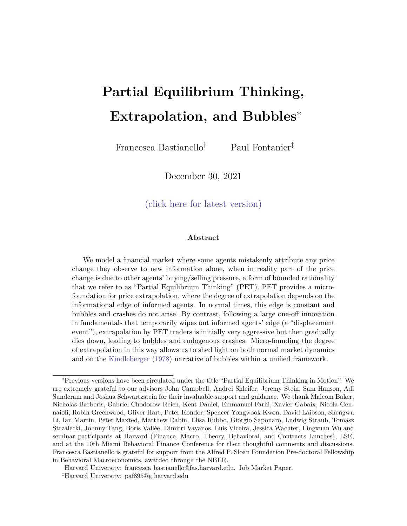It is the last term in (71) that allows for reversals, as we need uninformed agents to infer negative information from prices  $(\mu_{\tau} + \mathbf{w}_{t-1} < 0)$  for their beliefs to revert back towards fundamentals and the bubble to burst. We show that this can only happen once the economy returns to a stable region. Substituting (60) and (68) into (71), we nd that beliefs evolve as follows:

$$
u_{t-1} + w_{t-1} = \frac{a_{t-1}}{a_{t-1}} (E_{1;t-1}[D_T] - E_0[D_T]) - 1 - \frac{b_{t-1}}{a_{t-1}} (E_{U;t-1}[D_T] - E_0[D_T]) + \frac{1}{a_{t-1}} (e_{t-1} - e_{t-1})
$$
(73)

where  $E_0[D_T] = D + 0$  is agents' unconditional prior belief when the displacement is announced. For the bubble to burst, we need<sub>t  $\sim$ 1</sub> +  $w_{t-1}$  to eventually turn negative. If we consider a one-o positive shock, such that  $I_{1;t-1}[D_T] = E_{1;t}[D_T] > E_0[D_T]$  for all t 1, (73) makes clear that as long as the economy is in a unstable region  $\frac{1}{d_{\rm t}}$ nd > 1, PET agents continue to extract positive information from prices, and therefore become increasingly optimistic. In other words, when the economy is in an unstable region, the lagged response of uninformed agents always raises prices by more than what uninformed agents would expect from changes in condence alone. On the other hand, this is no longer the case once the economy returns to a stable region and the feedback between outcomes and beliefs runs out of steam. At the peak of the bubble uninformed agents' beliefs vastly exceed fundamentals, and the term ir  $E_{U:t}$  <sub>1</sub>[D<sub>T</sub>]  $E_0[D_T]$  dominates in determining the sign of the news that uninformed agents extract from past prices in (73). Once the economy returns into a stable region an $\frac{b}{a_{t-1}} < 1$ , PET agents expect higher price rises than the ones they observe. As their beliefs are disappointed, they become more pessimistic  $(\psi_{\tau+1} + \psi_{t-1} < 0)$  and the bubble bursts.

Moreover, the duration of the bubble is longer and its amplitude is greater when the informativeness of the signals that informed agents receive is low and uncertainty takes longer to resolve over time  $(s$  is low).

Proposition 6 (Displacements, Bubbles and Crashes. Following a displacement-type of shock, the strength of the feedback between prices and beliefs increases on impact, but as uncertainty resolves over time it eventually converges back to a level which is lower than in the original steady state. If the rise in uncertainty produced by the displacement is large

35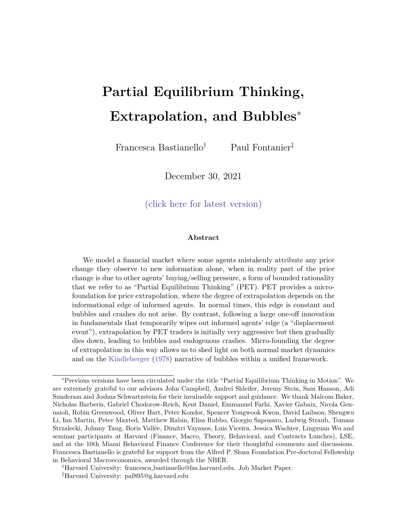enough, the economy enters an unstable region, allowing prices and beliefs to accelerate away from fundamentals and leading to the formation of bubbles. As agents learn more about the displacement, the strength of the feedback e ect weakens, the economy re-enters a stable region, and the bubble bursts.

Figure 6 shows the path of equilibrium outcomes following a displacement shock. Initially, as the economy enters the unstable region, prices and beliefs accelerate away from fundamentals in a convex way, and reach levels several multiples of the fundamental value of the asset (Greenwood et al. (2019)). This stage of the bubble is also associated with high trading volume (Barberis (2018), Hong and Stein (2007), DeFusco et al. (2020)). As the strength of the feedback e ect weakens, and the economy re-enters the stable region, PET agents' expectations are disappointed, leading the bubble to burst, and prices and beliefs to converge back towards fundamentals. Partial equilibrium thinking naturally delivers these key characteristics of bubbles by exploiting the properties of unstable regions.

Finally, the exact shape of the bubble depends on the speed with which information about the displacement becomes available over time. For example, Figure 7 shows how the model can deliver a slower boom and a faster crash if information about the displacement is revealed slowly at rst, and at a faster rate once the bubble bursts.

#### 3.5 Frequency of Information Arrival

By assuming that informed agents receive new information in each period following a displacement, we are implicitly assuming that uninformed agents understand the frequency with which informed agents receive new information. However, if we change the frequency of information arrival, the true condence of informed agents becomes decoupled from uninformed agents' perception of it.

In our model, following a displacement, uninformed agents observe a price change in each period, and they attribute each price change to new information. Regardless of the frequency of information arrival, having observed price changes aftert periods, uninformed agents' perception of informed agents' con dence is given by:

$$
\gamma_{\text{it}} = V_{1;0} + (t_{s} + 0)^{-1}
$$
 (74)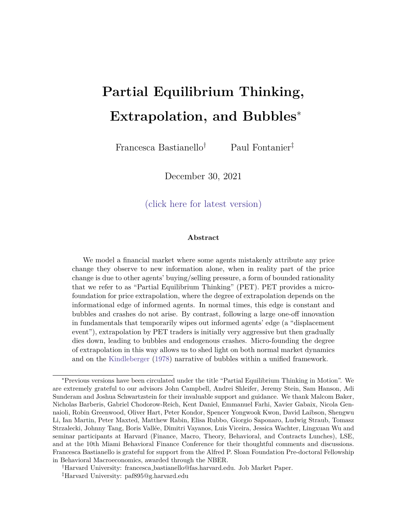Figure 6: Bubbles and crashes following a displacement tarting from a normal times steady state, a displacement!  $_0$   $\, 1)$  is announced in periodt = 0. Informed agents then receive a signal  $s_t = ! + t$  with  $t$  $_{\rm s}$ <sup>1</sup>) each period, where  $_{\rm 1}$  > 0 and  $_{\rm t}$  = 0 8t > 1. This gure compares the path of equilibrium prices, uninformed agents' beliefs, trading volume and agents' positions in the risky asset following a displacement which temporarily shifts the economy into an unstable region, under rational expectations and under partial equilibrium thinking. As the economy shifts into an unstable region when the displacement is announced, prices and beliefs accelerate away from fundamentals. This phase of the bubble is also associated with high trading volume, and PET agents being long the asset. Eventually, as the strength of the feedback e ect weakens, the economy returns to a stable region and uninformed agents' beliefs are disappointed, leading to a crash.

(a) Price (b) Uninformed agents' beliefs

(c) Trading volume (d) Asset demands

If informed agents receive news in each period, then  $\epsilon_{\text{I},t}$  =  $\epsilon_{\text{I},t}$ . Suppose instead that after t period, informed agents have received only  $<$  t signals. Their true con dence is now given by:

$$
I_{1,t} = V_{1,0} + (n_{t s} + o)^{-1} < \tau_{1,t}
$$
 (75)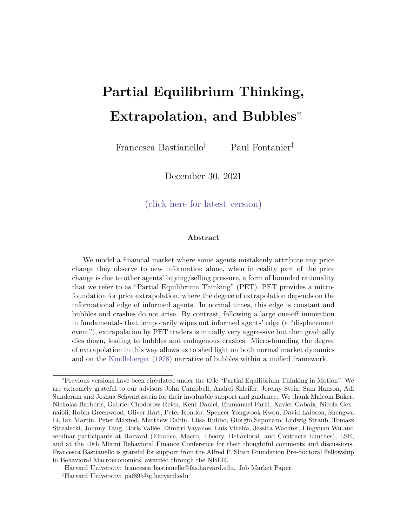Figure 7: Asymmetric bubbles and crashes Starting from a normal times steady state, a displacement! N(  $_0$ ;  $_0$ <sup>1</sup>) is announced in periodt = 0. Informed agents then receive a signa $s_t = ! + _t$ with  $N(0; \frac{1}{s}t)$  each period, where  $1 > 0$  and  $t = 0$  8t > 1. Moreover,  $s_t = \frac{1}{s}$  for t 30 and  $s_t = \frac{0}{s} > \frac{1}{s}$  for t > 30, which re ects that information is revealed at a faster rate once the bubble  $s$ ;t =  $s_{\rm st} = s_{\rm s}$ . The left panel illustrates the evolution of the strength of the feedback e ect. The right panel illustrates the evolution of equilibrium prices, which now exhibit a slower boom and a faster crash.

(a) Strength of the feedback e ect (b) Price

With this information structure, informed agents need to receive only a nite number of signals for the bubble to burst. Letn<sub>1</sub> be the total number of signals informed agents receive about the displacement over the whole lifetime of the asset. Long run stability then requires:

$$
n_1 > n \tag{76}
$$

where n =  $\frac{1}{2}$ s  $\frac{1}{\sqrt{V_{1;\,0}(\gamma_0-1)}}$  o . This implies that bubbles may burst even if the true con dence of informed agents is lower than the true con dence of uninformed agents. This is not the case with models of constant price extrapolation, which instead rely on changes in the true relative condence of informed and uninformed agents in order to generate bubbles and crashes.

To illustrate this point, Figure 8 shows the response of the economy if informed agents receive a single signal in period  $= 1$ , and then receive no further information about the displacement thereafter, so that  $n_1 = 1$ . When this is the case, the con dence of uninformed agents rises relative to the condence of uninformed agents, as shown in the top left panel of Figure 8. However, even though the in
uence on prices of uninformed agents' biased beliefs rises over time, the economy can still return to a stable region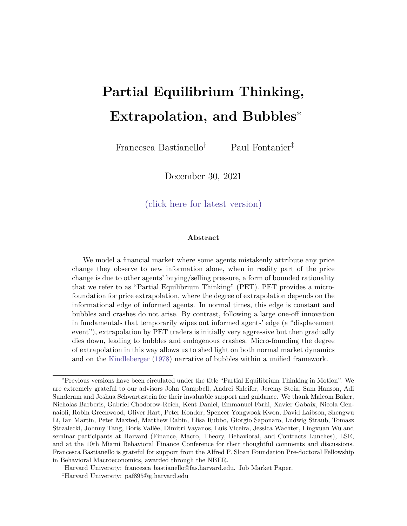because the strength with which PET agents extrapolate past prices falls over time. Intuitively, PET agents still attribute any price change they observe to additional news about the displacement, and thus think that informed agents' edge is rising over time. Comparing the path of equilibrium prices in the bottom right panel of Figure 8 to the one in Figure 6 we see that when informed agents receive a single shock, the bubble is much more accentuated and takes much longer to die out as the market spends more time in the unstable region. However, the key take-away is that a time-varying extrapolation coe cient allows for bubbles and endogenous crashes that are not driven by changes in agents' relative con dence levels, which would instead be necessary with constant priceextrapolation.

#### 3.6 Other Types of Displacements

A key lesson from our analysis so far is that shocks that generate bubbles and crashes must have two properties: they must shift the economy to an unstable region, and such a shift must be temporary. So far, we have considered one possible way to achieve this via a positive shock that creates uncertainty, which gradually resolves over time. However, the sources of variation in $\frac{b_{1}}{a_{t}}$  discussed in Proposition 3 are informative about other types of shocks which may contribute to the formation of bubbles and crashes.

Speci cally, we can write the strength of the feedback e ect as follows:

$$
\frac{b_t}{a_t} = \frac{1}{1+t} \quad 1 + \frac{1}{\tau} < 1 \quad 0 \qquad \frac{t}{1-t} \frac{1}{u_{tt}} \quad \frac{1}{1-t} \frac{\tau}{u_{tt}} \frac{1}{\tau} > 1 \tag{77}
$$

which generalizes our earlier expressions by allowing the fraction of informed agents in the market to be time-varying, and by allowing uninformed agents to be misspecied about this quantity ( $\tilde{\tau}_t$   $\tilde{\theta}$  t). There are four components of the information structure that can then lead to time-variation in the strength of the feedback eect: the true and the perceived condence of informed agents relative to uninformed agents, and the true and the perceived composition of agents in the market. Temporary shocks to these quantities can also contribute to the time-varying strength of the feedback e ect.

For example, displacements may lead to large changes in the composition of agents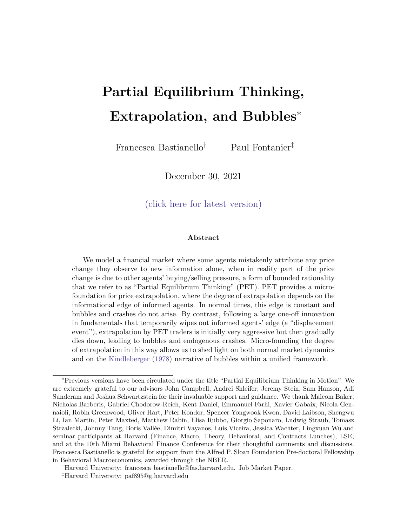Figure 8: Response of the economy when informed agents receive a single signal in period  $t = 1$ , and no further information thereafter. Starting from a normal times steady state, a displacement !  $_0$ <sup>1</sup>) is announced in periodt = 0, and then informed agents receive asingle signal  $s_1 = 1 + 1$  with  $1 > 0$  and no more signals thereafter. Panels (b) show how the components of the feedback e ect vary over time given this information structure, and Panels (c) and (d) show the evolution of the strength of the feedback e ect and of equilibrium prices. Even thoughb rises over time, the degree of extrapolation still falls after its initial rise, thus allowing the strength of the feedback eect to return to a stable region ( $b_{\text{max}} < 1$ ). Panel (d) shows that the bubble is much more accentuated than the one in Figure 6, as the economy spends longer in the unstable region.

(a) In
uence on prices of U agents' beliefs (b) PET degree of extrapolation

(c) Strength of the feedback e ect (d) Price

in the market, either because of the increased attention generated by media coverage, or because of the nature of the displacement itself, as with the introduction of securitization, which led to an expansion in credit during the most recent nancial crisis. Changes in investor horizons, in the form of an increased speculative drive, may also generate changes in relative con dence levels and contribute to a stronger feedback e ect during bubble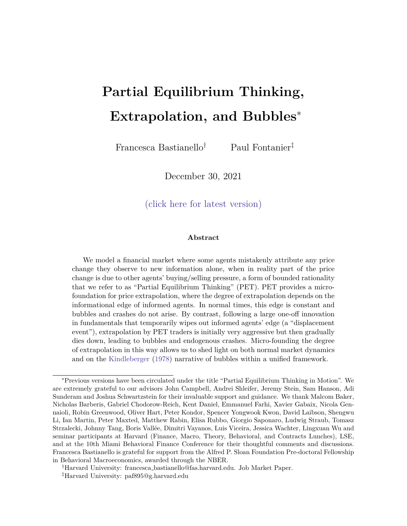episodes.

### 4 Speculative Motives

A noted feature of bubbles neglected so far is the role of destabilizing speculation. When explaining the stage of `euphoria' characteristic of bubbles, Kindleberger (1978) describes how \[i]nvestors buy goods and securities to pro t from the capital gains associated with the anticipated increases in the prices of these goods and securities".

To model speculative motives, we change agents' objective function to have CARA utility over next period wealth. In this case, agents forecast next period payos: with probability the asset is alive next period, and is wort  $\mathbb{P}_{t+1}$ , and with probability (1 ) the asset dies, and pays out a terminal dividen $\pmb{\mathbb{D}}_t$ :

$$
t_{t+1} = P_{t+1} + (1) D_t \tag{78}
$$

Agents now trade according to the following asset demand function, given their beliefs:

$$
X_{i;t} = \frac{E[ t_{t+1}j l_{i;t} ] P_t}{A V[ t_{t+1}j l_{i;t} ]}
$$
 (79)

In Appendix B we solve the model with speculative motives using the same three steps as in Section 3, and show that the true price function is linear in agents' beliefs, and that partial equilibrium thinking still provides a micro-foundation for price-based extrapolation:

$$
P_{t} = a_{t} E_{1;t} [t_{t+1}] + b_{t} E_{1;t} [t_{t+1}] + c_{t}
$$
 (80)

$$
E_{U;t}[t+1] = E_{U;t-1}[t+1] + t P_{t-1} P_{t-1jt-2}
$$
 (81)

where $a_t$ , b,  $c_t$  and  $t_t$  are once again time-varying and deterministic. While these coe cients still depend on the properties of the environment, their functional form depends on agents' higher order beliefs. Speci cally, since agents are forecasting futuredogenous outcomes, they need to forecast other agents' future beliefs. While partial equilibrium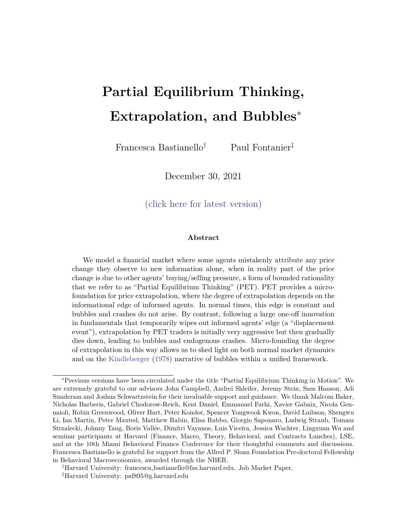thinking helps to pin down uninformed agents' higher order beliefs (they simply assume that all agents trade on their own private information and that this is common knowledge), it allows for more 
exibility about informed agents' higher order beliefs.

In this section, we consider two cases. First, we let informed agents understand uninformed agents' biased beliefs, which in turn means that they understand that mispricing is predictable. Second, we consider the case where informed agents mistakenly believe that all other agents are rational and extract the right information from prices. We refer to the rst type of speculators as being \PET-aware", and to the second type as being \PET-unaware". This lines up with the distinction in practical asset management between investors who concentrate on the gap between market prices and their estimates of fundamentals, and those who also think about the behavioral biases in the market.

Figure 9 contrasts the dynamics of equilibrium outcomes following a displacement with and without speculative motives. When informed agents understand other agents' biases, they engage in destabilizing speculation and amplify the bubble. Intuitively, when informed agents realize that mispricing is predictable, they understand that higher prices today translate into more optimistic beliefs by uninformed agents and higher prices tomorrow. This increases informed agents' expected capital gains and induces them to demand more of the asset today, in ating prices further (De Long et al. (1990)).

To take advantage of predictable mispricing, \PET-aware" speculators require a high level of understanding of other agents' actions and beliefs. Alternatively, we can consider the case where informed agents mistakenly believe that they live in a rational world and think that uninformed agents are able to recover the right information from past prices. In this case, informed agents believe that any current mispricing will be corrected next period. This leads them to trade more aggressively on their own information, thus keeping prices closer to fundamentals, and e ectively arbitraging the bubble away.

This analysis highlights the importance of higher order beliefs in the formation of bubbles: only if investors think that mispricing is likely to persist do they engage in destabilizing speculation. If instead they think mispricing is temporary, they engage in fundamental speculation and arbitrage it away.

42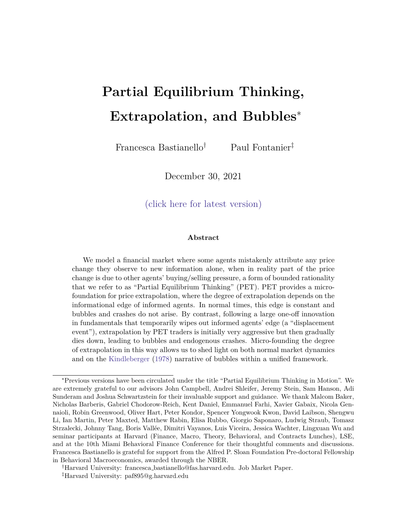Figure 9: Bubbles and crashes with \PET-aware" and \PET-unaware" speculators Starting from a normal times steady state, a displacement!  $_0$ <sup>1</sup>) is announced in period t = 0. Informed agents then receive a signa $s_t = 1 + t$  in each period, where  $t_1 > 0$  and  $t_t = 0$  8t  $> 1$ . This gure compares the path of equilibrium prices, uninformed agents' beliefs, trading volume and agents' positions in the risky asset under rational expectations, partial equilibrium thinking, \PET-aware" speculation, and \PET-unaware" speculation. \PET-aware" speculation ampli es the bubble relative to the case with no speculative motives, while \PET-unaware" speculation arbitrages the bubble away.

(a) Price (b) Uninformed agents' beliefs

(c) Trading volume (d) Asset demands

# 5 Conclusion

In this paper we provide a micro-foundation for the degree of price extrapolation with a theory of \Partial Equilibrium Thinking" (PET), in which uninformed agents mistakenly attribute any price change they observe to new information alone, when in reality part of the price change is due to other agents' buying/selling pressure. We show that when agents think in partial equilibrium the degree of extrapolation varies with the information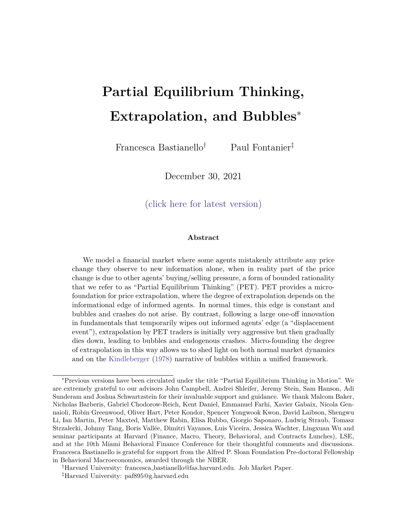structure, and is decreasing in informed agents' informational edge.

This micro-foundation provides a unifying theory of both weak departures from rationality in normal times, and extreme bubbles and crashes following a displacement. These are simply dierent manifestations of the same two-way feedback between prices and beliefs. In normal times, informed agents' edge is constant, and PET delivers constant price extrapolation. By contrast, following a displacement, informed agents' edge is temporarily wiped out, and PET agents' degree of extrapolation is stronger at rst, but then gradually dies down, leading to bubbles and endogenous crashes.

While this paper provides a rst step in micro-founding the degree of price extrapolation, our analysis leaves several open avenues for future work. First, a quantitative assessment of our theory would shed light on the extent of amplication that time-varying extrapolation can provide in explaining departures from rationality, and would clarify the importance of this channel. Second, by looking at the variation in the degree of price extrapolation and in individual level forecasts, our model oers two predictions that distinguish it from models of constant price extrapolation, and of fundamental extrapolation: i) unlike models of constant price extrapolation, when agents think in partial equilibrium the degree of price extrapolation is stronger when there are fewer informed agents in the market, and when informed agents' edge is greater; ii) unlike models of fundamental extrapolation, when agents think in partial equilibrium the bias in individual level forecasts depends on the composition of agents in the market, as this a ects the extent of misspecication. These predictions can be tested both in the cross-section and over time. As the literature moves to incorporating non rational expectations into macro and nance models, and to studying their quantitative and policy implications, distinguishing between dierent sources of irrationality is increasingly important, and evidence that sheds light on these issues is a fruitful avenue for future research.

# References

Andreassen, P. B. and Kraus, S. J. (1990), `Judgmental extrapolation and the salience of change', Journal of Forecasting 9(4), 347{372.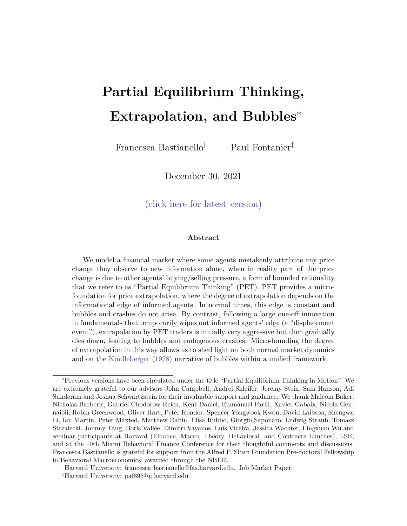Bagehot, W. (1873), Lombard Street: A description of the money market Wiley, New York.

- Barberis, N. (2018), Psychology-based models of asset prices and trading volume, `Handbook of Behavioral Economics: Applications and Foundations 1', Vol. 1, Elsevier, pp. 79{175.
- Barberis, N., Greenwood, R., Jin, L. and Shleifer, A. (2015), `X-CAPM: An extrapolative capital asset pricing model',Journal of Financial Economics 115(1), 1{24.
- Barberis, N., Greenwood, R., Jin, L. and Shleifer, A. (2018), `Extrapolation and bubbles', Journal of Financial Economics 129(2), 203{227.
- Bastianello, F. and Fontanier, P. (2020), Credit cycles with model misspecication, Mimeo, Harvard University.
- Bastianello, F. and Fontanier, P. (2021a), On the predictability of forecast errors, Mimeo, Harvard University.
- Bastianello, F. and Fontanier, P. (2021b), Partial equilibrium thinking in general equilibrium, Working paper, Harvard University.
- Blanchard, O. J. and Watson, M. W. (1982), Bubbles, rational expectations, and nancial markets, in `Crises in the Economic and Financial Structure', Lexington Books.
- Bohren, J. A. (2016), `Informational herding with model misspecication', Journal of Economic Theory 163, 222{247.
- Bohren, J. A. and Hauser, D. N. (2021), `Learning with heterogeneous misspecied models: Characterization and robustness',Econometrica 89(6), 3025{3077.
- Bordalo, P., Gennaioli, N., Kwon, S. Y. and Shleifer, A. (2021), `Diagnostic bubbles',Journal of Financial Economics 141(3), 1060{1077.
- Brunnermeier, M. K. and Nagel, S. (2004), `Hedge funds and the technology bubble Journal of Finance 59(5), 2013{2040.
- Brunnermeier, M. K. and Oehmke, M. (2013), `Bubbles, nancial crises, and systemic risk', Handbook of the Economics of Finance, 1221{1288.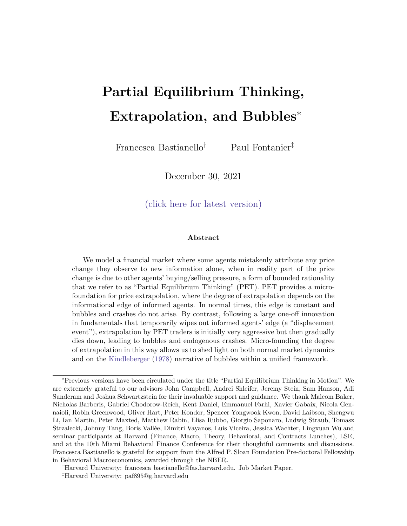- Case, K. E., Shiller, R. J. and Thompson, A. (2012), `What have they been thinking? home buyer behavior in hot and cold markets', Brookings Papers and Proceedings45, 265{315.
- Cassella, S. and Gulen, H. (2018), `Extrapolation bias and the predictability of stock returns by price-scaled variables',Review of Financial Studies31(11), 4345{4397.
- Chodorow-Reich, G., Guren, A. M. and McQuade, T. J. (2021), The 2000s housing cycle with 2020 hindsight: A neo-kindlebergerian view, Working paper, National Bureau of Economic Research.
- Coibion, O. and Gorodnichenko, Y. (2015), `Information rigidity and the expectations formation process: A simple framework and new facts'American Economic Review105(8), 2644{78.
- Crawford, V. P., Costa-Gomes, M. A. and Iriberri, N. (2013), `Structural models of nonequilibrium strategic thinking: Theory, evidence, and applications', Journal of Economic Literature 51(1), 5{62.
- Cutler, D. M., Poterba, J. M. and Summers, L. H. (1990), `Speculative dynamics and the role of feedback traders',American Economic Review: Papers and Proceedings80(2), 63{68.
- De Long, J. B., Shleifer, A., Summers, L. H. and Waldmann, R. J. (1990), `Positive feedback investment strategies and destabilizing rational speculation',Journal of Finance 45(2), 379{ 395.
- DeFusco, A. A., Nathanson, C. G. and Zwick, E. (2020), Speculative dynamics of prices and volume, Working paper, National Bureau of Economic Research.
- DeMarzo, P. M., Vayanos, D. and Zwiebel, J. (2003), `Persuasion bias, social in
uence, and unidimensional opinions', Quarterly Journal of Economics 118(3), 909{968.
- Esponda, I. and Pouzo, D. (2016), `Berk{nash equilibrium: A framework for modeling agents with misspeci ed models', Econometrica 84(3), 1093{1130.
- Eyster, E. and Rabin, M. (2005), `Cursed equilibrium', Econometrica 73(5), 1623{1672.
- Eyster, E. and Rabin, M. (2010), `Naive herding in rich-information settings', American Economic Journal: Microeconomics 2(4), 221{43.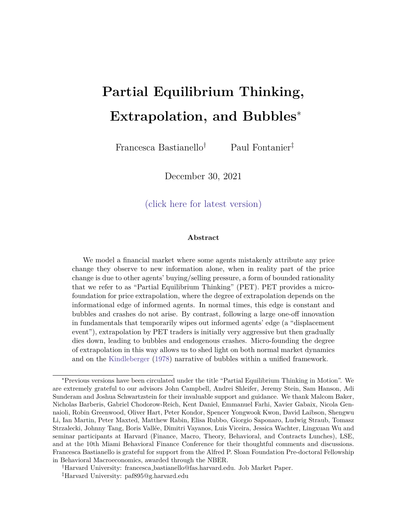- Eyster, E., Rabin, M. and Weizsacker, G. (2018), An experiment on social mislearning, Rationality and Competition Discussion Paper Series 73.
- Frick, M., Iijima, R. and Ishii, Y. (2020), `Misinterpreting others and the fragility of social learning', Econometrica 88(6), 2281{2328.
- Fudenberg, D., Lanzani, G. and Strack, P. (2021), `Limit points of endogenous misspecied learning', Econometrica 89(3), 1065{1098.
- Fudenberg, D., Romanyuk, G. and Strack, P. (2017), `Active learning with a misspecied prior', Theoretical Economics 12(3), 1155{1189.
- Gagnon-Bartsch, T. and Rabin, M. (2016), Naive social learning, mislearning, and unlearning, Working paper, Harvard University.
- Gagnon-Bartsch, T., Rabin, M. and Schwartzstein, J. (2021), Channeled attention and stable errors, Working paper, Harvard Business School.
- Galbraith, J. K. (1954), The Great Crash: 1929, Houghton Miin Harcourt.
- Giglio, S., Maggiori, M. and Stroebel, J. (2016), `No-bubble condition: Model-free tests in housing markets', Econometrica 84(3), 1047{1091.
- Glaeser, E. L. and Nathanson, C. G. (2017), `An extrapolative model of house price dynamics', Journal of Financial Economics 126(1), 147{170.
- Greenwood, R. and Hanson, S. G. (2015), `Waves in ship prices and investmentQuarterly Journal of Economics 130(1), 55{109.
- Greenwood, R., Hanson, S. G., Shleifer, A. and Srensen, J. A. (2021), `Predictable nancial crises', Journal of Finance, Forthcoming .
- Greenwood, R. and Shleifer, A. (2014), `Expectations of returns and expected returns Review of Financial Studies 27(3), 714{746.
- Greenwood, R., Shleifer, A. and You, Y. (2019), `Bubbles for Fama',Journal of Financial Economics 131(1), 20{43.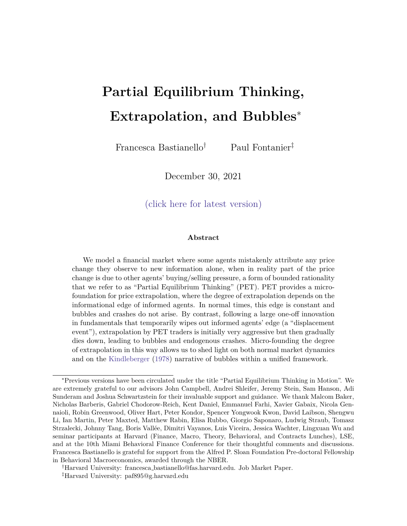- Harrison, J. M. and Kreps, D. M. (1978), `Speculative investor behavior in a stock market with heterogeneous expectations'Quarterly Journal of Economics 92(2), 323{336.
- Haruvy, E., Lahav, Y. and Noussair, C. N. (2007), `Traders' expectations in asset markets: experimental evidence',American Economic Review97(5), 1901{1920.
- Hirshleifer, D., Li, J. and Yu, J. (2015), `Asset pricing in production economies with extrapolative expectations', Journal of Monetary Economics 76, 87{106.
- Hong, H. and Stein, J. C. (1999), `A unied theory of underreaction, momentum trading, and overreaction in asset markets',Journal of Finance 54(6), 2143{2184.
- Hong, H. and Stein, J. C. (2007), `Disagreement and the stock market',Journal of Economic Perspectives21(2), 109{128.
- Jorda, O., Schularick, M. and Taylor, A. M. (2015), `Leveraged bubbles',Journal of Monetary Economics 76, S1{S20.
- Kahneman, D. (2011),Thinking, fast and slow, Macmillan.
- Keynes, J. M. (1936), The general theory of employment, interest, and moneyMacmillan.
- Kindleberger, C. P. (1978), Manias, panics, and crashes; a history of nancial crises Basic Books, New York.
- Kubler, D. and Weizsacker, G. (2004), `Limited depth of reasoning and failure of cascade formation in the laboratory', Review of Economic Studies71(2), 425{441.
- Liao, J., Peng, C. and Zhu, N. (2021), `Extrapolative bubbles and trading volume',Review of Financial Studies .
- Liu, H., Peng, C., Xiong, W. A. and Xiong, W. (2021), `Taming the bias zoo', Journal of Financial Economics .
- Mackay, C. (1841), `Extraordinary popular delusions and the madness of crowds'Harmony Books, New York .
- Martin, A. and Ventura, J. (2012), `Economic growth with bubbles', American Economic Review 102(6), 3033{58.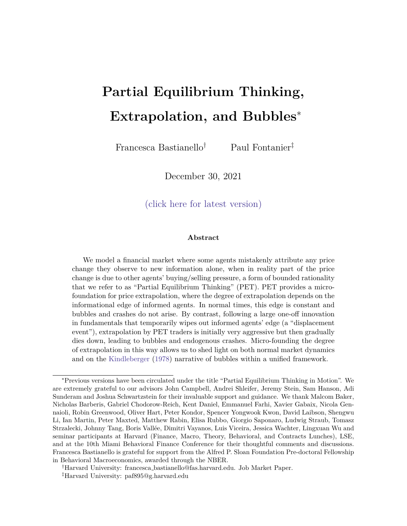- Maxwell, N. L. and Lopus, J. S. (1994), `The lake wobegon e ect in student self-reported data', American Economic Review84(2), 201{205.
- Ofek, E. and Richardson, M. (2003), `Dotcom mania: The rise and fall of internet stock prices', Journal of Finance 58(3), 1113{1137.
- Pastor, L. and Veronesi, P. (2006), `Was there a Nasdaq bubble in the late 1990s? yournal of Financial Economics 81(1), 61{100.
- Pastor, L. and Veronesi, P. (2009), `Technological revolutions and stock prices'American Economic Review99(4), 1451{83.
- Penczynski, S. P. (2017), `The nature of social learning: Experimental evidence'European Economic Review94, 148{165.
- Scheinkman, J. A. and Xiong, W. (2003), `Overcon dence and speculative bubbles', Journal of political Economy 111(6), 1183{1220.
- Shiller, R. J. (2000), Irrational exuberance, Princeton University Press, Princeton.
- Smith, V. L., Suchanek, G. L. and Williams, A. W. (1988), `Bubbles, crashes, and endogenous expectations in experimental spot asset markets'Econometrica pp. 1119{1151.
- Soros, G. (2015),The alchemy of nance, John Wiley & Sons.
- Svenson, O. (1981), `Are we all less risky and more skillful than our fellow drivers?'Acta Psychologica47(2), 143{148.
- Tirole, J. (1985), `Asset bubbles and overlapping generations'Econometrica 53(6), 1499{1528.
- Xiong, W. (2013), Bubbles, crises, and heterogeneous beliefs, Working paper, National Bureau of Economic Research.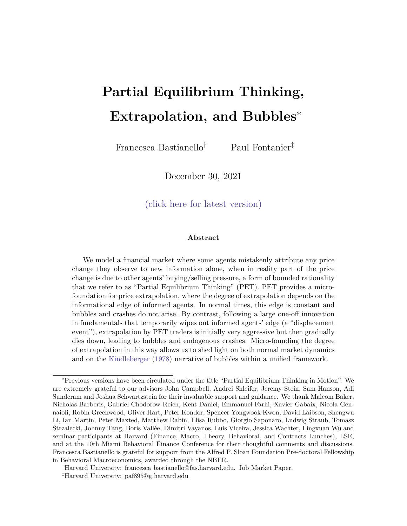## A Proofs and Derivations

#### A.1 Proof of Proposition 1: Stable and Unstable Regions

Equation (16) shows that following a one-o shocku<sub>0</sub>  $6$  0 in period 0, the price level in period t is given by: !

$$
P_{t} = P + \sum_{j=0}^{X^{t}} \frac{b^{j}}{a} (au_{0})
$$
 (A.1)

Moreover, beliefs in period are given by:

$$
E_{U;t}[D_T] = E_{U;0}[D_T] + \sum_{j=0}^{K^1} u_j = E_{U;0}[D_T] + \sum_{j=0}^{K^1} \frac{b^{j}}{a} u_0
$$
 (A.2)

where the last equality uses the fact that  $u_{\mathcal{L}} = \frac{b}{a}$  $\frac{b}{a}$   $u_{j}$  <sub>1</sub> + u<sub>j</sub> from (14), and solves recursively.

Sinceb  $> 0$  and  $a > 0$ , taking the limit of these expressions at goes to in nity, we notice that if  $b_{\overline{a}} < 1$  the geometric series in (A.1) and (A.2) are bounded and prices and beliefs converge to:

$$
\lim_{t \to 1} P_t = P + \frac{au_0}{1 - \frac{b}{a}} \tag{A.3}
$$

 $\lim_{t \to 1} E_{U,t}[D_T] = E_{U,0}[D_T] + \frac{U_0}{1-\frac{b}{a}}$ a (A.4)

On the other hand, if  $\approx$  > 1 the geometric series in (A.1) and (A.2) are prices and beliefs become extreme:

$$
\lim_{t \to 1} P_t = 1 \tag{A.5}
$$

$$
\lim_{t \downarrow 1} E_{U,t}[D_T] = 1 \tag{A.6}
$$

Moreover, (15) and (14) show that after a one-o shocku<sub>0</sub>, initially  $P_0 = au_0$  and  $u_0 = u_0$ , and after t periods changes in prices and in beliefs are given by:

$$
P_{t} = \frac{b^{!}}{a} \quad P_{t} \quad (A.7)
$$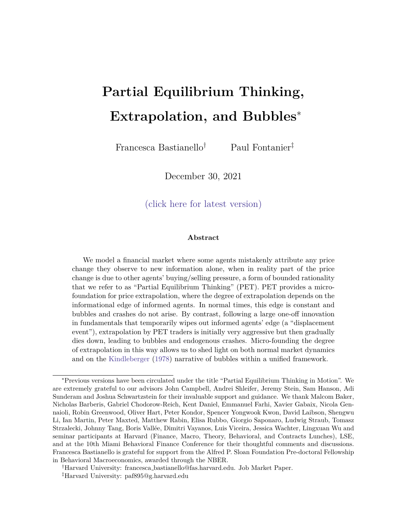$$
H_{t-1} = \frac{b}{a} H_{t-2}
$$
 (A.8)

so that if  $b_{\equiv 0}$  < 1 prices and beliefs converge in a concave way a $\mathbf{F}_t$  < P<sub>t 1</sub> and  $H_{t-1}$  <  $H_{t-2}$ , and if instead  $H_{\text{max}} > 1$ , prices and beliefs accelerate away from fundamentals with convex paths as  $P_t$  >  $P_{t-1}$  and  $u_{t-1}$  >  $u_{t-2}$ .  $\Box$ 

#### A.2 Proposition 2: Micro-foundation of Price Extrapolation

Equation (44) shows that when traders think in partial equilibrium, the strength with which they extrapolate past price changes is given by:

$$
1 + \frac{1}{2} \tag{A.9}
$$

Combining this with the de nition of  $\sim$ ~I  $\frac{\gamma}{\gamma}$ , which is uninformed agents' perception of the true informational edge in (25), we nd that:

$$
1 + \frac{1}{2} = 1 + \frac{1}{2} + \frac{1}{2} \frac{1}{\frac{1}{2}} \tag{A.10}
$$

The rst equality shows that is decreasing in uninformed agents' perception of the informational edge  $\tilde{z}$ . The second equality shows that is decreasing in the fraction of informed agents in the market, , and in uninformed agents' perception of the relative  $\Box$ con dence of informed and uninformed agents  $\epsilon_{\nu}$ ).

### A.3 Proof of Proposition 3: Strength of the Feedback E ect

Equation (48) shows that the strength of the feedback e ect is given by:

$$
\frac{b}{a} = \frac{1}{1+} \qquad 1 + \frac{1}{2} \tag{A.11}
$$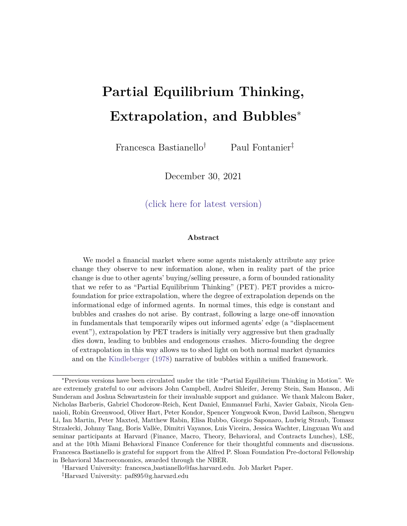Combining this with the de nitions of the informed agents' edge in (25), and of uninformed agents' perception of it, $\tilde{ }$ , we nd that:

$$
\frac{b}{a} = \frac{1}{1+} \qquad 1 + \frac{1}{2} = \frac{B}{\omega} \frac{1}{1 + \frac{1}{1-1} + \frac{1}{0}} \stackrel{1}{A} \stackrel{0}{\omega} 1 + \frac{1}{1-1} \frac{1}{\frac{1}{1-1}} \stackrel{1}{A} \tag{A.12}
$$

The rst equality shows that the strength of the feedback e ect is decreasing in both the true informational edge, , and in uninformed agents' perception of it,<sup>-</sup>. The second equality shows that the strength of the feedback e ect is decreasing in the fraction of informed agents in the market, (by inspection, both  $\frac{1}{1+}$  and  $\frac{1}{2}$  are decreasing in ) and in the true and perceived con dence of informed agents relative to uninformed agents  $!=_0, \trianglelefteq=_0.$  $\Box$ 

### A.4 Proof of Proposition 4: Deviations from Rationality

When traders have rational expectations, they infer the right information from prices at each point in time. Following, a one-o shock in period 0, uninformed traders learn the following information from price:

$$
\mathbf{u}_0^{\text{REE}} = \mathbf{u}_0 \mathbf{\Theta} \mathbf{0} \tag{A.13}
$$

$$
u_t^{REE} = u_t = 0 \quad 8t > 0 \tag{A.14}
$$

It follows that under rational expectations, uninformed traders' beliefs are given by:

$$
E_{U;0}[D_T]^{REE} = D \tag{A.15}
$$

$$
E_{U,t}[D_T]^{REE} = D + u_0 \quad 8t > 0 \tag{A.16}
$$

This re
ects that rational uninformed traders understand that there is no new information after period 0, and that all other price changes they observe are due to the lagged response of all uninformed traders who are also learning information from prices. Therefore, they no longer update their beliefs following the second price rise, as in the example in Figure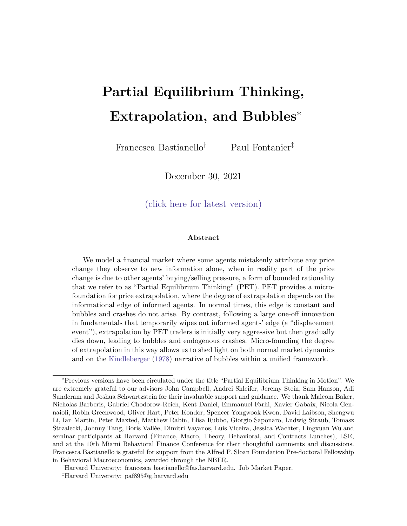1. The corresponding equilibrium prices are then given by:

$$
P_0^{REE} = P + P_0 = P + au_0 \tag{A.17}
$$

$$
P_{t}^{REE} = P + P_{0} + P_{1} + \sum_{\substack{j=2\\ j=0}}^{X} P_{t} = P + au_{0} + bu_{0} \quad 8t > 0
$$
 (A.18)

where  $\sup_{j=2}^P$  P<sub>t</sub> = 0 as neither informed nor uninformed agents update their beliefs after period t = 1, and in normal times the risk-premium component  $\frac{AZ}{I+(1)}$  is also constant over time.

On the other hand, from (A.1) and (A.2) together with the fact that in normal times  $a = a$ , we know that when uninformed traders think in partial equilibrium, equilibrium beliefs and prices are given by:

$$
E_{U;0}[D_T] = D \tag{A.19}
$$

$$
E_{U;1}[D_T] = D + u_0 \tag{A.20}
$$

$$
E_{U;t}[D_T] = D + u_0 + \sum_{j=1}^{K-1} \frac{b^{j}}{a} u_0
$$
 (A.21)

and:

$$
P_0 = P + au_0 \tag{A.22}
$$

$$
P_1 = P + au_0 + bu_0 \tag{A.23}
$$

$$
P_{t} = P + au_{0} + bu_{t} + \sum_{j=2}^{x} \frac{b^{j}}{a} (au_{0})
$$
 (A.24)

Comparing PET to REE outcomes, we see that when traders think in partial equilibrium, deviations from rational outcomes are given by:

$$
E_{U,t}[D_T]
$$
  $E_{U,t}^{REE}[D_T] = 0$  for  $t = 0; 1$  (A.25)

$$
E_{U;t}[D_T] \t E_{U;t}^{REE}[D_T] = \sum_{j=1}^{K} \frac{b}{a}^j u_0 \t 8t > 1 \t (A.26)
$$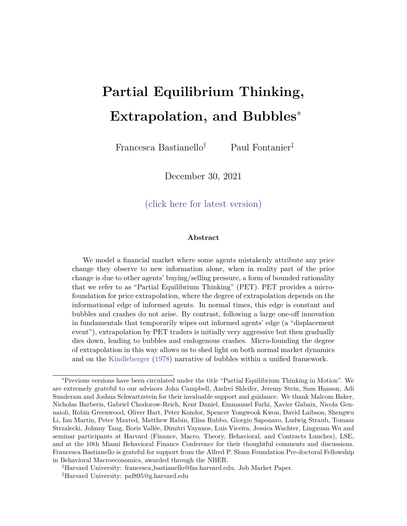and:

$$
P_t
$$
  $P_t^{REE} = 0$  for  $t = 0; 1$  (A.27)

$$
P_{t} P_{t}^{REE} = \frac{x^{t}}{A} \frac{b^{t}}{a} (au_{0}) = \frac{x^{t}}{A} \frac{b^{t}}{a} (bu_{0}) \quad 8t > 1
$$
 (A.28)

where the last equality uses the fact that in normal times  $\approx$  a.

From Proposition 3, we know that  $\frac{b}{a}$  is decreasing in , ~, ,  $\frac{1}{b}$  $\frac{1}{v}$  and  $\frac{1}{v}$ . Moreover, from (29) we know that b is also decreasing in , which is itself increasing in  $\,$  and  $_{\rm \frac{1}{\rm U}}.$ Combining these results with (A.26) and (A.28), we obtain the comparative statics in Proposition  $48t > 1$ . In particular, when the equilibrium is stable these comparative statics also hold in the limit ast ! 1 , as the economy approaches the new steady state.  $\Box$ 

### A.5 Proof of Corollary 1: Stability in Normal Times

Equation (48) shows that in normal times the strength of the feedback e ect is given by:

$$
\frac{b}{a} = \frac{1}{1+} + \frac{1}{2}
$$
 (A.29)

Since in normal times  $_i = -i$  for i 2 f I; U g, it follows that  $\tau = -i$ , and the strength of the feedback e ect reduces to:

$$
\frac{b}{a} = \frac{1}{a}
$$
 (A.30)

Using the de nition of in  $(25)$ :

$$
\frac{b}{a} < 1 \quad 0 > 1 \quad 0 \quad | > (1) \quad 0 \tag{A.31}
$$

so that for the response of the economy to normal times shocks not to be explosive it must be that the aggregate con dence of informed agents is greater than the aggregate condence of uninformed agents.  $\Box$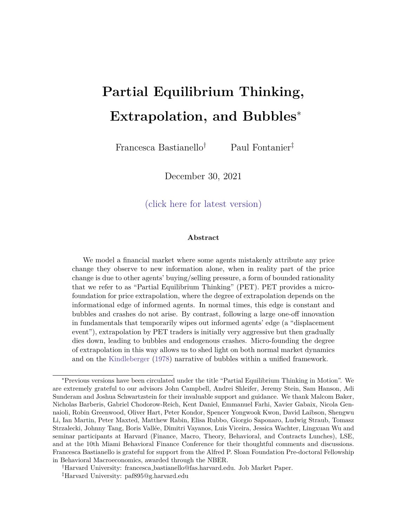### A.6 Proof of Proposition 5: Time-varying Extrapolation

Before the displacement is announced, the degree of extrapolation in normal times is simply given by: !

$$
= 1 + \frac{1}{2} = 1 + \frac{1}{2} + \frac{1}{2} \frac{V_1}{V_0}
$$
 (A.32)

Following a displacement, (70) shows that the degree of extrapolation with which PET agents extrapolate unexpected price changes is given by:

$$
t = 1 + \frac{1}{\tilde{t} - 1}
$$
 (A.33)

In period t = 0, when the displacement is rst announced,  $\gamma_1 = \gamma$ , and  $\gamma_0 = \gamma$ . This simply re
ects the fact that PET agents are learning information frompast prices, and in period  $t = 0$  they are still learning information from normal times prices. Therefore, they extrapolate these price changes with the same degree of extrapolation as in normal times.

For  $t > 0$ , PET agents realize that the prices they are extrapolating from contain information about the displacement, leading to a change in the degree of extrapolation. Substituting (65) into (A.34):

$$
t_{t} = 1 + \frac{1}{t_{t}} \frac{1}{t_{t}} \frac{V_{1} + ((t_{t} + 1)_{s} + 0)^{-1}}{V_{1} + (0)^{-1}}
$$
 (A.34)

This shows that the degree of extrapolation is indeed time-varying.

Starting with the change in the extrapolation parameter between periods = 0 and  $t = 1$ , we can subtract (A.32) from (A.34) and sett = 1:

$$
1_0 = \frac{1}{1} \frac{1}{(V_U + (\sigma)^{-1}) V_U} (V_U - V_I) > 0
$$
 (A.35)

where the last inequality follows from the fact that  $2(0;1)$ ,  $0 > 0$ ,  $V<sub>U</sub> > 0$ , and  $(V_U \t V_I) > 0$  since in normal times informed agents have an edge relative to uninformed agents, as shown in (22) and (24). Therefore, the degree of extrapolation rises in period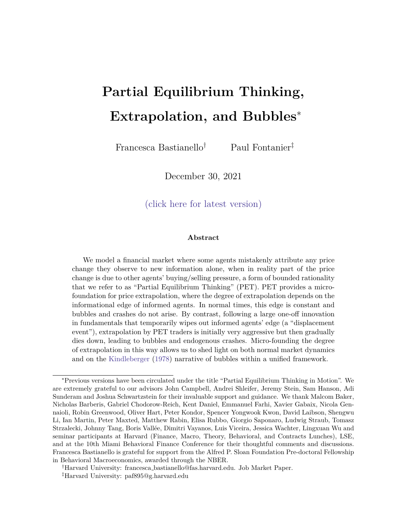$t = 1$  after the displacement is announced. Moreover, (A.35) also shows that:

$$
\frac{(\overline{Q} + 0)}{(\overline{Q})} < 0 \quad \text{and} \quad \frac{(\overline{Q} + 0)}{(\overline{Q} + 0)^{1}} > 0 \tag{A.36}
$$

so that the initial rise in the extrapolation parameter between periods = 0 and t = 1 is decreasing in the fraction of informed agents in the market and increasing in the uncertainty introduced by the shock.

For  $t > 1$ , (A.34) shows that:

$$
\frac{\omega_t}{\omega_t} < 0 \tag{A.37}
$$

as uncertainty resolves over time an $\frac{\mathcal{Q}((t-1)-s+\delta)(0)}{\mathcal{Q}(t)}< 0.$  Therefore the degree of extrapolation gradually declines over time after its initial rise in period =  $1$ .  $\Box$ 

### A.7 Proof of Proposition 6: Displacements, Bubbles and Crashes

In normal times, the strength of the feedback e ect is given by:

$$
\frac{b_i}{a_i} = \frac{1}{1+} \qquad 1 + \frac{1}{2} = \frac{1}{1} < 1 \tag{A.38}
$$

where the second equality follows from the fact that in normal times:

$$
= \sim = \frac{1}{1} \frac{V_{\cup}}{V_{\perp}}
$$
 (A.39)

and the last inequality in (A.38) follows from the fact that the economy must be in a stable region in normal times.

Following a displacement, the strength of the feedback e ect is given by:

$$
\frac{b}{a_t} = \frac{1}{1 + \frac{1}{t}} \quad 1 + \frac{1}{\frac{1}{t}} \tag{A.40}
$$

where  $int = 0$ :

$$
0 = \tilde{v} = \frac{1}{1} \frac{V_U + (0)^{-1}}{V_I + (0)^{-1}}
$$
 (A.41)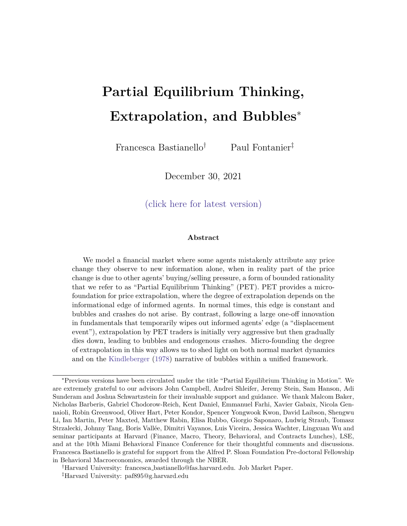and in  $t > 0$ :

$$
t = \frac{1}{1} \frac{V_U + ((t + 1) s + 0)^{-1}}{V_I + (t s + 0)^{-1}}
$$
 (A.42)

$$
\tilde{\tau} = \frac{V_U + (0)^{-1}}{V_1 + (t + 0)^{-1}}
$$
 (A.43)

Combining (A.40) and (A.41), we nd that in period  $t = 0$  the strength of the feedback e ect is given by:

$$
\frac{b_0}{a_0} = \frac{1}{0}
$$
 (A.44)

$$
= \frac{1}{2} + \frac{1}{2} \frac{1}{2}
$$
 (A.45)

$$
= \frac{b}{a} + \frac{1}{1} \frac{V_{U} V_{I}}{V_{U}} \frac{V_{U} V_{I}}{V_{U} + (0)^{1}}
$$
 (A.46)

where the second equality simply adds and subtracts the strength of the feedback e ect in normal times  $\frac{b}{a} = \frac{1}{a}$ , and the last equality uses the expressions forand  $\frac{1}{0}$  in (A.39) and (A.41) above, and rearranges.

Ceteris paribus, for the strength of the feedback e ect to enter the unstable region we need the uncertainty associated with the displacement $\int_0$ <sup>1</sup> to be high enough:

$$
\frac{b_0}{a_0} > 1 \quad 0 \qquad (0) \quad 1 > \frac{1}{1} \quad \frac{\frac{b}{a}}{1} \quad \frac{1}{1} \quad \frac{V_U}{V_U V_U} V_U}{V_U V_U}
$$
(A.47)

In the long run, as uncertainty about the displacement is resolved, we have that:

$$
\lim_{t \to 1} t = \frac{1}{1} \frac{V_U}{V_I} =
$$
 (A.48)

$$
\tilde{I} \qquad \lim_{t \downarrow 1} \tilde{I} = \frac{1}{1} \frac{V_U + (0)^{-1}}{V_I} > \tilde{I} \tag{A.49}
$$

Combining these expressions:

$$
\lim_{t \to 1} \frac{b_t}{a_t} = \frac{1}{1 + 1} \qquad 1 + \frac{1}{\tilde{1}} < \frac{b}{a} < 1 \tag{A.50}
$$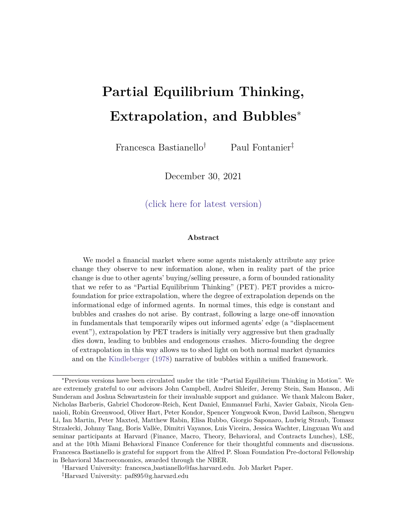which shows that in the long run the economy always returns to a stable region, with a steady state feedback e ect that is weaker than the original normal times feedback e ect. In the main text we show that when the strength of the feedback eect evolves in this way, prices and beliefs are initially non-stationary and accelerate away from fundamentals in a convex way. As the feedback eect then weakens towards its new steady state level, it eventually returns into a stable region, leading uninformed agents' beliefs to be disappointed, the bubble to burst, and prices and beliefs to converge back towards fundamentals.  $\Box$ 

# B Adding Speculative Motives

To model speculative motives, we let agents have Constant Absolute Risk Aversion (CARA) utility over next period wealth.

When traders have these preferences, their asset demand function conditional on their beliefs is given by:

$$
X_{i;t} = \frac{E_{i;t} [t_{t+1}]}{A V_{i;t} [t_{t+1}]} \tag{B.1}
$$

where the expected next period payo is given by:

$$
t_{t+1} \t P_{t+1} + (1) D_t \t (B.2)
$$

and simply re ects that with probability the asset is alive next period and wort  $P_{t+1}$ , and with probability (1  $\quad$  ) the asset dies and pays out its terminal dividen $\pmb{\mathbb{D}}_{{\rm t}}.$ 

Since agents are forecasting prices, which areadogenous putcomes, they now need to forecast other agents' future beliefs. Therefore, in solving the model with speculative motives, we need to specify agents' higher order beliefs. While partial equilibrium thinking helps to pin down uninformed agents' higher order beliefs (they simply assume that all agents trade on their private information alone, and that this is common knowledge), it allows for more 
exibility about informed agents' higher order beliefs.

We consider two cases. In Section B.1 we let informed agents be \PET-aware", so that they perfectly understand uninformed agents' biased beliefs. In Section B.2, we consider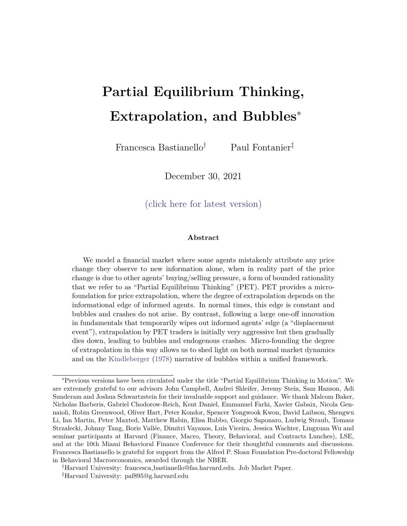a case where informed agents are \PET-unaware" and mistakenly believe that all other agents are rational, and that uninformed agents extract the right information from prices. This lines up with the distinction in practical asset management between investors who concentrate on the gap between market prices and their estimates of fundamentals, and those who also think about the behavioral biases in the market.

#### B.1 \PET aware" Speculation

In solving the model, we proceed in the same three steps we used in the baseline model. First, we solve for the true price function which generates the prices agents observe. Second, we specify the mapping that uninformed agents use to extract information from prices. Third, we solve the model forward, starting from the steady state in normal times. The one key di erence to our baseline setup is that since all agents are now forecasting an endogenous outcome, we now need to solve for the rst two steps by backwards induction. To do so, we use the new steady state after the uncertainty surrounding the displacement has been resolved as our terminal point.

Step 1: True Market Clearing Price Function. To determine the true market clearing condition which determines the prices agents observe, we know that in period t all informed agent trade on the whole history of signals they have received up until that date (f u<sub>j</sub> g<sub>i</sub><sub>=0</sub>, f s<sub>j</sub> g<sub>i</sub><sub>=1</sub>) and all uninformed agents trade on the information they have learnt from past prices.

We de ne D<sub>t</sub>  $D + \frac{P_t}{P_{i=1}} u_t$  and  $W_t$   $\frac{0}{t + \frac{Q_t}{P_t}}$   $0 + \frac{s}{t + \frac{Q_t}{P_t}}$  $\mathsf{P}_{\mathsf{j=1}}^{\mathsf{t}}$   $\mathsf{s}_{\mathsf{t}}$  to be informed agents' period t belief of normal times shocks and of the displacement respectively, and  $W_t$  are uninformed agents' beliefs about these quantities.

We can then guess that the true price function takes the following form:

$$
P_t = A_t (D_t + W_t) + B_t (D_{t-1} + W_{t-1}) \quad K_t
$$
 (B.3)

where  $D_{t-1} + W_{t-1}$  is the information that uninformed agents extract from past prices, and  $A_t$ ,  $B_t$  and  $K_t$  are time-varying and deterministic coe cients that depend on the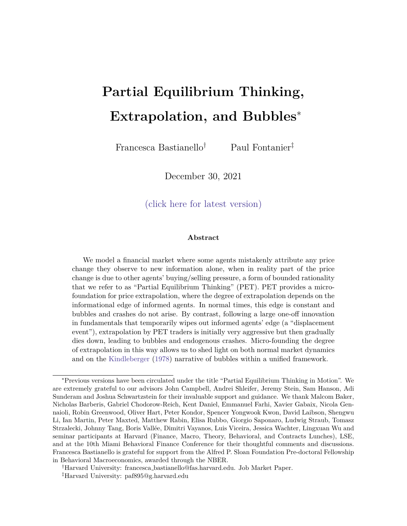properties of the environment.

To verify our guess, notice that if informed agents are aware of uninformed agents' bias, their beliefs about next period payo are given by:

.<br>.

$$
E_{1;t}[t_{t+1}] = (1 + A_{t+1})(D_t + W_t) + B_{t+1} \frac{P_t B_t(L + o) + K_t^{\perp}}{A_t^{\frac{Z_t}{Z}}}
$$
 K<sub>t+1</sub> (B.4)

$$
V_{1;t} [t_{t+1}] = (A_{t+1})^2 \frac{2}{u} + A_{t+1} \frac{s}{(t+1) s + 0} (s)^1
$$
  
+ 1 + A\_{t+1} \frac{s}{(t+1) s + 0} (t s + 0)^1 = V\_{1;t} (B.5)

Turning to uninformed agents' beliefs:

"

$$
E_{U;t}[t_{t+1}] = (1 + R_{t+1})(D_{t+1} + W_{t+1}) + B_{t+1}(D + 0) + K_{t+1}
$$
 (B.6)

$$
V_{U;t}[t_{t+1}] = V_{U;t} \quad A_{t+1} \quad u_{t+1} + u_t + \frac{2 s}{(t+1) s + 0}! + \frac{s}{(t+1) s + 0} (t_{t+1} + t) + (1) \quad (u_t + 1)
$$
\n
$$
= (A_{t+1})^2 \frac{2}{u} + 1 + A_{t+1}^2 \frac{2 s}{(t+1) s} \frac{1}{s} (t + 1) s + 0
$$
\n
$$
+ 2 \frac{s A_{t+1}}{(t+1) s + 0} \frac{1}{s} (s) + V_{U;t}
$$
\n(B.7)

where  $V_{U;t}$  is deterministic and time-varying.

Given these beliefs, the true market clearing condition which generates the prices agents observe is given by:

$$
\frac{E_{1;t} [t_{t+1}] P_t}{A V_{1;t} [t_{t+1}]}^t + (1) \frac{E_{U;t} [t_{t+1}] P_t}{A V_{U;t} [t_{t+1}]}^t = Z
$$
 (B.8)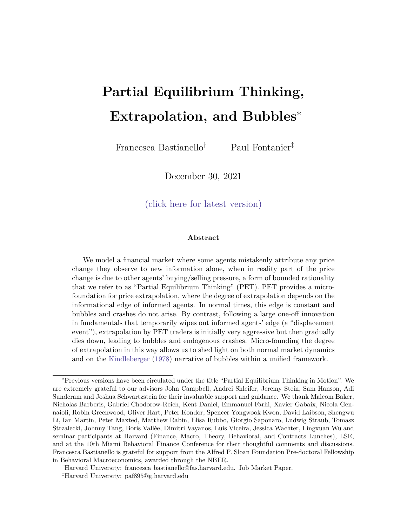and the resulting market clearing price function is given by:

$$
P_{t} = \frac{V_{U;t}}{V_{U;t} + (1 - )V_{1;t}} \begin{bmatrix} \mathbf{E}_{1;t} \begin{bmatrix} t+1 \end{bmatrix} \\ + \frac{(1 - )V_{1;t}}{V_{U;t} + (1 - )V_{1;t}} \begin{bmatrix} \mathbf{E}_{U;t} \begin{bmatrix} t+1 \end{bmatrix} \\ \frac{AZV_{1;t}V_{U;t}}{V_{U;t} + (1 - )V_{1;t}} \end{bmatrix}
$$
(B.9)

Since (B.4), (B.5), (B.6) and (B.7) show that  $E_{1;t}$ [  $_{t+1}$ ] is linear in (D<sub>t</sub> + W<sub>t</sub>) and  $(D_{t-1} + W_{t-1}), E_{U,t}[t_{t+1}]$  is linear in  $(D_{t-1} + W_{t-1}),$  and that  $V[t_{t+1}]$  and  $V[t_{t+1}]$  are deterministic, we see that the true price function does indeed take the form in (B.3). Substituting (B.4), (B.5), (B.6) and (B.7) into (B.9), and matching coe cients, yields:

$$
A_{t} = \frac{B_{0}}{B_{0}} \frac{\frac{1}{V_{1,t}}}{\frac{B_{t+1}}{A_{t}} + \frac{(1)}{V_{U,t}}}\hat{X}(1 + A_{t+1})
$$
(B.10)

$$
B_{t} = \bigotimes_{\frac{1}{V_{1;t}}} \frac{\frac{1}{V_{U;t}}}{1 - \frac{B_{t+1}}{A_{t}}} + \frac{(1 - t)^{2}}{V_{U;t}} \hat{X}(1 + A_{t+1})
$$
(B.11)

$$
K_{t} = \frac{B_{0}}{\omega_{\frac{1}{V_{1;t}}}} \frac{\frac{1}{V_{1;t}} + \frac{(1)}{V_{1;t}}}{0} \frac{1}{K_{t}} \frac{B_{t+1}}{1} + \frac{B_{t+1}}{A_{t}} \frac{B_{t+1}}{1} + \frac{B_{t+1}}{A_{t}} \frac{B_{t}(D + 0) + K_{t}}{1} + \frac{B_{0}}{\omega_{\frac{1}{V_{1;t}}}} \frac{\frac{1}{V_{1;t}}}{1} + \frac{\frac{1}{V_{1;t}}}{\frac{B_{t+1}}{A_{t}} + \frac{(1)}{V_{1;t}} \frac{1}{1} + \frac{AZ}{\frac{B_{t+1}}{A_{t}} + \frac{(1)}{V_{1;t}}}} \quad (B.12)
$$

These expressions give recursive equations for the coe cients which determine equilibrium prices at each point in time. To solve for this mapping, we then need to solve the model by backward induction. We can do this by using the new steady state after the uncertainty generated by the displacement is resolved as the end point. Specically, the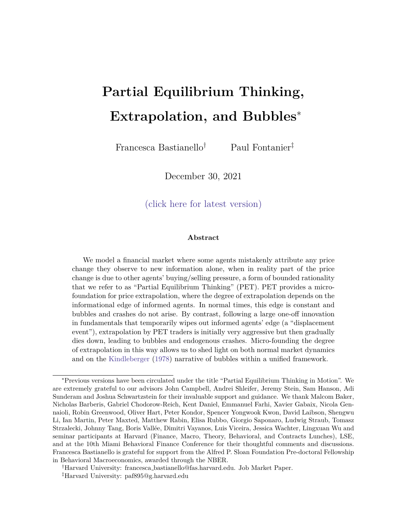new steady state is given by:

$$
A^{0} = \frac{B}{\omega} \frac{\overline{v_{1}^{0}}}{\overline{v_{1}^{0}}} \frac{1}{1 - \frac{B^{0}}{A^{0}} + \frac{1}{\overline{v_{0}^{0}}}} \hat{X} (1 + A^{0})
$$
 (B.13)

$$
B^{0} = \frac{B}{\omega} \frac{1}{\frac{V_{U}^{0}}{V_{I}^{0}} \frac{1}{A^{0}} + \frac{1}{V_{U}^{0}}} \hat{X} (1 + A^{0})
$$
 (B.14)

$$
K^{0} = \frac{B}{\omega} \frac{\overline{v_{1}^{0}}}{\overline{v_{1}^{0}}} \frac{1}{1 - \frac{B^{0}}{A^{0}} + \frac{1}{\overline{v_{0}^{0}}}} \frac{1}{A^{0}} \qquad K^{0} + \frac{B^{0}}{A^{0}} \qquad B^{0}(D + 0) + K^{0}
$$
\n
$$
+ \frac{B}{\omega} \frac{\overline{v_{0}^{0}}}{\overline{v_{1}^{0}}} \frac{1}{1 - \frac{B^{0}}{A^{0}} + \frac{1}{\overline{v_{0}^{0}}}} \qquad B^{0}(D + 0) + K^{0}
$$
\n
$$
+ \frac{AZ}{\overline{v_{1}^{0}}} \frac{1}{1 - \frac{B^{0}}{A^{0}} + \frac{1}{\overline{v_{0}^{0}}}} \qquad (B.15)
$$

where  $A^0$ ,  $B^0$  and  $K^0$  are the coe cients of the mapping PET agents use to extract information from prices in the new steady state, and which we solve for in (B.28), (B.29) and (B.30) in the next section respectively. Moreover $\mathsf{V}^0_\mathsf{I}$  and  $\mathsf{V}^0_\mathsf{U}$  are the variances of informed and uninformed agents in the new steady state when uncertainty is resolved:

$$
V_1^0 = \lim_{t \downarrow 1} V_{1,t} = (A^0)^2 \tfrac{2}{u}
$$
 (B.16)

$$
V_{U}^{0} = \lim_{t \to 1} V_{U,t} = (A^{0})^{2} \tfrac{2}{u} + (1 + A^{0})^{2} \tfrac{2}{u}
$$
 (B.17)

Using this steady state as our end point, we can then solve for the true price function which generates the prices agents observe by backward induction.

Step 2: Mapping to Infer Information from Prices. Just as in the baseline model without speculation, PET agents think that in period t informed agents trade on the information they have received so farf,  $u_j$   $g^t_{j=1}$  , f s<sub>j</sub>  $g^t_{j=1}$  , and that uninformed agents only trade on their prior beliefs. Therefore, we can guess their beliefs about the equilibrium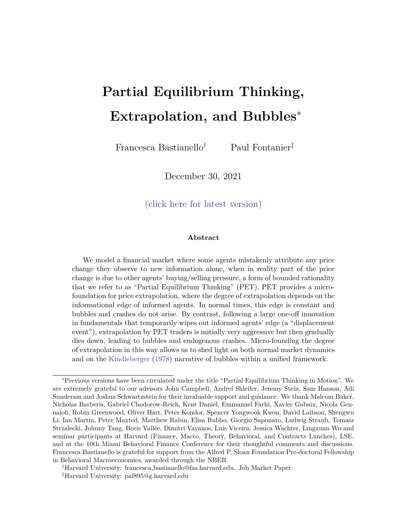price function takes the following form:

$$
P_t = A_t (D_t + W_t) + B_t (D + 0) \qquad K_t
$$
 (B.18)

where  $A_t$ ,  $B_t$  and  $K_t$  are time-varying and deterministic coe cients.

To verify that this is the price function which would arise in equilibrium if agents traded on their own private information alone, notice that, given this price function, informed agents' beliefs would take the following form:

$$
E_{1;t}[t_{t+1}] = E_{1;t}[R_{t+1}(D_{t+1} + W_{t+1}) + B_{t+1}(D + 0) + K_{t+1} + (1 -)(D_t + 1)]
$$
  
= (1 + R\_{t+1})(D\_t + W\_t) + B\_{t+1}(D + 0) + K\_{t+1} (B.19)

$$
\forall_{1;t} [\begin{array}{ccc} t_{t+1} \end{array}] = \forall_{1;t} \quad \mathcal{A}_{t+1} \quad \mathcal{A}_{t+1} + \mathcal{A}_{t+1} \quad \frac{s}{(t+1) \quad s + 0} \quad (\vdash + \sim_{t+1}) + (1) \quad \vdash
$$
\n
$$
= \mathcal{A}_{t+1} \quad \frac{2}{u} + \mathcal{A}_{t+1} \quad \frac{s}{(t+1) \quad s + 0} \quad (\begin{array}{c} s \end{array})^{-1}
$$
\n
$$
+ \quad 1 \quad + \mathcal{A}_{t+1} \quad \frac{s}{(t+1) \quad s + 0} \quad (t \quad s + 0) \quad 1 = \forall_{1;t} \quad (\text{B.20})
$$

where  $\forall_{1;t}$  is time-varying and deterministic. Turning to PET agents' beliefs of other uninformed agents' beliefs:

$$
\mathsf{E}_{\mathsf{U};t}[\begin{array}{cccc} t_{+1} \end{array}] = (1 \qquad + \quad \mathsf{A}_{t+1} + \quad \mathsf{B}_{t+1})(\mathsf{D} + \mathsf{I}_{\mathsf{O}}) \qquad \mathsf{K}_{t+1} \tag{B.21}
$$

$$
\forall_{U;t}[t_{t+1}] = \forall_{1;t} \mathcal{A}_{t+1}(\mathbf{u}_{t+1} + \mathbf{u}_t) + \mathcal{A}_{t+1} \underbrace{\frac{s}{(t+1)_{s} + 0}}_{\text{if } t \neq 0} (2\mathbf{L} + \mathbf{L}_{t+1} + \mathbf{L}_{t+1}) + (1) (\mathbf{u}_t + \mathbf{L})
$$
\n
$$
= \mathcal{A}_{t+1} \begin{array}{c} 2 \\ \frac{2}{u} + 1 \\ + 2 \mathcal{A}_{t+1} \end{array} + \mathcal{A}_{t+1} \begin{array}{c} \frac{s}{(t+1)_{s} + 0} \\ \frac{s}{(t+1)_{s} + 0} \\ \frac{s}{(t+1)_{s} + 0} \end{array} \begin{array}{c} \text{(s)} \\ \text{(s)} \end{array}^{1}
$$
\n
$$
+ 1 + 2 \mathcal{A}_{t+1} \begin{array}{c} \frac{s}{(t+1)_{s} + 0} \\ \frac{s}{(t+1)_{s} + 0} \end{array} \begin{array}{c} \text{(s)} \\ \text{(l)} \end{array}^{1}
$$

where  $V_{U;t}$  is time-varying and deterministic. Notice that we assume that PET agents think other uninformed agents are only uncertain about future (and not past) shocks.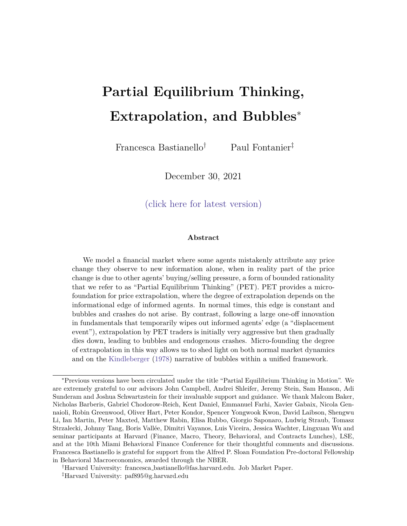Given these beliefs, the market clearing condition which PET agents think is generating the price that they observe is given by:

$$
\frac{\mathbf{E}_{1;t}[\mathbf{t}_{t+1}]\mathbf{P}_{t}^{!}}{A\,\forall_{1;t}[\mathbf{t}_{t+1}]} + (1) \quad \frac{\mathbf{E}_{U;t}[\mathbf{t}_{t+1}]\mathbf{P}_{t}^{!}}{A\,\forall_{U;t}[\mathbf{t}_{t+1}]} = Z
$$
 (B.23)

and the resulting market clearing price function is given by:

$$
P_{t} = \frac{\forall_{U;t} \qquad \vdots \qquad \qquad}_{U;t + (1 - \gamma)\forall_{1;t}} \qquad \qquad \mathbb{E}_{1;t} \left[ \begin{array}{c} t_{t+1} \end{array} \right] \qquad \qquad \mathbb{E}_{U;t} \left[ \begin{array}{c} t_{t+1} \end{array} \right] \qquad \qquad \mathbb{E}_{U;t} \left[ \begin{array}{c} t_{t+1} \end{array} \right] \qquad \qquad \qquad \mathbb{E}_{U;t} \left[ \begin{array}{c} t_{t+1} \end{array} \right] \qquad \qquad \mathbb{E}_{U;t + (1 - \gamma)\forall_{1;t}} \qquad \qquad \mathbb{E}_{U;t + (1 - \gamma)\forall_{1;t}} \qquad (B.24)
$$

Since (B.19), (B.20), (B.21) and (B.22) show that  $E_{1;t}$ [  $_{t+1}$ ] is linear in (D<sub>t</sub> + W<sub>t</sub>) and  $(D + o)$ , that  $E_{U;t}$  [  $_{t+1}$  ] is linear in  $(D + o)$  and that  $\forall_{1;t+1}$  [  $_{t+1}$  ] and  $\forall_{U;t+1}$  [  $_{t+1}$  ] are deterministic, we see that given PET agents' beliefs about other agents, the price function which generates the prices they observe does indeed take the form in (B.18). Substituting  $(B.19)$ ,  $(B.20)$ ,  $(B.21)$  and  $(B.22)$  into  $(B.24)$ , and matching coe cients yields:

$$
A_{t} = \frac{Q}{\frac{\overline{v}_{1,t}}{\overline{v}_{1,t}} + \frac{1}{\overline{v}_{1,t}}} A (1 + A_{t+1})
$$
 (B.25)

$$
B_{t} = \frac{Q}{\frac{\overline{v}_{1,t}}{\overline{v}_{1,t}} + \frac{1}{\overline{v}_{1,t}}} A B_{t+1} + \frac{Q}{\frac{\overline{v}_{1,t}}{\overline{v}_{1,t}} + \frac{1}{\overline{v}_{1,t}}} A (1 + A_{t+1} + B_{t+1})
$$
(B.26)

$$
K_{t} = \frac{\overline{\mathbf{v}}_{1:t}}{\overline{\mathbf{v}}_{1:t}} + \frac{1}{\mathbf{v}} \mathbf{A} \quad K_{t+1} + \frac{\overline{\mathbf{v}}_{1:t}}{\overline{\mathbf{v}}_{1:t}} + \frac{1}{\mathbf{v}} \mathbf{A} \quad K_{t+1} \quad \frac{AZ}{\overline{\mathbf{v}}_{1:t}} \tag{B.27}
$$

These expressions give recursive equations for the coe cients with determine equilibrium prices at each point in time. Therefore, to solve for this mapping, we need to solve the model by backward induction. We can do this by using the new steady state after the uncertainty generated by the displacement is resolved. Specically, uninformed agents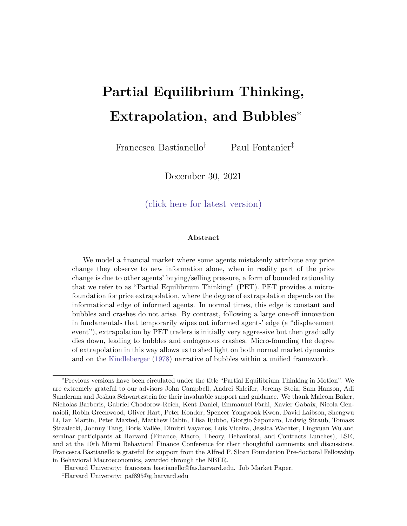think that the new steady state is given by:

$$
A^{0} = \frac{Q}{\frac{\overline{v}_{1}^{0}}{\overline{v}_{1}^{0}} + \frac{1}{\overline{v}_{0}^{0}}} A \left(1 + A^{0}\right)
$$
(B.28)

$$
B^{0} = \frac{Q}{\frac{\overline{v}_{1}^{0}}{\overline{v}_{1}^{0}} + \frac{1}{\overline{v}_{0}^{0}}} A B^{0} + \frac{Q}{\frac{\overline{v}_{0}^{0}}{\overline{v}_{1}^{0}} + \frac{1}{\overline{v}_{0}^{0}}} A (1 + A^{0} + B^{0})
$$
(B.29)

$$
K^{0} = \bigoplus_{\frac{\overline{V}_{1}^{0}}{\overline{V}_{1}^{0}} + \frac{1}{V_{0}^{0}}}^{0} A \quad K^{0} + \bigoplus_{\frac{\overline{V}_{0}^{0}}{\overline{V}_{1}^{0}} + \frac{1}{V_{0}^{0}}}^{0} A \quad K \quad \frac{AZ}{\overline{V}_{1}^{0} + \frac{1}{V_{0}^{0}}} \tag{B.30}
$$

where $\mathsf{A}^0$ ,  $\mathsf{B}^0$  and  $\mathsf{K}^0$  are PET agents' beliefs of the coe cients of the price function in the new steady state after the uncertainty associated with the displacement is resolved, and  $\forall_1^0$  and  $\forall_U^0$  are PET agents' beliefs of the variance of informed and uninformed agents in the new steady state when uncertainty is resolved:

$$
\nabla_1^0 = \lim_{t \downarrow 1} \nabla_{1,t} = (\nabla_1)^2 \frac{2}{u} \tag{B.31}
$$

$$
\forall_{U}^{0} = \lim_{t \downarrow 1} \forall_{U,t} = (A)^{2} \, \frac{2}{u} + (1 + A)^{2} \, \frac{2}{u} + (1) \, \frac{2}{u} \, \frac{2}{u} + (1) \, \frac{2}{u} \, \frac{1}{u} \tag{B.32}
$$

Using this steady state as our end point, we can then solve for the mapping uninformed agents use to extract information from prices by backward induction.

Given this mapping, uninformed agents extract the following information from prices:

$$
D_{t-1} + W_{t-1} = \frac{P_{t-1} - B_{t-1}(D + o) + K_{t-1}}{A_{t-1}}
$$
 (B.33)

Or, given their information set in period t, they extract the following new information from the unexpected price change they observe in period  $1$ :

$$
H_{t-1} + W_{t-1} = \frac{1}{A_{t-1}} (P_{t-1} - E_{U,t-1}[P_{t-1}])
$$
 (B.34)

where  $w_{t-1} = W_{t-1}$   $W_{t-2}$ . This veri es our claim in the text that PET agents extrapolate unexpected price changes even when we allow for speculative motives.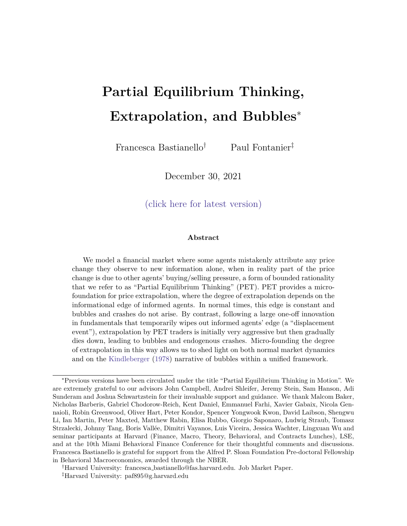Step 3: Solving the Model Recursively. We solve for the normal times steady state before the displacement is announced by solving the system of equations in (B.28), (B.29), (B.30) and (B.13), (B.14), (B.15), using the following normal times variances:

$$
\forall_1 = (A)^2 \, \frac{2}{u} \tag{B.35}
$$

$$
\forall_{U} = (A)^{2} \, u^{2} + (1 + A)^{2} \, u^{2}
$$
 (B.36)

$$
V_1 = (A)^2 \frac{2}{u}
$$
 (B.37)

$$
V_{U} = (A)^{2} u_{u}^{2} + (1 + A)^{2} u_{u}
$$
 (B.38)

Starting from the normal times steady state, we can then simulate the equilibrium path of our economy forward for a given set of signals.

#### B.2 \PET unaware" Speculation - Mistakenly Rational

If informed agents are not omniscient, and instead mistakenly believe that the world is rational, and that uninformed agents are able to recover the correct information form prices, then their posterior beliefs in (B.4) should be replaced by:

$$
E_{1;t}[t_{t+1}] = (1 + A_{t+1})(D_t + W_t) + B_{t+1}(D_t + W_t) \quad K_{t+1} \quad (B.39)
$$

Following the same steps as in Section B.1 above, it follows that the equilibrium price becomes:

$$
P_t = A_t (D_t + W_t) + B_t (D_{t-1} + W_{t-1}) \quad K_t
$$
 (B.40)

where:

$$
A_{t} = \frac{Q}{\frac{\overline{V}_{1:t}}{V_{1:t}} + \frac{1}{V_{U:t}} A} (1 + A_{t+1} + B_{t+1})
$$
(B.41)

$$
B_{t} = \frac{\frac{1}{V_{U_{1:t}}} - A}{\frac{1}{V_{1:t}} + \frac{1}{V_{U_{1:t}}} - A} \quad (1 \quad + \quad A_{t+1})
$$
 (B.42)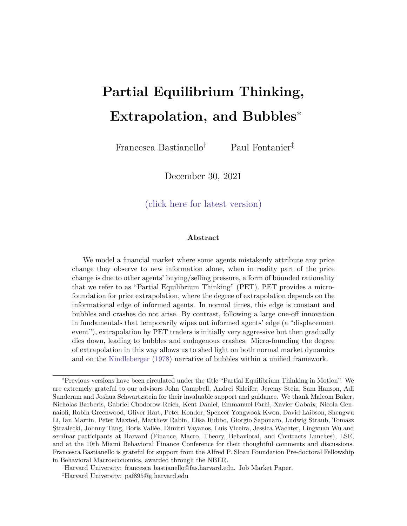$$
K_{t} = \frac{0}{\frac{\nabla_{I;t}}{\nabla_{I;t}} + \frac{1}{\nabla_{U;t}}} + K_{t+1} + \frac{0}{\frac{\nabla_{U;t}}{\nabla_{I;t}} + \frac{1}{\nabla_{U;t}}} + \frac{1}{\nabla_{U;t}} + \frac{1}{\nabla_{U;t}}}
$$
\n
$$
B_{t+1}(D + 0) + K_{t+1} + \frac{AZ}{\frac{\nabla_{I;t}}{\nabla_{I;t}} + \frac{1}{\nabla_{U;t}}} \tag{B.43}
$$

Since the mapping used by PET agents to extract information from prices is unchanged relative to the one in Section B.1, we can use this alternative price function to simulate the path of equilibrium prices and beliefs by following the same steps as in Section B.1.

# C Partially Revealing Prices

When prices are fully revealing, the extrapolation parameter used by PET agents is decreasing in informed agents' informational edge. In this section, we study how the extrapolation parameter changes if we allow for noise, so that prices are no longer fully revealing.

### C.1 Stochastic Supply and Information Structure

To consider the eect of noise on PET agents' inference problem, we assume that the supply of the risky asset is stochastic, and given by  $\frac{1}{d}N(Z; \frac{2}{z}).$ 

To illustrate the eect of noise in the simplest possible way, we assume that agents learn about the realization of the supply of the risky asset after two periods. In each period t, all agents are uncertain aboutz<sub>t j</sub>  $^{\text{iid}}$  N(Z;  $^2_{\text{z}}$ 1 and they know the realization of  $z_{t-h}$  for h 2. Even though one period lagged prices are partially revealing, this assumption makes prices fully revealing at further lags, thus simplifying PET agents' inference problem.

#### C.2 Inference Problem with Noise

When prices are fully revealing, uninformed agents think they can extract from prices the exact information that informed agents received in the previous period. This is no longer true when prices are partially revealing. When this is the case uninformed agents can only infer a noisy signal of fundamentals from prices.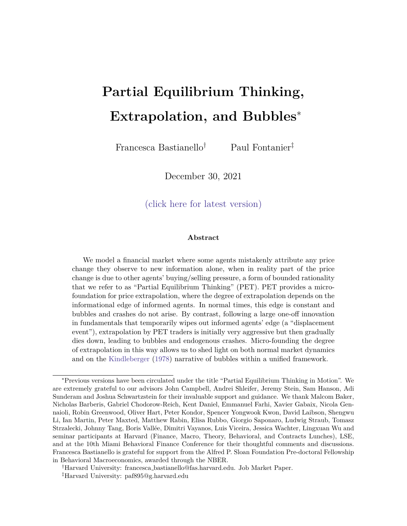Specically, in normal times, uninformed agents think that prices take the following form:

$$
P_{t-1} = a E_{1;t-2}[D_T] + u_{t-1} + bD \t 6z_{t-1} \t (C.1)
$$

where  $\frac{1}{\sqrt{1+1}}$  $\frac{1}{\gamma + (1)}$ ,  $b = \frac{(1)}{\gamma + (1)}$  $\frac{(1 \quad)^{2}U}{(1 \quad)^{2}U}$  and  $6 = \frac{A}{(1 \quad)^{4}(1 \quad)^{2}U}$  $\frac{A}{\gamma+(1-\gamma)}$ . Since prices are fully revealing in period t 2, but they are partially revealing in periodt 1, uninformed agents extract the following noisy signal from prices?

$$
\frac{P_{t-1} \quad aD_{t-2} \quad bD + \varepsilon Z}{a} = u_{t-1} \quad \frac{6}{a}(z_{t-1} \quad Z) \tag{C.2}
$$

and we can re-write this more simply as:

$$
\frac{1}{a} (P_{t-1} E_{t-1}[P_{t-1}]) = u_{t-1} \frac{6}{a}(z_{t-1} Z)
$$
 (C.3)

This shows that uninformed agents are now uncertain as to whether the unexpected price change they observe is due to new information, or to changes in the stochastic supply of the risky asset. Either way, PET agents still extrapolate past prices to recover a (noisy) signal from them.

Given the noisy information that uninformed agents extract from prices, their beliefs in period t are given by:

$$
E_{U,t}[D_T] = D_{t-2} + \frac{B_0}{\frac{2}{u} + \frac{e}{a} + \frac{2}{z}} \frac{1}{2} (P_{t-1} - E_{U,t-1}[P_{t-1}])
$$
 (C.4)

$$
= D_{t} \t 2 + \frac{1}{a} (P_{t} \t 1 E_{U;t} \t 1 [P_{t} \t 1]) \t (C.5)
$$

where  $=\frac{2}{a}$  $\frac{2}{u} + \left(\frac{e}{a}\right)^2$   $\frac{2}{z}$ ! 1 is the weight that PET agents put on the noisy signal they extract from past prices. This shows that the extrapolation parameter now depends on

 $17$ The assumption that prices are fully revealing in periodt  $2$  means that uninformed agents think they know the exact value of  $E_{1;t}$   $_2[D_T] = D_{t}$   $_2$ , as opposed to being uncertain about it.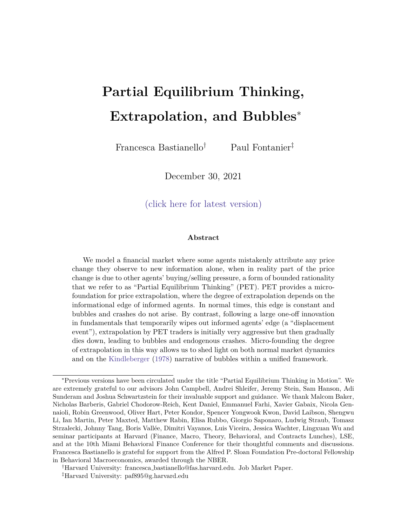two components:

$$
\frac{0}{a} = \frac{B_{0}}{Q} \frac{\frac{2}{u}}{\frac{2}{u} + \frac{1}{(Z^{2}} \frac{2}{z})} \frac{2}{u} + \frac{1}{(Z^{2} \frac{2}{u})} \frac{1}{u} \qquad (C.6)
$$
\n
$$
\frac{1}{(Z^{2} \frac{2}{u})} \frac{2}{u} \qquad (C.7)
$$
\nTherefore

where  $(\tau)$   $1 = \frac{1}{1}$  $\frac{1}{1}$   $\frac{2}{u} = (-1)$   $\frac{1}{1}$   $\frac{2}{u}$  and  $(\frac{\pi}{1})$   $\frac{1}{1}$   $\frac{2}{1}$  $\frac{2}{1}$   $\frac{2}{u}$ . Starting from the second component in (C.6), <sup>1</sup> = is the extrapolation parameter that would prevail if  $\frac{2}{z}$  = 0 and prices were fully revealing: the more sensitive prices are to shocks, the less strongly do PET agents need to extrapolate unexpected price changes to recover the (in their mind unbiased) noisy signalu $_{r<sub>1</sub>}$ c~  $\frac{e}{a}(z_{t-1} - Z)$  from prices. Turning to the rst component in  $(C.6)$ , 1 is the weight that PET agents put on the information they extract from prices when forming their posterior beliefs. Whenever $^2_{z}$  > 0,  $\,$  < 1, and PET agents extrapolate prices less strongly than when prices are fully revealing, and this simply re
ects the noisy nature of the signal they are able to infer from prices.

To draw comparative statics, we can substitute the expressions for and  $_{\nu}$  into (C.6), and re-write the extrapolation parameter in terms of the primitives of the model:

$$
= \frac{8}{a} = \frac{8}{\frac{a}{1} + \frac{1}{1} + \frac{2}{1} + \frac{2}{1} + \frac{2}{1} + \frac{2}{1} + \frac{2}{1} + \frac{2}{1} + \frac{2}{1} + \frac{2}{1} + \frac{2}{1} + \frac{2}{1} + \frac{2}{1} + \frac{2}{1} + \frac{2}{1} + \frac{2}{1} + \frac{2}{1} + \frac{2}{1} + \frac{2}{1} + \frac{2}{1} + \frac{2}{1} + \frac{2}{1} + \frac{2}{1} + \frac{2}{1} + \frac{2}{1} + \frac{2}{1} + \frac{2}{1} + \frac{2}{1} + \frac{2}{1} + \frac{2}{1} + \frac{2}{1} + \frac{2}{1} + \frac{2}{1} + \frac{2}{1} + \frac{2}{1} + \frac{2}{1} + \frac{2}{1} + \frac{2}{1} + \frac{2}{1} + \frac{2}{1} + \frac{2}{1} + \frac{2}{1} + \frac{2}{1} + \frac{2}{1} + \frac{2}{1} + \frac{2}{1} + \frac{2}{1} + \frac{2}{1} + \frac{2}{1} + \frac{2}{1} + \frac{2}{1} + \frac{2}{1} + \frac{2}{1} + \frac{2}{1} + \frac{2}{1} + \frac{2}{1} + \frac{2}{1} + \frac{2}{1} + \frac{2}{1} + \frac{2}{1} + \frac{2}{1} + \frac{2}{1} + \frac{2}{1} + \frac{2}{1} + \frac{2}{1} + \frac{2}{1} + \frac{2}{1} + \frac{2}{1} + \frac{2}{1} + \frac{2}{1} + \frac{2}{1} + \frac{2}{1} + \frac{2}{1} + \frac{2}{1} + \frac{2}{1} + \frac{2}{1} + \frac{2}{1} + \frac{2}{1} + \frac{2}{1} + \frac{2}{1} + \frac{2}{1} + \frac{2}{1} + \frac{2}{1} + \frac{2}{1} + \frac{2}{1} + \frac{2}{1} + \frac{2}{1} + \frac{2}{1} + \frac{2}{1} + \frac{2}{1} + \frac{2}{1} + \frac{2}{1} + \frac{2}{1} + \
$$

From this expression, we see that the extrapolation parameter is decreasing in all sources of noise ( $\frac{2}{u}$  and  $\frac{2}{z}$ ), as this reduces the informativeness of the signal uninformed agents extract from prices.

On the other hand, increasing the perceived information advantage  $(2)$  and the fraction of informed agents in the market ( ) both have two competing roles. Increasing  $1=$  2 (or) decreases the fully revealing extrapolation parameter as prices are more sensitive to news, but it also increases the weight as prices are a more informative signal. For small enough noise, the rst e ect dominates, and the extrapolation parameter is decreasing in the informational edge, and in the fraction of informed agents in the market. On the other hand, if there is too much noise in prices, the second eect dominates and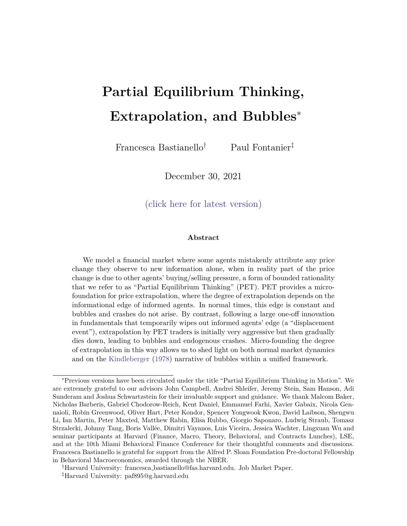the comparative statics are reversed.

# D Normal Times and Displacements in Other Setups

In this section, we consider alternative setups to study how partial equilibrium thinking leads to momentum and reversals following a temporary shock, and to show how the results we uncovered in our main model are robust to altering the setup.

### D.1 Temporary Shocks

D.1.1 Setup

Assets. Consider an economy where agents are solving a portfolio choice problem between a risky and a riskless asset. The risk-free asset is in zero net supply, and we normalize its price and risk free rate to one $P_f = R_f = 1$ . The risky asset is in xed net supply Z, and pays o a stream of dividends  $v_t$  each period.

$$
V_t = (1) V + V_{t-1} + U_t
$$
 (D.1)

where v is the unconditional mean of the fundamental value of the asset, 2 [0; 1] is the persistence coe cient, andu<sub>t</sub>  $N(0; u<sup>1</sup>)$ .

Agents and Preferences. There is a continuum of measure one of agents. All agents live for one period. There are no bequest motives, so agents are myopic. Moreover, we assume that all agents are only concerned with forecasting the fundamental value of the asset, so that at timet they have the following demand function for the risky asset:

$$
X_{it} = \frac{E_{it}[V_{t+1}]}{AV \, ar_{it}[V_{t+1}]} \tag{D.2}
$$

where $E_{it}$  [ ] and V ar<sub>it</sub> [ ] characterize agent's beliefs about next period fundamental payo given the information set they have at timet. Notice that capital gains don't show up in agents' demand functions. While we could extend this framework to allow for speculative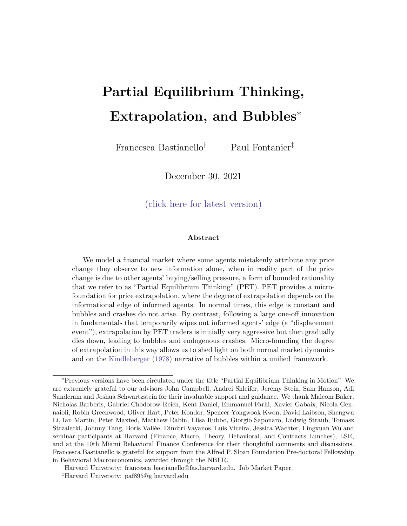motives, we make this assumption to study the basic mechanism in the simplest possible framework. Moreover, we assume that uninformed agents do not observe the history of  $v_t$  and they only observe their own realized payo once they leave the market in period  $t + 1$ .

Information Structure in Normal Times. All agents know v, as well as all other parameters of the unconditional distribution of $v_t$  and  $u_t$ . Moreover, a fraction of agents are informed, and they observe the whole history<sub>j</sub> for j before making their portfolio choice in each period. A fraction (1 ) of agents are uninformed, and they do not observe  $u_t$ ,  $v_t$  nor their history. However, they can learn information from past prices.

Equilibrium. In equilibrium, uninformed agents' beliefs must be consistent with past prices they observe, given their model of the world. Moreover, all agents trade according to their demand functions in (D.69) given their beliefs, and markets clear. This gives the following price function, conditional on agents' beliefs:

$$
P_{t} = a_{t} E_{1;t} [v_{t+1}] + b_{t} E_{U;t} [v_{t+1}] \quad c_{t}
$$
 (D.3)

where  $a_t = \frac{V_{U,t}}{V_{U,t} + (1 - t)}$  $\frac{V_{\bigcup_{\mathfrak{t} \mathfrak{t}}} }{V_{\bigcup_{\mathfrak{t} \mathfrak{t}}}+(1-V) V_{\big| \mathfrak{t} \mathfrak{t}}}$  ,  $\mathbf{b}_{\mathfrak{t}}$   $-\frac{(1-V) V_{\bigcup_{\mathfrak{t} \mathfrak{t}}} }{V_{\bigcup_{\mathfrak{t} \mathfrak{t}}}+(1-V) V_{\big| \mathfrak{t} \mathfrak{t}}}$  $\frac{(1 - )V_{1;t}}{V_{U;t} + (1 - )V_{1;t}}$  and  $c_t$   $\frac{V_{1;t} V_{U;t}}{V_{U;t} + (1 - )V_{1;t}}$  $\frac{V_{1;t} V_{U;t}}{V_{U;t}+(1-V_{1;t})V_{1;t}}$  AZ  $V_{i;t}$  = Var<sub>it</sub> [ $v_{t+1}$ ] for i 2 f I; U g. Therefore, in order to nd the equilibrium price, we need to pin down informed and uninformed agents' beliefs about $_{t+1}$ .

#### D.1.2 Normal Times

Informed Agents' Beliefs. Informed agents' beliefs are simply given by:

$$
E_{1,t}[V_{t+1}] = (1) V + V_t
$$
 (D.4)

$$
V_{1,t}[V_{t+1}] = \frac{2}{u}
$$
 (D.5)

Uninformed Agents' Beliefs. To compute uninformed agents' beliefs, we start by determining what information they extract from past prices.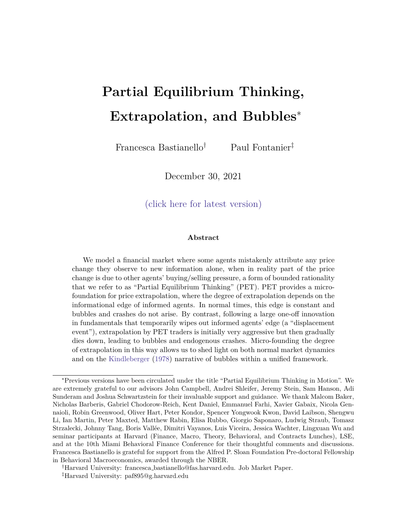Misspecied Mapping used to Extract Information from Past Prices. To construct this mapping, we need to write down uninformed agents' beliefs of the price function which generates the prices they observe. This, in turn, requires us to specify uninformed agents' beliefs of other agents' beliefs about next period fundamentals. We denote-by uninformed agents' beliefs about a variable. When agents think in partial equilibrium, they think that informed agents hold the following posterior beliefs:

$$
\mathbf{E}_{1;t-1}[v_t] = (1 \quad v_t + v_{t-1} \quad (D.6)
$$

$$
\forall_{1;t \quad 1} [\mathsf{V}_t] = \begin{array}{c} 2 \\ u \end{array} \tag{D.7}
$$

Moreover, PET agents think that all other uninformed agents do not learn information from prices, and instead trade on the unconditional mean and variance:

$$
\mathbf{E}_{\mathsf{U};t-1}[\mathsf{V}_t] = \mathsf{V} \tag{D.8}
$$

$$
\nabla_{U;t-1}[V_t] = \frac{2}{1-2}
$$
 (D.9)

Substituting these expressions into (D.3), we obtain the price function which uninformed agents think is generating the price that they observe.

$$
P_{t-1} = a^{CE} ((1) v + w_{t-1}) + b^{CE} v c^{CE}
$$
 (D.10)

where 
$$
a^{CE}
$$
  $\frac{\forall_{U;t}}{\forall_{U;t}+(1)}\frac{\exists_{U;t}}{\forall_{U;t}+(1)} = \frac{\frac{2}{1-2}}{\frac{2}{1-2}+(1-1)\frac{2}{u^2}}\text{, } b^{CE}$   $\frac{(1-1)\forall_{I;t}}{\forall_{U;t}+(1-1)\forall_{I;t}} = \frac{(1-1)\frac{2}{u}}{\frac{2}{1-2}+(1-1)\frac{2}{u^2}}\text{,}$ 

 $C^{CE}$   $\frac{\forall_{1;t} \quad 1 \forall_{U;t} \quad 1}{\forall_{t} \quad 1 \quad (1, 1) \forall t}$  $\frac{V_{1;t} - 1}{V_{1;t} + (1)} V_{1;t}$   $\overline{V}_{1;t}$   $\overline{V}_{1;t}$ 2 u  $\frac{2}{1}$  $\frac{2}{1}$  +(1)  $\frac{2}{u}$ AZ.<sup>18</sup> Therefore, uninformed agents invert

(D.10) to extract the following information from prices:

(1) 
$$
v + v_{t-1} = \frac{1}{a^{CE}} P_{t-1} \frac{b^{CE}}{a^{CE}} v + \frac{c^{CE}}{a^{CE}}
$$
 (D.11)

<sup>&</sup>lt;sup>18</sup>Throughout Appendix D, we use  $\angle$ CE" to stand for Cursed Equilibrium (Eyster and Rabin (2005)): cursed agents do not learn information from prices, and instead trade on their private information alone. In this respect, PET agents think that all other agents are cursed. Therefore PET agents invert the cursed equilibrium price function to infer information from prices.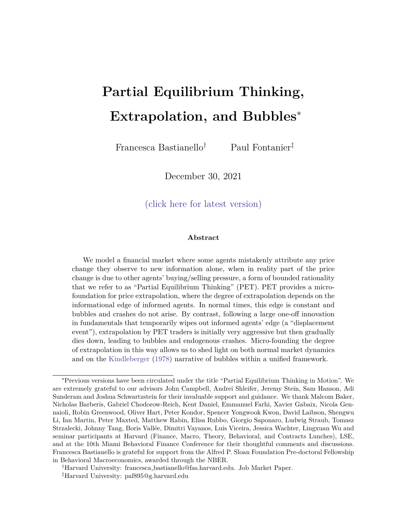Uninformed Agents' Beliefs.Having determined what information uninformed agents extract from past prices they observe, we can compute their beliefs:

$$
E_{U,t}[V_{t+1}] = (1) V + ((1) V + V_{t-1})
$$
 (D.12)

$$
= \frac{1}{a^{CE}} P_{t+1} + 1 \qquad \frac{b^{CE}}{a^{CE}} v + \frac{c^{CE}}{a^{CE}}
$$
 (D.13)

$$
V_{U;t}[V_{t+1}] = (1 + \,^2) \,^2_{u} \tag{D.14}
$$

So uninformed agents' beliefs resemble some form of extrapolation:

$$
E_{U;t}[V_{t+1}] = {}_{1}P_{t-1} + {}_{2}
$$
 (D.15)

where:

$$
1 = \frac{1}{a^{CE}}
$$
 (D.16)

Equilibrium. Substituting agents' beliefs in (D.4), (D.5), (D.13), (D.14) into (D.3), we obtain the path of equilibrium prices:

$$
P_{t} = \frac{b}{a^{CE}}^{!} P_{t-1} + a(1) (v_{t} v) + P 1 \frac{b}{a^{CE}}^{!}
$$
 (D.17)

where a  $\frac{V_{U,t}}{V_{U,t}+1}$  $\frac{V_{U_{1;t}}}{V_{U_{1;t}}+(1 - V_{1;t})}$  =  $\frac{(1+i)^2}{(1+i)^2} \frac{(1+i)^2}{(1+i)^2}$ , b  $\frac{(1-i)^{V_{1;t}}}{V_{U_{1;t}}+(1-i)^2}$  $\frac{(1)}{V_{U;t}+(1)}\frac{V_{1;t}}{V_{1;t}} = \frac{(1)}{(1+i)^2}\frac{1}{2} \frac{1}{1+i}$ **C**  $\frac{V_{U;t} V_{I;t}}{V_{U;t} + (1 - \frac{1}{2})}$  $\frac{V_{U_{t}}V_{U_{t}}V_{U_{t}}}{V_{U_{t}}+(1-V_{t})V_{U_{t}}}$ AZ =  $\frac{\frac{2}{9}(1+\frac{2}{9})\frac{2}{9}}{\frac{2}{9}+(1-\frac{2}{9})\frac{2}{9}}$  and P is the unconditional mean of prices when agents think in partial equilibrium, and is such thatP  $\frac{1}{2}$  $\frac{b}{a^{CE}}$  a + b 1  $\frac{b^{CE}}{a^{CE}}$  $\overline{\mathsf{a}^{\mathsf{CE}}}$ v+  $\mathsf{b}^{\,\text{c}\,\text{CE}}_{\overline{\text{aCE}}}$  $rac{c^{CE}}{a^{CE}}$  c. Let L denote the lag operator. Then, using the fact that $v(t - v) = (1 - 1) t_0$ , and rearranging, we can re-write the dynamics of equilibrium prices as follows:

$$
P_t \quad P = \frac{a(1)}{(1 \quad L) \quad 1 \quad \frac{b}{a^{CE}}L} u_t \tag{D.18}
$$

This makes clear that the equilibrium price follows an AR(2) process. Moreover, for this process to be stationary, we need the roots of the characteristic equation to lie outside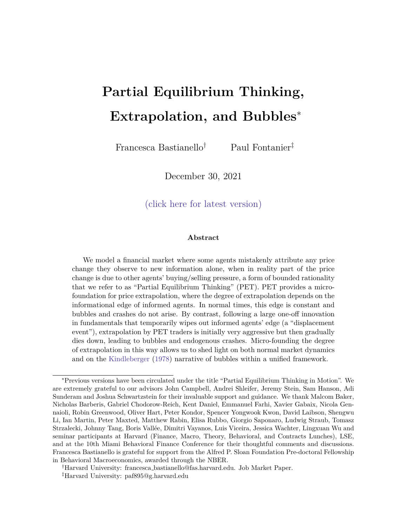the unit circle:

$$
< 1 \qquad \frac{b}{a^{CE}} < 1 \qquad \qquad (D.19)
$$

Rational Expectations Equilibrium Comparison. We can compare the PET impulse response function to the impulse response function which would arise if agents had rational expectations and were able to extract the correct information from past prices.

In this case, informed agents' beliefs are as in (D.4) and (D.13), while uninformed agents' beliefs are as follows:

$$
E_{U;t}[V_{t+1}] = (1 \t 2)v + \t 2V_{t-1}
$$
\t(D.20)

and with the same conditional variance as in (D.14). Substituting these beliefs into (D.3), we get the following expression for the path of equilibrium prices:

$$
P_t = a((1 \t) v + v_t) + b((1 \t) v + v_{t-1}) c \t (D.21)
$$

= 
$$
a(v_t + v) + b(v_{t-1} + v) + (a + b)v
$$
 c (D.22)

We can rewrite this as:

$$
(P_t \t P) = \frac{a}{1} \frac{1}{L} \frac{b}{L} u_t
$$
 (D.23)

Therefore, with rational expectations, the equilibrium price follows an ARMA(1,1). Moreover, stationarity of an ARMA process depends entirely on the autoregressive parameters, and not on the moving average parameters. Speci cally, whenever the roots of  $(\Sigma) = 0$ lie outside the unit circle, this system is stationary. In other words, whenever  $\lt$  1, the rational expectations equilibrium is stationary, while this was not enough to guarantee stationarity of the price dynamics when agents think in partial equilibrium.

Simulation. We simulate the CE, REE and PET equilibrium. We start all three cases from a steady state with  $v_0 = v$ , such that uninformed agents' beliefs are consistent with the prices they observe.

Steady State.For the REE and CE equilibrium concepts, uninformed agents' beliefs in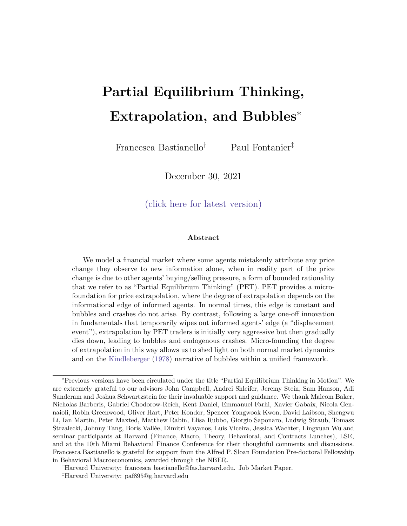steady state are simply equal to  $E_{U;0}[V_1] = V$ . On the other hand, for PET agents' beliefs to be consistent with the steady state price they observe, it must be that the steady state extracted fundamental $v_{\rm ss}$  satis es both these expressions:

$$
P_0^{PET} = av + b((1) v + ((1) v + v_{ss}))
$$
 (D.24)

$$
P_0^{CE} = a^{CE} ((1 \t) v + v_{ss}) + b^{CE} v \t c^{CE}
$$
 (D.25)

so that:

$$
(1) \quad y + \quad \mathsf{v}_{ss} = \frac{a + b(1)}{a^{CE}} \quad \frac{b^{CE}}{b} \quad \frac{c + c^{CE}}{c^{EC}} \tag{D.26}
$$

$$
E_{U;0}^{PET}[V_1] = (1) V + \begin{array}{c} 0 \\ \text{a} + b(1) \\ \text{a}^{CE} \\ \text{b} \end{array} \quad \text{or} \quad C + C^{CE} \begin{array}{c} 1 \\ \text{b} \\ \text{c} \end{array} \tag{D.27}
$$

Impulse Response FunctionWe then shock the economy in period 1 with  $1 = 5$  and  $u_t = 0$  for  $t > 1$ , and we compute the impulse response function for each equilibrium concept. We plot the demeaned price path to study the response to shocks while taking into account the di erence in steady states.

Figure 10: Normal Times Demeaned Price Pathmpulse response function following a shock to the fundamental value of the assetu<sub>1</sub> = 5.

This impulse response function shows PET's ability to generate momentum and reversal to \normal-times" shocks.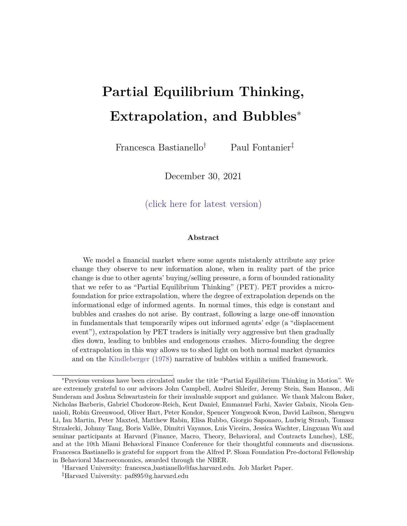#### D.1.3 Displacement

Information Structure after a Displacement. Kindleberger-style displacements are associated with periods of uncertainty about long term outcomes, and this uncertainty gradually resolves over time. We model a displacement as an unanticipated and uncertain shock to the unconditional mean of the fundamental value of the asset. Specically, we can write the evolution of the fundamental value of the asset as follows:

$$
8\n8\n8\n
$$
v_{t} = (1)
$$
 )*v* + *v*<sub>t 1</sub> + *u*<sub>t</sub> if t 0  
\n
$$
v_{t} = (1)
$$
 )*(v* + ! ) + *v*<sub>t 1</sub> + *u*<sub>t</sub> if t > 0 (D.28)
$$

When the displacement is \announced" in period = 0, all agents have the same prior unconditional distribution, !  $_0$ <sup>1</sup>). Starting from period t = 1 informed agents receive a signa $s_t = ! + t$ , with  $t$  i<sup>id</sup> N(0;  $s$ <sup>1</sup>) each period, and they also continue to observeu<sub>t</sub>. Uninformed agents do not observe these signals, and can still only learn information from past prices.

Starting from the steady state equilibrium, let the shock be announced in peridd =  $0$ , we can then write the evolution of the fundamental value of the asset as follows:

$$
v_{t} = (1 \t t)(v + 1) + \t t_{v_{0}} + \sum_{j=0}^{K} u_{t-j}
$$
 (D.29)

We can re-write this as:

$$
v_t = (1 \t t)(v + 1) + \t t v_0 + U_{t-1} + u_t \t (D.30)
$$

where  $U_{t-1} = \begin{bmatrix} P_{t-1} & j & j \\ j & =1 \end{bmatrix} U_{t-j}$ .

Informed Agents' Beliefs. Informed agents' beliefs are given by:

$$
E_{1,t}[v_{t+1}] = (1 \t t+1) \Big|_{\text{Q}}^{\frac{3}{2}} v + \frac{t \, \text{s}}{\left| \frac{t \, \text{s} + \text{O}}{\left( z + \text{O} \right)} \right|} S_t + \frac{0}{\left( z + \text{O} \right)} \Big|_A^{\frac{3}{2}} + \frac{t+1}{\left( z + \text{O} \right)} V + U_t \qquad (D.31)
$$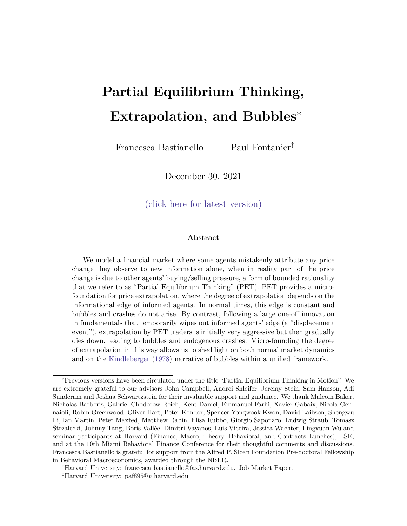$$
V_{1,t}[V_{t+1}] = (1 \t^{t+1})^2 \left( \underbrace{t \ s + (z-0)}_{V_{1,t}[1]} \right)^1 + \underbrace{t \ s + (z-0)}_{u}
$$
 (D.32)

where  $S_t$  $P_{\substack{t \ i=1}}$  s<sub>j</sub>, and sinces<sub>j</sub> = ! + <sub>j</sub>, we can re-write this as a stationary AR(1) process with mearl and AR(1) coe cient  $\frac{t-1}{t}$  :  $(S_t \t! = \frac{1}{t(1 - (\frac{t-1}{t})L)} t$ .

Uninformed Agents' Beliefs. Turning to uninformed agent's beliefs, we proceed in the same two steps as when solving the model in normal times: rst, we determine what unbiased signal uninformed agents extract from prices; second, we determine how they use this information to compute their forecasts about next period fundamentals.

Misspecied Mapping used to Extract Information from Past Prices.Unlike in normal times, uninformed agents now have to gain information about two shock $s_t$ (and  $t_t$ ) from prices, and both these shocks are incorporated into prices via informed agents' beliefs. Therefore, uninformed agents extrac $\mathbf{E}_{i;t-1}[V_t]$  from  $P_{t-1}$ . To do so, they must form beliefs about what generates the prices they observe, which in turn requires them to from beliefs about all other agents' beliefs. Specically, they correctly understand how informed agents form their beliefs:

$$
\mathbf{E}_{1;t-1}[v_t] = (1 \t t) \frac{(t \t 1)_{s}}{(t \t 1)_{s} + 0} S_t + \frac{0}{(t \t 1)_{s} + 0} \t t^{t} v_0 + U_t \t (D.33)
$$

$$
\forall_{1;t \quad 1}[v_t] = (1 \qquad {}^t)^2((t \quad 1)_{s} + \_0)^{-1} + \_0^2 \tag{D.34}
$$

but they mistakenly think that all other uninformed agents do not infer information from prices:

$$
\mathbf{E}_{\mathsf{U},t-1}[\mathsf{V}_t] = (1 \quad {}^{t})(\mathsf{V} + \mathsf{I}_0) + {}^{t}\mathsf{V} \tag{D.35}
$$

$$
\forall_{U;t-1}[V_t] = (1 \t t)^2 {}_0^1 + \frac{2}{1 \t 2} \t (D.36)
$$

Given these beliefs, they think that market clearing prices are generated by:

$$
P_{t-1} = a_{t-1}^{CE} E_{1;t-1}[V_t] + b_{t-1}^{CE} E_{U;t-1}[V_t] \quad c_t^{CE}
$$
 (D.37)

where  $a_{t-1}^{\sf CE}$  $V_{U;t}$  1  $\frac{\nabla_{U;t-1}}{\nabla_{U;t-1}+(1-\nabla_{I;t-1}+\nabla_{I})}$ ,  $b_{t-1}^{CE}$  $(1)$   $\nabla$ <sub>1;t 1</sub>  $\frac{(1 - )\forall_{1;t = 1}}{\forall_{U;t = 1} + (1 - )\forall_{1;t = 1}}, \ C_t^{CE}$  $\forall$ <sub>U;t 1</sub> $\forall$ <sub>I;t 1</sub>AZ  $\frac{v_{U;t-1}v_{I;t-1} + c_1}{v_{U;t-1}+ (1 - v_{I;t-1} + v_{I;t-1})}$ , and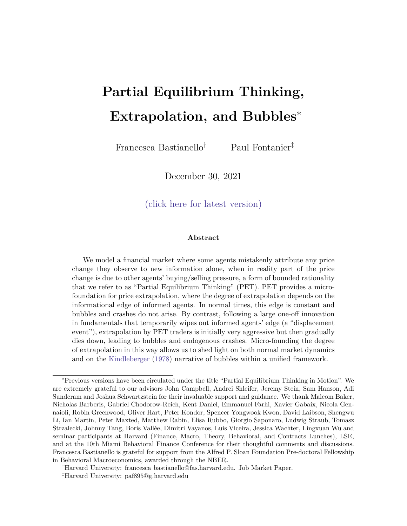where  $\forall_{1:t}$  1[ $v_{t+1}$ ] and  $\forall_{U:t}$  1[ $v_{t+1}$ ] are given by (D.34) and (D.36) respectively.

Importantly, notice that the mapping that uninformed agents use to extract information from prices is now time-varying (since  $e^{\text{CE}}_{t_{-1}}$ ,  $b^{\text{CE}}_{t_{-1}}$  and  $c^{\text{CE}}_{t_{-1}}$  are all time-varying). The time variation in these coe cients stems from the fact that uninformed agents understand that displacements generate changes in uncertainty.

Uninformed agents then invert this mapping to infer information from prices:

$$
\mathbf{E}_{1;t-1}[v_t] = \frac{1}{a_t^{CE}1} P_{t-1} \qquad \frac{b_t^{CE}}{a_t^{CE}1} \mathbf{E}_{U;t-1}[v_t] + \frac{c_t^{CE}}{a_t^{CE}1} \tag{D.38}
$$

Uninformed Agents' Beliefs. We are now left to pin down how uninformed agents update their beliefs given the information they extract from prices. For ease of notation, let  $v_{\text{tift 1}}$   $E_{1;t-1}[v_t]$  from (D.38). We can then write this as:

$$
v_{tjt-1} = (1 \t t) \t v + \frac{(t \t 1)_{s}}{(t \t 1)_{s+0}} \t t + \frac{P_{t-1}}{t \t 1} + \frac{0}{(t \t 1)_{s+0}} \t \cdots + \frac{1}{v_0} + U_{t-1} \t (D.39)
$$

Uninformed agents' forecasts are then given by:

$$
E_{U;t}[V_{t+1}] = (1 \t t+1) \t V + E_{U;t}[! j \mathbf{v}_{tjt-1}] + t+1 \mathbf{v}_0 + E_{U;t}[U_{t-1} j \mathbf{v}_{tjt-1}] \t (D.40)
$$

 $V_{U;t}[V_{t+1}] = (1 \t t+1)^2 V_{U;t}[! jv_{tjt-1}] + \t t^2 V_{U;t}[U_{t-1}jv_{tjt-1}] + 2(1 \t t+1) Cov_{U;t}[!; U_{t-1}jv_{tjt-1}] + (1+t^2) \frac{2}{u}$ (D.41)

where: EU;t 2 4 ! U<sup>t</sup> <sup>1</sup> 3 5 = 2 4 E[! ] + Cov( !; v~<sup>t</sup> <sup>j</sup> <sup>t</sup> <sup>1</sup> ) Var(~v<sup>t</sup> <sup>j</sup> <sup>t</sup> <sup>1</sup> ) v~<sup>t</sup> jt <sup>1</sup> E[~v<sup>t</sup> jt <sup>1</sup>] E[U<sup>t</sup> <sup>1</sup>] + Cov( <sup>U</sup><sup>t</sup> <sup>1</sup> ;v~<sup>t</sup> <sup>j</sup> <sup>t</sup> <sup>1</sup> ) Var(~v<sup>t</sup> <sup>j</sup> <sup>t</sup> <sup>1</sup> ) v~<sup>t</sup> jt <sup>1</sup> E[~v<sup>t</sup> jt <sup>1</sup>] 3 5 (D.42)

2 3 2  
\n
$$
Cov_{U;t} 4 \stackrel{!}{=} 5=4
$$
\n
$$
Cov(w;U_{t-1}) \stackrel{Cov(t; w_{tjt-1})^2}{=} Cov(w;U_{t-1})
$$
\n
$$
Cov(w;U_{t-1}) \stackrel{Cov(t; w_{tjt-1})^2}{=} Cov(w;U_{t-1})
$$
\n
$$
Cov(w;U_{t-1}) \stackrel{Cov(t; w_{tjt-1})^2}{=} Cov(w;U_{t-1})
$$
\nand\n2 3 2  
\n
$$
E\begin{bmatrix} 6 & 7 \ 4 & 7 \end{bmatrix} E\begin{bmatrix} 6 & 0 \ 4 & 7 \end{bmatrix} E\begin{bmatrix} 7 & 6 \ 4 & 1 \end{bmatrix} E\begin{bmatrix} 7 & 6 \ 4 & 1 \end{bmatrix} E\begin{bmatrix} 7 & 6 \ 4 & 1 \end{bmatrix} E\begin{bmatrix} 7 & 6 \ 4 & 1 \end{bmatrix} E\begin{bmatrix} 7 & 6 \ 4 & 1 \end{bmatrix} E\begin{bmatrix} 7 & 6 \ 4 & 1 \end{bmatrix} E\begin{bmatrix} 7 & 6 \ 4 & 1 \end{bmatrix} E\begin{bmatrix} 7 & 6 \ 4 & 1 \end{bmatrix} E\begin{bmatrix} 7 & 6 \ 4 & 1 \end{bmatrix} E\begin{bmatrix} 7 & 6 \ 4 & 1 \end{bmatrix} E\begin{bmatrix} 7 & 6 \ 4 & 1 \end{bmatrix} E\begin{bmatrix} 7 & 6 \ 4 & 1 \end{bmatrix} E\begin{bmatrix} 7 & 6 \ 4 & 1 \end{bmatrix} E\begin{bmatrix} 7 & 6 \ 4 & 1 \end{bmatrix} E\begin{bmatrix} 7 & 6 \ 4 & 1 \end{bmatrix} E\begin{bmatrix} 7 & 6 \ 4 & 1 \end{bmatrix} E\begin{bmatrix} 7 & 6 \ 4 & 1 \end{bmatrix} E\begin{bmatrix} 7 & 6 \ 4 & 1 \end{bmatrix} E\begin{bmatrix} 7 & 6 \ 4 & 1 \end{bmatrix} E\begin{bmatrix} 7 & 6 \ 4 & 1 \end{bmatrix} E\begin{bmatrix} 7 & 6 \ 4 & 1 \end{bmatrix} E\begin{bmatrix} 7 & 6 \ 4 &
$$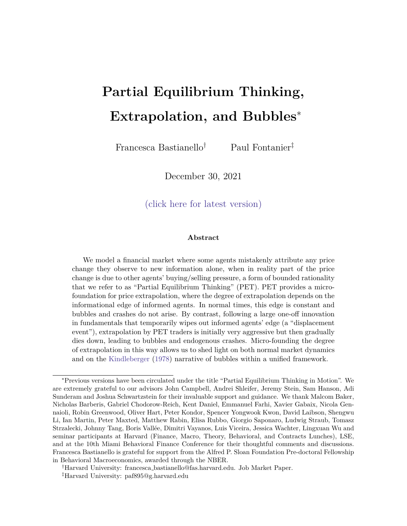Cov 2 6 6 6 4 ! U<sup>t</sup> <sup>1</sup> v~<sup>t</sup> <sup>j</sup> <sup>t</sup> <sup>1</sup> 3 7 7 7 5 = 2 6 6 6 4 1 0 (1 <sup>t</sup> ) ( t 1) s ( t 1) s + 0 1 0 0 1 2( t 1) 1 2 2 2 u 1 2( t 1) 1 2 2 2 u (1 <sup>t</sup> ) ( t 1) s ( t 1) s + 0 1 0 1 2( t 1) 1 2 2 2 u (1 <sup>t</sup> ) 2 ( t 1) s ( t 1) s + 0 2 ( 1 0 +(( t 1) <sup>s</sup> ) 1 )+ 1 2( t 1) 1 2 2 2 u 3 7 7 7 5 (D.45)

Therefore, we can write uninformed agents' beliefs as:

$$
E_{U,t}[V_{t+1}] = 1_{,t}P_{t+1} + 2_{,t}
$$
 (D.46)

where:

$$
1_{1;t} = (1 + t^{t+1}) \frac{Cov(l; w_{tjt-1})}{Var(w_{tjt-1})} + \frac{Cov(l; U_{t-1})}{Var(w_{tjt-1})} \frac{1}{a_t^{CE} \t(0.47)}
$$

Equilibrium. Given agents' beliefs, equilibrium prices are given by:

$$
P_{t} = C_{t} + (1 + t^{t+1}) \frac{Cov(l; w_{tjt-1})}{Var(w_{tjt-1})} + \frac{Cov(l; U_{t-1})}{Var(w_{tjt-1})} \frac{b_{t}}{a_{t-1}^{CE}} P_{t-1} + a_{t} \frac{t_{s}(1 + t^{t+1})}{t_{s} + 0} \frac{1}{t_{t-1}^{t} + 1} \frac{1}{t_{t-1}^{t} + 1}
$$
(D.48)

$$
P_{t} = C_{t} + b_{t-1,t} P_{t-1} + a_{t} \frac{t_{s}(1 - t^{+1})}{t_{s} + 0} \frac{1}{t-1 - t_{t} - t_{t}} \tag{D.49}
$$

!

where  $C_t$  is deterministic. This resembles an AR(2) process, but this time with timevarying roots.

Rational Expectations Equilibrium Comparison. To solve for the rational expectations equilibrium, we compute similar steps as above, with the one di erence that uninformed agents are able to recove  $r_{ijt-1} = E_{1;t-1}[v_t]$  from past prices.

Solving for the equilibrium price, we nd that:

$$
P_{t}^{REE} = C_{t}^{REE} + (1^{t+1}) \frac{Cov(!; w_{tjt-1})}{Var(w_{tjt-1})} + \frac{Cov(!; U_{t-1})}{Var(w_{tjt-1})} b_{V_{tjt-1}} + a_{t}v_{t+1jt-1}
$$
 (D.50)  

$$
P_{t}^{REE} = C_{t}^{REE} + a_{t} \quad 1 \qquad (1^{t+1}) \frac{Cov(!; w_{tjt-1})}{Var(w_{tjt-1})} + \frac{Cov(!; U_{t-1})}{Var(w_{tjt-1})} \frac{b_{t}}{a_{t}} L \bigg|_{V_{t+1jt}} (D.51)
$$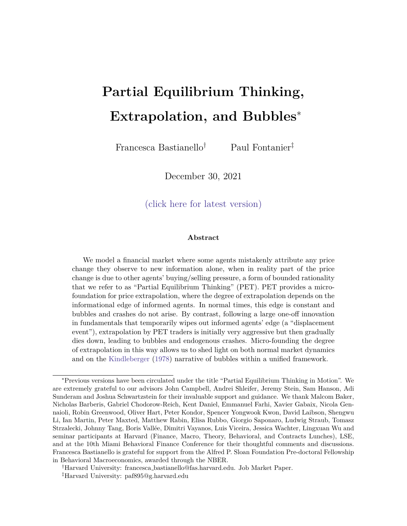$$
P_{t}^{REE} \t P = \frac{a_{t}(1 + t^{1})t_{s}^{!}}{t_{s} + 0} \frac{1 + (1 + t^{1})\frac{Cov(l; w_{tjt-1})}{Var(w_{tjt-1})} + \frac{Cov(l; U_{t-1})}{Var(w_{tjt-1})} \frac{b_{t}}{a_{t}}L}{t + 1 + L} \t (D.52)
$$

so that the REE equilibrium price resembles an ARMA(1,1) process with time-varying coe cients. Once again, notice that the AR roots are always less than one.

Impulse Response Function. We initiate the economy at the same steady state as in normal times. In period  $t = 0$ , a displacement is announced, and all agents share the same unconditional distribution of the shock to the unconditional mean of the fundamental value of the asset:!  $_0$ <sup>1</sup>). Finally, starting in period t = 1, informed agents receive a signals which is informative about the fundamental value of the asset.

Period  $t = 0$ . In period  $t = 0$  agents learn that starting next period the unconditional mean of the fundamental value of the asset  $i\mathbf{s} + !$ , where!  $_0$ <sup>1</sup>). For all equilibrium concepts, informed agents' posterior beliefs are given by:

$$
E_{1;0}[v_1] = (1) (v + o) + v_0
$$
 (D.53)

$$
V_{1;0}[V_1] = (1 \t)^2 (0)^1 + \tfrac{2}{u} \t (D.54)
$$

Uninformed agents' posterior beliefs dier depending on the equilibrium concept:

$$
E_{U;0}[V_1] = (1) (V + 0) + ((1) V + V_{ss0})
$$
 (D.55)

$$
E_{U;0}^{CE}[V_1] = E_{U;0}^{REE}[V_1] = (1) (v + 0) + v
$$
 (D.56)

$$
V_{U;0}[V_1] = V_{U;0}^{REE} [V_1] = (1 \t)^2 (0)^{-1} + (1 + \t^2)^{-2} U \t(D.57)
$$

$$
V_{U,0}^{CE}[V_1] = (1 \t)^2(\t0)^{-1} + \frac{\tfrac{2}{u}}{1 - 2}
$$
 (D.58)

where  $v_{\rm sso}$  is the same steady state as in the normal times case, in (D.26). Given these beliefs, we can construc ${\sf P}_0$ ,  ${\sf P}_0^{\sf CE}$  ,  ${\sf P}_0^{\sf REE}$  using (D.3), and we can also obtain the mapping that uninformed agents use to extract information from $P_0$  (this is given by the CE price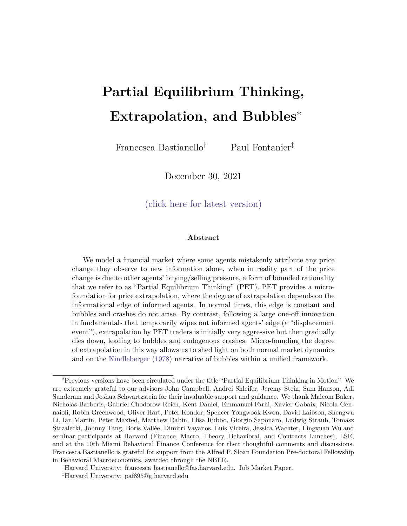function).

Period  $t = 1$ . Informed agents obtains<sub>1</sub> and their posterior beliefs are given by:

$$
E_{1;1}[v_2] = (1 \t 2) \t v + \frac{s}{s+0}S_1 + \frac{0}{s+0} \t 0 + \t 2v_0 + u_1 \t (D.59)
$$

$$
V_{1,t}[v_2] = (1 \t 2)^2(\t 5 + \t 0)^{-1} + \t 2
$$
\n(D.60)

Uninformed PET agents learn information aboutu<sub>0</sub> from P<sub>0</sub> by extracting  $v_0$  from prices.

$$
E_{U;1}[v_2] = (1 \t{}^2)(v + \t{}_0) + \t{}^2v_0 \t\t (D.61)
$$

$$
V_{U;1}[V_2] = (1 \t {}^{2})^{2} (0)^{-1} + (1 + \t {}^{2})^{2} (0)^{-1}
$$
 (D.62)

where:

$$
\mathbf{v}_0 = \frac{\mathbf{P}_0 - \mathbf{b}_0^{\mathsf{CE}} \mathbf{E}_{0;U}^{\mathsf{CE}} [\mathbf{v}_1] + \mathbf{c}_0^{\mathsf{CE}}}{\mathbf{a}_0^{\mathsf{CE}}} \tag{D.63}
$$

Similarly, uninformed agents' beliefs for the CE and REE equilibrium concpets are given by:

$$
E_{U;1}^{REE} [v_2] = (1 \t{}^2)(v + \t{}_0) + \t{}^2v_0 \t\t (D.64)
$$

$$
V_{U;1}^{REE} [v_2] = (1 \t {}^{2})^{2} (0) \t {}^{1} + (1 + \t {}^{2}) \t {}^{2}_{u} \t (D.65)
$$

$$
E_{U;1}^{CE}[V_2] = (1 \t{}^2)(v + \t{}_0) + \t{}^2v \t\t (D.66)
$$

$$
V_{U;1}^{CE}[V_2] = (1 \t {}^{2})^{2} (0)^{1} + \frac{2}{1} \t \frac{2}{1} \t (D.67)
$$

Given these beliefs, we can solve for the CE, PET and REE equilibrium prices in period  $t = 1.$ 

Period  $t > 1$ . Starting in period  $t = 2$ , uninformed agents gain information about both  $U_t$  and  $S_t$  by learning from past prices, and the economy evolves as described above.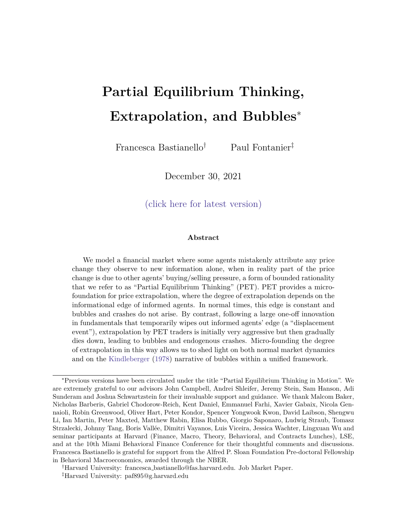Figure 11: Displacement Demeaned Price Path and Extrapolation Parameter mpulse response function following a displacement, modeled as an uncertain shock to the unconditional mean of the process.

# D.2 Permanent Shocks - Random Walk Fundamentals

The way we have modelled normal times shocks and displacements in Section D.1 draws a distinction between displacements being permanent shock and normal times shocks as being transitory. In what follows, we instead consider the case where fundamentals evolve according to a random walk, so that both normal times and displacement shocks are permanent.

In both cases, displacement shocks dier to normal times shocks because displacements are shocks for which informed agents gain more information about over time (while normal time shocks are e ectively revealed next period, so there is no sense in which agents gradually gain more information about these shocks over time, other than by observing their realization).

### D.2.1 Setup

Assets. Consider an economy where agents are solving a portfolio choice problem between a risky and a riskless asset. The risk-free asset is in zero net supply, and we normalize its price and risk free rate to one $P_f = R_f = 1$ . The risky asset is in xed net supply Z, and the fundamental value of the asset evolves according to a random walk:

$$
V_t = V_{t-1} + U_t \tag{D.68}
$$

82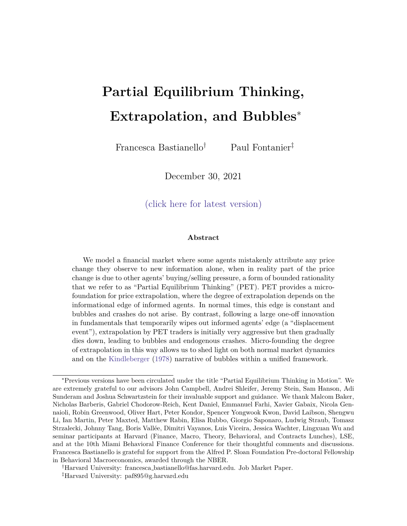where  $u_t$   $N(0; u^1)$ .

Agents and Preferences. There is a continuum of measure one of agents, and we assume that they are only concerned with forecasting the fundamental value of the asset, so that at time t they have the following demand function for the risky asset:

$$
X_{it} = \frac{E_{it}[V_{t+1}]}{AV ar_{it}[V_{t+1}]} \tag{D.69}
$$

where $E_{it}$  [ ] and V ar<sub>it</sub> [ ] characterize agent's beliefs about next period fundamental given the information set they have at timet.

Information Structure in Normal Times. All agents know the unconditional distribution of u<sub>t</sub>. Moreover, a fraction of agents are informed, and they observe the whole history  $u_i$  for j t before making their portfolio choice in each period. A fraction  $(1)$ of agents are uninformed, and they do not observe,  $v_t$  nor their history. However, they can learn information from past prices.

Equilibrium. In equilibrium, uninformed agents' beliefs must be consistent with past prices they observe, given their model of the world. Moreover, all agents trade according to their demand functions in (D.69) given their beliefs, and markets clear. The market clearing price function, conditional on agents' beliefs, is then given by:

$$
P_t = a_t E_{1;t} [V_{t+1}] + b_t E_{U;t} [V_{t+1}] \quad q \tag{D.70}
$$

where  $a_t = \frac{V_{U,t}}{V_{U,t} + (1)}$  $\frac{V_{U;t}}{V_{U;t}+(1 - )V_{1;t}}$  ,  $\mathbf{b}_{t} = -\frac{(1 - )V_{1;t}}{V_{U;t}+(1 - )V_{1;t}}$  $\frac{(1)}{V_{U;t}+(1)}\frac{V_{1;t}}{V_{U;t}}$ ,  $C_t = \frac{V_{1;t}V_{U;t}}{V_{U;t}+(1)}$  $\frac{V_{1;t} - V_{U;t}}{V_{U;t} + (1 - V_{I;t})V_{I;t}}$  AZ, and  $V_{i;t}$  = Var<sub>i;t</sub> [v<sub>t+1</sub>] for i 2 f I; U g. Therefore, in order to nd the equilibrium price, we need to pin down informed and uninformed agents' beliefs about  $t_{+1}$ .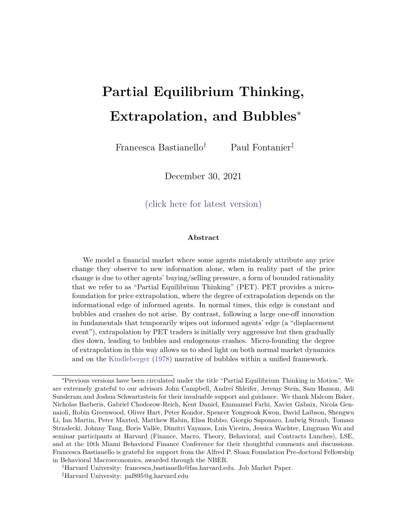### D.2.2 Normal Times

Agents' Beliefs. Informed agents' beliefs are simply given by:

$$
E_{1;t}[v_{t+1}] = v_{t-1} + u_t
$$
 (D.71)

$$
V_1[V_{t+1}] = \frac{2}{u}
$$
 (D.72)

Since prices in our economy are fully revealing, uninformed agents' beliefs are given by:

$$
\mathsf{E}_{\mathsf{U};t}[\mathsf{V}_{t+1}] = \mathsf{V}_{t-1} \tag{D.73}
$$

$$
V_{\cup}[V_{t+1}] = 2 \tfrac{2}{u} \t\t (D.74)
$$

where  $v_{t-1}$  is uninformed agents' beliefs of previous period fundamental, which they extract from past prices.

To understand what information uninformed agents extract from prices, we need to pin down what uninformed agents think is generating the price that they observe. Suppose that uninformed agents use a simple heuristic, and think that prices are increasing in fundamentals and decreasing in a constant risk premium componentas follows:

$$
P_{t+1} = v_{t+1} = 0 \t v_{t+1} = -P_{t+1} + -
$$
 (D.75)

We can then re-write uninformed agents' beliefs as:

$$
E_{U,t}[V_{t+1}] = P_{t+1} + \t\t (D.76)
$$

where  $=$   $\frac{1}{2}$ . By learning from past prices in this way, uninformed agents extrapolate prices to learn about fundamentals, and captures the degree of price-based extrapolation.

Partial Equilibrium Thinking. In normal times, PET provides a micro-foundation for . This allows to make predictions about the extent of biases in individual level beliefs, depending on the environment. We solve for partial equilibrium using the same steps as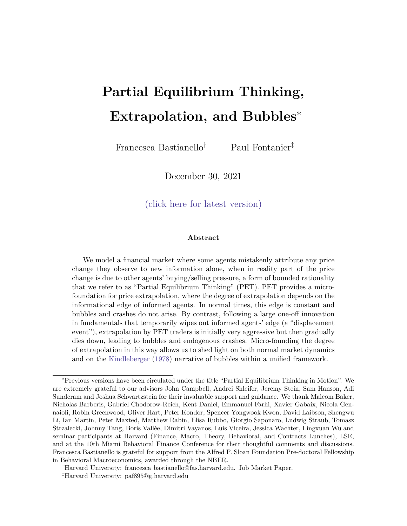in the rest of the paper.

Equilibrium. By substituting these expressions for agents' beliefs in (D.70), we nd that equilibrium prices evolve according to:

$$
P_t = av_t + b P_{t-1} + b \t C \t (D.77)
$$

Starting from a steady state where the fundamental value of the asset is constant vat if we study the impulse response function to a shock  $60$ , we have that:

$$
P_{t} = \sum_{j=1}^{k} {1 \choose j} (av_{1} + b \qquad c) + {1 \choose j}^{t}
$$
 (D.78)

The economy will converge to a new steady state if and only if  $\lt$  1. Otherwise, prices and uninformed agents' beliefs become extreme and decoupled from fundamentals.

Impulse Response Function. We plot the impulse response function in Figure 12. Following a normal times shock, PET leads to momentum as delayed over-reaction.

Figure 12: Path of equilibrium prices in normal times.

#### D.2.3 Displacement

Displacement Shock and Information Structure. We model a displacement as a one-o shock to fundamentals, !, whose realization no agent can observe. Instead, agents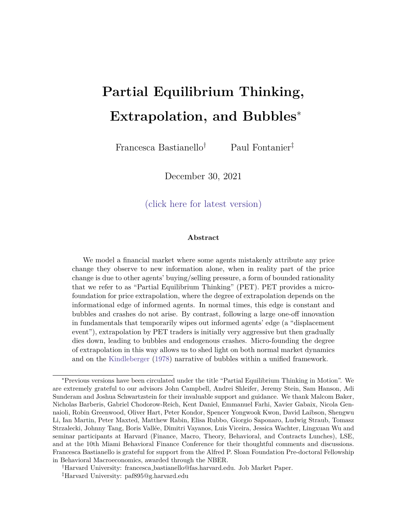$h$ ave a prior distribution of  $t_0^{-1}$ ). The shock is announced in period  $t = 0$ , and comes into effect in period  $t = 1$ .

$$
V_t = V_0 + \frac{t}{j-1} U_t \tag{D.79}
$$

Starting in period  $t = 1$ , all informed agents receive a common signal  $s_t = + t$  where *t*  $N(0, \frac{-1}{s})$ . Uninformed agents do not see these signals, but can still learn information from past prices.

**Agents' Beliefs.** In period  $t = 0$ , when the displacement is announced, agents' beliefs are as follows:

$$
E_{1,0}[V_1] = V_{-1} + \mu_0 + \mu_0 \tag{D.80}
$$

$$
V_{I,0}[V_1] = \begin{bmatrix} -1 & 2 \\ 0 & 4 \end{bmatrix} \tag{D.81}
$$

$$
E_{U,0}[V_1] = \tilde{V}_{-1} + \mu_0 \tag{D.82}
$$

$$
V_{U,0}[\nu_1] = \begin{bmatrix} -1 & 2 & 2 \\ 0 & 1 & 2 \end{bmatrix} \tag{D.83}
$$

Starting in period  $t = 1$ , agents' beliefs are given by:

$$
E_{I,t}[V_{t+1}] = V_0 + \frac{t_s}{t_s + 0}S_t + \frac{0}{t_s + 0}\mu_0 + \frac{t}{t_s + 0}U_j
$$
 (D.84)

$$
V_{I,t}[V_{t+1}] = (t_s + 0)^{-1} + \frac{2}{u}
$$
 (D.85)

$$
E_{U,t}[V_{t+1}] = \tilde{E}_{I,t-1}[V_t]
$$
 (D.86)

$$
V_{U,t}[V_{t+1}] = V_{U,t-1}[V_t] + \frac{2}{u} - \frac{\frac{(t-1)_{S}}{(t-1)_{S}+0} - \frac{1}{0} + (t-1)_{U}^2}{\frac{(t-1)_{S} - \frac{2}{u} - \frac{1}{u} + ((t-1)_{S})^{-1} + (t-1)_{U}^2}{\frac{(t-1)_{S} + \frac{2}{u} - \frac{1}{u} + ((t-1)_{S})^{-1} + (t-1)_{U}^2}
$$
(D.87)

Once again, we need to specify what information uninformed agents extract from prices. When agents think in partial equilibrium, we can write their beliefs as follows:

$$
E_{U,t}[V_{t+1}] = tP_{t-1} + t \t\t(D.88)
$$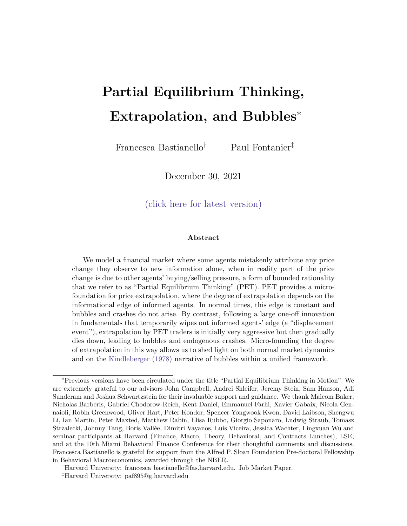where PET provides a micro-foundation for the time-varying extrapolation coefficients.

We solve for PET using the same steps as in the rest of the paper. The one step that requires us to make additional assumptions regards the uncertainty faced by uninformed agents. Specifically, the unconditional variance of the process for fundamentals is infinity given the process is a random walk. Instead, we assume that cursed agents have the same variance as uninformed PET agents.

**Equilibrium.** If we turn off all normal time shocks, on average, in equilibrium, prices evolve as follows:

$$
P_t = a_t (v_0 + \t) + b_{t} t P_{t-1} + b_{t} t - c_t
$$
 (D.89)

For simplicity, let  $t = c_t = v_0 = 0$ . Then, we can write prices as:

$$
P_t = a_t + \int_{j=1}^{t-1} \left( t b_{t+1-j} \right) a_{t-j} + \int_{j=1}^t \left( t b_{t+1-j} \right) P_0 \tag{D.90}
$$

**Impulse Response Function.** We plot the impulse response function of the displacement shock in Figure 13. Following a displacement, the degree of extrapolation is initially stronger, and then declines over time, leading to bubbles and endogenous crashes.

Figure 13: Time-variation in the extrapolation parameter (left panel) and path of equilibrium prices (right panel) following a displacement.

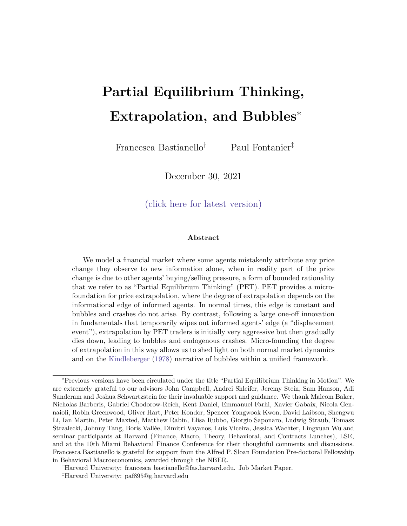## **D.3 Unobservable Growth Rate of Dividends**

In this section we consider an alternative setup, where uninformed agents can observe dividends, and they are instead learning about the unobservable growth rate of dividends.

**Fundamentals and Shocks.** All agents solve a portfolio choice problem between a riskless asset in zero net supply where we normalize the price and risk free rate to 1, and a risky asset in fixed supply  $Z$  which pays a stream of dividends  $D_{t+1}$  each period. Dividends evolve as follows:

$$
D_{t+1} = D_t + g_{t+1} + t_{t+1}
$$
 (D.91)

$$
g_{t+1} = (1 - )\bar{g} + g_t + u_{t+1}
$$
 (D.92)

where  $t_{+1}$   $\mathcal{N}(0, 2)$  and  $u_{t+1}$   $\mathcal{N}(0, 2)$ . Following a displacement, the process for dividend growth is shocked such that:

$$
g_{t+1} = (1 - )\bar{g} + g_t + +u_{t+1}
$$
 (D.93)

where  $N(\mu_0, \sigma^{-1})$ . Therefore this displacement shock is equivalent to shocking the unconditional mean of the growth rate of dividends by  $\overline{1-}$ .

**Agents and Preferences.** We consider an OLG economy where all agents live for one period, and have the following demand function for the risky asset:

$$
X_{it} = \frac{E_{it}[D_{t+1}] - P_t}{A V_{it}[D_{t+1}]}
$$
(D.94)

In this economy, agents are concerned with next period payoff, but we shut down speculative motives to keep things tractable.

**Information Structure.** In normal times, all agents know  $\bar{g}$ , the distribution of  $t$ and  $u_t$ , and all agents also observe  $D_t$ . Moreover, informed agents observe  $u_{t+1}$ . Uninformed agents can learn information from past prices.

Displacements are unanticipated shocks that are announced in period  $t = 0$ , at which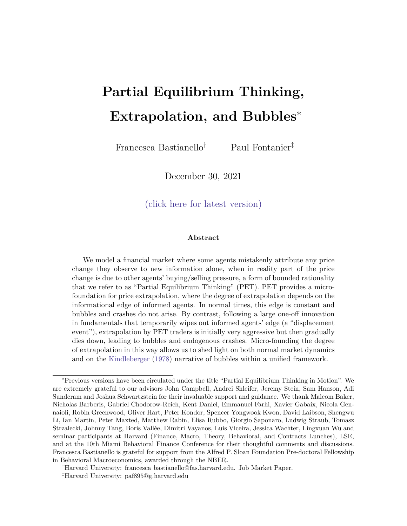$\,$  point all agents share the same unconditional distribution for  $_0^{-1}$ ). Starting in period  $t = 1$ , informed agents receive signals  $S_t = + t$  where  $t \in (N, \frac{-1}{s})$  each period. Uninformed agents do not observe  $S_t$ , but can learn information from past prices.

For tractability, we assume that no agent uses the history of  $D_t$  to learn information about  $g_t$ . This assumptions allows us to not have to deal with an additional signal that agents receive about  $g_t$ , and which they would be combining with the information they either receive or learn from past prices. One way to rationalize this is to think of  $\frac{2}{u}$  as being extremely large, so that  $\Delta D_t$  provides too noisy a signal of  $g_{t+1}$ .

#### **D.3.1 Normal Times**

**Informed Agents' Beliefs.** In normal times informed agents' beliefs are given by:

$$
E_{1,t}[D_{t+1}] = D_t + g_{t+1}
$$
 (D.95)

$$
\nabla_I[D_{t+1}] = \n\begin{cases}\n2 & \text{(D.96)} \\
1 & \text{(D.97)}\n\end{cases}
$$

**Cursed Agents' Beliefs and Cursed Equilibrium Mapping.** 19 Uninformed agents' beliefs depend on the equilibrium concept. We assume that cursed agents form their beliefs based on the unconditional mean of the unobservable growth rate of dividends.

$$
\mathsf{E}_{U,t}^{CE}[D_{t+1}] = D_t + \bar{g} \tag{D.97}
$$

$$
\bigvee_{U,t}^{CE} [D_{t+1}] = \frac{2}{1 - 2} + 2 \tag{D.98}
$$

The cursed equilibrium price function is therefore given by:

$$
P_t^{CE} = D_t + a^{CE} g_{t+1} + b^{CE} \bar{g} - c^{CE}
$$
 (D.99)

<sup>&</sup>lt;sup>19</sup>Throughout Appendix D, we use "CE" to stand for Cursed Equilibrium (Eyster and Rabin (2005)): cursed agents do not learn information from prices, and instead trade on their private information alone. In this respect, PET agents think that all other agents are cursed. Therefore PET agents invert the cursed equilibrium price function to infer information from prices.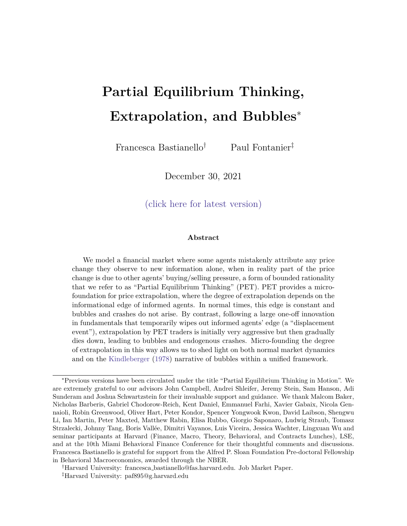where  $a^{CE} = \frac{V_{U,t}^{CE}}{V_{U,t}^{CE} + (1 - V_{U,t})}$ ,  $b^{CE} = \frac{(1 - V_{U,t})V_{U,t}}{V_{U,t}^{CE} + (1 - V_{U,t})}$ ,  $c^{CE} = \frac{A Z V_{U,t} V_{U,t}^{CE}}{V_{U,t}^{CE} + (1 - V_{U,t})V_{U,t}}$ . The price dividend "ratio" evolves as an  $AR(1)$  process which is stationary as long as  $\langle 1.$ 

$$
P_t^{CE} - D_t - \overline{P} - \overline{D}^{CE} = \frac{U_{t+1}}{1 - L}
$$
 (D.100)

where  $\overline{P} - \overline{D}^{CE} = \overline{g} - c^{CE}$  is the unconditional mean of  $P_t^{CE} - D_t$ .

**PET Agents' Beliefs and Equilibrium Prices.** We assume that PET agents learn information from prices under the mistaken belief that all other agents are cursed. Uninformed agents then extract  $\tilde{g}_t$  from prices as follows:

$$
\tilde{g}_t = \frac{P_{t-1}^{CE} - D_{t-1} - b^{CE}\bar{g} + c^{CE}}{a^{CE}}
$$
(D.101)

This leads to PET agents holding the following posterior beliefs:

$$
E_{U,t}[D_{t+1}] = D_t + (1 - )\overline{g} + \tilde{g}_t
$$
 (D.102)

$$
V_{U,t}[D_{t+1}] = \frac{2}{u} + \frac{2}{u}
$$
 (D.103)

The PET equilibrium price is then given by:

$$
P_t = D_t + a g_{t+1} + b((1 - \bar{g} + \bar{g}_t) - c \tag{D.104}
$$

where  $a = \frac{V_{U,t}}{V_{U,t}+(1-t)}$  $\frac{\nabla_{U,t}}{\nabla_{U,t}+(1-\mathcal{Y}\nabla_{I,t}}$ ,  $b = \frac{(1-\mathcal{Y}\nabla_{I,t})}{\nabla_{U,t}+(1-\mathcal{Y})}$  $\frac{(1 - )\vee_{I,t}}{\vee_{U,t}+(1 - )\vee_{I,t}}$ , *c* =  $\frac{AZ\vee_{I,t}\vee_{U,t}}{\vee_{U,t}+(1 - )\vee_{I,t}}$ V*U,t*+(1− )V*I,t* . Rearranging this expression, and using the results above, we can rewrite the price dividend ratio as:

$$
(P_t - D_t) - \overline{P - D} = a \frac{U_{t+1}}{(1 - L) 1 - \frac{b}{a^{CE}} L}
$$
 (D.105)

where  $\overline{P - D} = (\bar{g} - c) - \frac{b}{a^{CE}}(\bar{g} - c^{CE})$ . This expression in an AR(2). For the price dividend ratio to be stationary in normal times, we need both roots of the autoregressive  $\operatorname{coefficients}$  to lie outside the unit circle:  $< 1$  and  $\frac{b}{a^{CE}} < 1$ .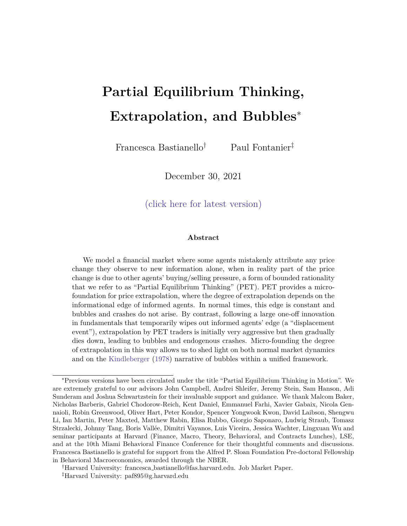**REE Agents' Beliefs and Equilibrium Prices.** Finally, rational uninformed agents also learn from past prices, but are able to extract the right information from them.

$$
E_{U,t}^{REE}[D_{t+1}] = D_t + (1 - )\bar{g} + g_t \tag{D.106}
$$

$$
\nabla_{U,t}^{REE}[D_{t+1}] = \nabla_{U,t}[D_{t+1}] \tag{D.107}
$$

The REE equilibrium is then given by:

$$
P_t^{REE} = D_t + a g_{t+1} + b((1 - )\bar{g} + g_t) - c
$$
 (D.108)

where  $a, b$  and  $c$  are the same coefficients as in PET, as agents have the same conditional variance in PET and REE.

Rearranging and using the results above, we see that in normal times REE prices evolve according to an  $ARMA(1,1)$ , which is stationary as long as  $\langle 1:$ 

$$
(P_t^{REE} - D_t) - \overline{P - D}^{REE} = a \frac{1 + \frac{b}{a} \mathsf{L}}{(1 - \mathsf{L})} u_{t+1}
$$
 (D.109)

where  $\overline{P - D}^{REE} = \overline{g} - c$ .

**Simulation.** Figure 14 simulates the path of equilibrium prices when  $\bar{g} = 0$  and  $\bar{g} > 0$ . Regardless of  $\bar{g}$ , PET leads to mild momentum and reversals in normal times.

Figure 14: Path of equilibrium prices in normal times with an unobservable growth rate of dividend. In the left panel  $\bar{g} = 0$ , while in the right panel  $\bar{g} > 0$ .